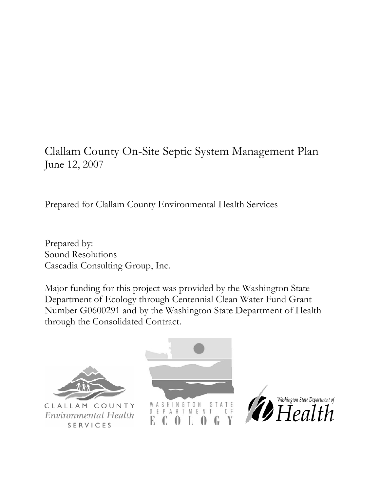Clallam County On-Site Septic System Management Plan June 12, 2007

Prepared for Clallam County Environmental Health Services

Prepared by: Sound Resolutions Cascadia Consulting Group, Inc.

Major funding for this project was provided by the Washington State Department of Ecology through Centennial Clean Water Fund Grant Number G0600291 and by the Washington State Department of Health through the Consolidated Contract.



CLALLAM COUNTY Environmental Health SERVICES

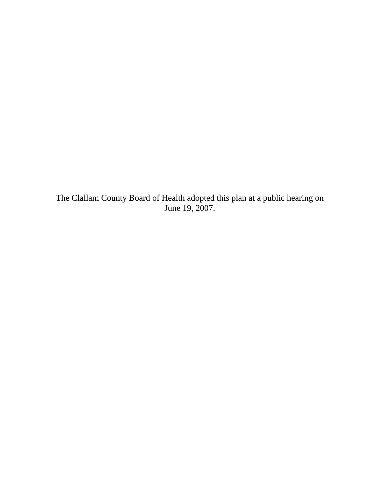The Clallam County Board of Health adopted this plan at a public hearing on June 19, 2007.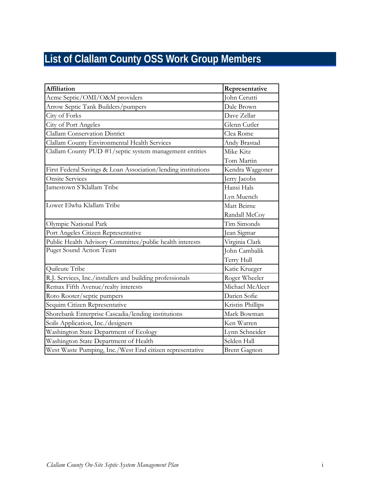# **List of Clallam County OSS Work Group Members**

| <b>Affiliation</b>                                            | Representative      |
|---------------------------------------------------------------|---------------------|
| Acme Septic/OMI/O&M providers                                 | <b>John Cerutti</b> |
| Arrow Septic Tank Builders/pumpers                            | Dale Brown          |
| City of Forks                                                 | Dave Zellar         |
| City of Port Angeles                                          | Glenn Cutler        |
| <b>Clallam Conservation District</b>                          | Clea Rome           |
| Clallam County Environmental Health Services                  | Andy Brastad        |
| Clallam County PUD #1/septic system management entities       | Mike Kitz           |
|                                                               | Tom Martin          |
| First Federal Savings & Loan Association/lending institutions | Kendra Waggoner     |
| <b>Onsite Services</b>                                        | Jerry Jacobs        |
| Jamestown S'Klallam Tribe                                     | Hansi Hals          |
|                                                               | Lyn Muench          |
| Lower Elwha Klallam Tribe                                     | Matt Beirne         |
|                                                               | Randall McCoy       |
| Olympic National Park                                         | Tim Simonds         |
| Port Angeles Citizen Representative                           | Jean Sigmar         |
| Public Health Advisory Committee/public health interests      | Virginia Clark      |
| Puget Sound Action Team                                       | John Cambalik       |
|                                                               | Terry Hull          |
| Quileute Tribe                                                | Katie Krueger       |
| R.J. Services, Inc./installers and building professionals     | Roger Wheeler       |
| Remax Fifth Avenue/realty interests                           | Michael McAleer     |
| Roto Rooter/septic pumpers                                    | Darien Sofie        |
| Sequim Citizen Representative                                 | Kristin Phillips    |
| Shorebank Enterprise Cascadia/lending institutions            | Mark Bowman         |
| Soils Application, Inc./designers                             | Ken Warren          |
| Washington State Department of Ecology                        | Lynn Schneider      |
| Washington State Department of Health                         | Selden Hall         |
| West Waste Pumping, Inc./West End citizen representative      | <b>Brent Gagnon</b> |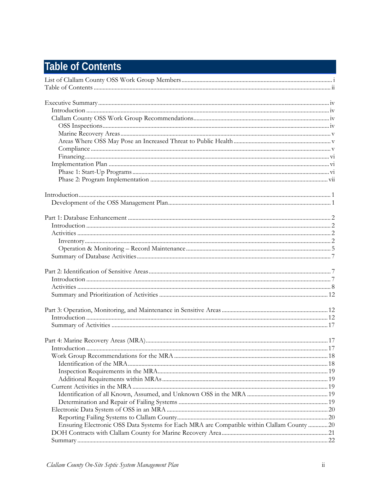# **Table of Contents**

| Ensuring Electronic OSS Data Systems for Each MRA are Compatible within Clallam County  20 |  |
|--------------------------------------------------------------------------------------------|--|
|                                                                                            |  |
|                                                                                            |  |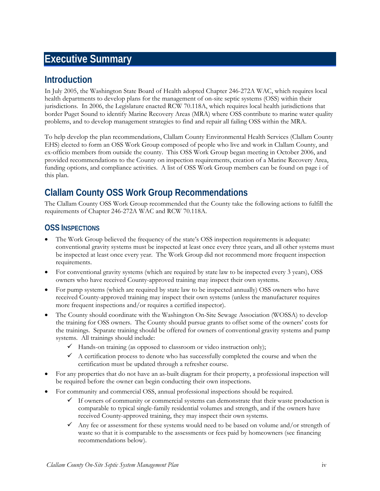## **Executive Summary**

## **Introduction**

In July 2005, the Washington State Board of Health adopted Chapter 246-272A WAC, which requires local health departments to develop plans for the management of on-site septic systems (OSS) within their jurisdictions. In 2006, the Legislature enacted RCW 70.118A, which requires local health jurisdictions that border Puget Sound to identify Marine Recovery Areas (MRA) where OSS contribute to marine water quality problems, and to develop management strategies to find and repair all failing OSS within the MRA.

To help develop the plan recommendations, Clallam County Environmental Health Services (Clallam County EHS) elected to form an OSS Work Group composed of people who live and work in Clallam County, and ex-officio members from outside the county. This OSS Work Group began meeting in October 2006, and provided recommendations to the County on inspection requirements, creation of a Marine Recovery Area, funding options, and compliance activities. A list of OSS Work Group members can be found on page i of this plan.

## **Clallam County OSS Work Group Recommendations**

The Clallam County OSS Work Group recommended that the County take the following actions to fulfill the requirements of Chapter 246-272A WAC and RCW 70.118A.

### **OSS INSPECTIONS**

- The Work Group believed the frequency of the state's OSS inspection requirements is adequate: conventional gravity systems must be inspected at least once every three years, and all other systems must be inspected at least once every year. The Work Group did not recommend more frequent inspection requirements.
- For conventional gravity systems (which are required by state law to be inspected every 3 years), OSS owners who have received County-approved training may inspect their own systems.
- For pump systems (which are required by state law to be inspected annually) OSS owners who have received County-approved training may inspect their own systems (unless the manufacturer requires more frequent inspections and/or requires a certified inspector).
- The County should coordinate with the Washington On-Site Sewage Association (WOSSA) to develop the training for OSS owners. The County should pursue grants to offset some of the owners' costs for the trainings. Separate training should be offered for owners of conventional gravity systems and pump systems. All trainings should include:
	- $\checkmark$  Hands-on training (as opposed to classroom or video instruction only);
	- $\checkmark$  A certification process to denote who has successfully completed the course and when the certification must be updated through a refresher course.
- For any properties that do not have an as-built diagram for their property, a professional inspection will be required before the owner can begin conducting their own inspections.
- For community and commercial OSS, annual professional inspections should be required.
	- $\checkmark$  If owners of community or commercial systems can demonstrate that their waste production is comparable to typical single-family residential volumes and strength, and if the owners have received County-approved training, they may inspect their own systems.
	- $\checkmark$  Any fee or assessment for these systems would need to be based on volume and/or strength of waste so that it is comparable to the assessments or fees paid by homeowners (see financing recommendations below).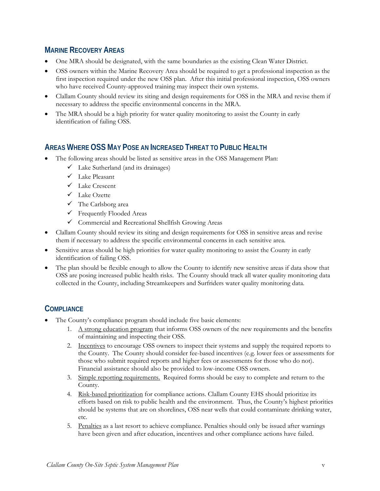### **MARINE RECOVERY AREAS**

- One MRA should be designated, with the same boundaries as the existing Clean Water District.
- OSS owners within the Marine Recovery Area should be required to get a professional inspection as the first inspection required under the new OSS plan. After this initial professional inspection, OSS owners who have received County-approved training may inspect their own systems.
- Clallam County should review its siting and design requirements for OSS in the MRA and revise them if necessary to address the specific environmental concerns in the MRA.
- The MRA should be a high priority for water quality monitoring to assist the County in early identification of failing OSS.

### **AREAS WHERE OSS MAY POSE AN INCREASED THREAT TO PUBLIC HEALTH**

- The following areas should be listed as sensitive areas in the OSS Management Plan:
	- $\checkmark$  Lake Sutherland (and its drainages)
	- $\checkmark$  Lake Pleasant
	- $\checkmark$  Lake Crescent
	- $\checkmark$  Lake Ozette
	- $\checkmark$  The Carlsborg area
	- 9 Frequently Flooded Areas
	- $\checkmark$  Commercial and Recreational Shellfish Growing Areas
- Clallam County should review its siting and design requirements for OSS in sensitive areas and revise them if necessary to address the specific environmental concerns in each sensitive area.
- Sensitive areas should be high priorities for water quality monitoring to assist the County in early identification of failing OSS.
- The plan should be flexible enough to allow the County to identify new sensitive areas if data show that OSS are posing increased public health risks. The County should track all water quality monitoring data collected in the County, including Streamkeepers and Surfriders water quality monitoring data.

### **COMPLIANCE**

- The County's compliance program should include five basic elements:
	- 1. A strong education program that informs OSS owners of the new requirements and the benefits of maintaining and inspecting their OSS.
	- 2. Incentives to encourage OSS owners to inspect their systems and supply the required reports to the County. The County should consider fee-based incentives (e.g. lower fees or assessments for those who submit required reports and higher fees or assessments for those who do not). Financial assistance should also be provided to low-income OSS owners.
	- 3. Simple reporting requirements. Required forms should be easy to complete and return to the County.
	- 4. Risk-based prioritization for compliance actions. Clallam County EHS should prioritize its efforts based on risk to public health and the environment. Thus, the County's highest priorities should be systems that are on shorelines, OSS near wells that could contaminate drinking water, etc.
	- 5. Penalties as a last resort to achieve compliance. Penalties should only be issued after warnings have been given and after education, incentives and other compliance actions have failed.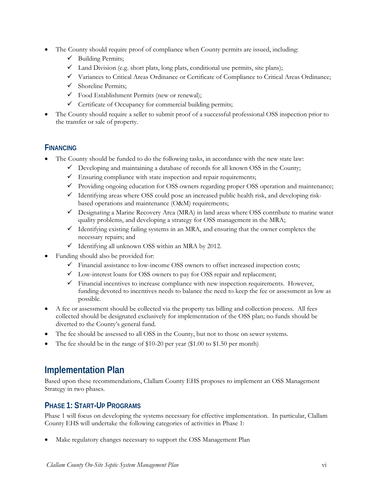- The County should require proof of compliance when County permits are issued, including:
	- $\checkmark$  Building Permits;
	- $\checkmark$  Land Division (e.g. short plats, long plats, conditional use permits, site plans);
	- $\checkmark$  Variances to Critical Areas Ordinance or Certificate of Compliance to Critical Areas Ordinance;
	- $\checkmark$  Shoreline Permits;
	- $\checkmark$  Food Establishment Permits (new or renewal);
	- $\checkmark$  Certificate of Occupancy for commercial building permits;
- The County should require a seller to submit proof of a successful professional OSS inspection prior to the transfer or sale of property.

### **FINANCING**

- The County should be funded to do the following tasks, in accordance with the new state law:
	- $\checkmark$  Developing and maintaining a database of records for all known OSS in the County;
	- $\checkmark$  Ensuring compliance with state inspection and repair requirements;
	- $\checkmark$  Providing ongoing education for OSS owners regarding proper OSS operation and maintenance;
	- $\checkmark$  Identifying areas where OSS could pose an increased public health risk, and developing riskbased operations and maintenance (O&M) requirements;
	- $\checkmark$  Designating a Marine Recovery Area (MRA) in land areas where OSS contribute to marine water quality problems, and developing a strategy for OSS management in the MRA;
	- $\checkmark$  Identifying existing failing systems in an MRA, and ensuring that the owner completes the necessary repairs; and
	- $\checkmark$  Identifying all unknown OSS within an MRA by 2012.
- Funding should also be provided for:
	- $\checkmark$  Financial assistance to low-income OSS owners to offset increased inspection costs;
	- $\checkmark$  Low-interest loans for OSS owners to pay for OSS repair and replacement;
	- $\checkmark$  Financial incentives to increase compliance with new inspection requirements. However, funding devoted to incentives needs to balance the need to keep the fee or assessment as low as possible.
- A fee or assessment should be collected via the property tax billing and collection process. All fees collected should be designated exclusively for implementation of the OSS plan; no funds should be diverted to the County's general fund.
- The fee should be assessed to all OSS in the County, but not to those on sewer systems.
- The fee should be in the range of \$10-20 per year (\$1.00 to \$1.50 per month)

## **Implementation Plan**

Based upon these recommendations, Clallam County EHS proposes to implement an OSS Management Strategy in two phases.

### **PHASE 1: START-UP PROGRAMS**

Phase 1 will focus on developing the systems necessary for effective implementation. In particular, Clallam County EHS will undertake the following categories of activities in Phase 1:

• Make regulatory changes necessary to support the OSS Management Plan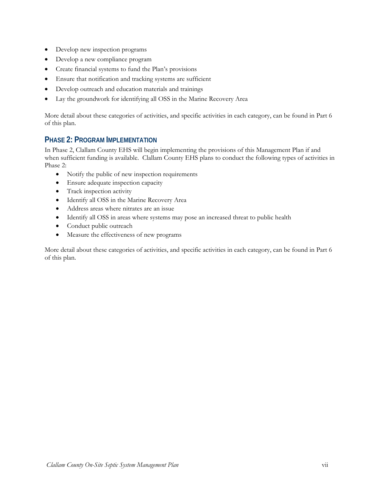- Develop new inspection programs
- Develop a new compliance program
- Create financial systems to fund the Plan's provisions
- Ensure that notification and tracking systems are sufficient
- Develop outreach and education materials and trainings
- Lay the groundwork for identifying all OSS in the Marine Recovery Area

More detail about these categories of activities, and specific activities in each category, can be found in Part 6 of this plan.

### **PHASE 2: PROGRAM IMPLEMENTATION**

In Phase 2, Clallam County EHS will begin implementing the provisions of this Management Plan if and when sufficient funding is available. Clallam County EHS plans to conduct the following types of activities in Phase 2:

- Notify the public of new inspection requirements
- Ensure adequate inspection capacity
- Track inspection activity
- Identify all OSS in the Marine Recovery Area
- Address areas where nitrates are an issue
- Identify all OSS in areas where systems may pose an increased threat to public health
- Conduct public outreach
- Measure the effectiveness of new programs

More detail about these categories of activities, and specific activities in each category, can be found in Part 6 of this plan.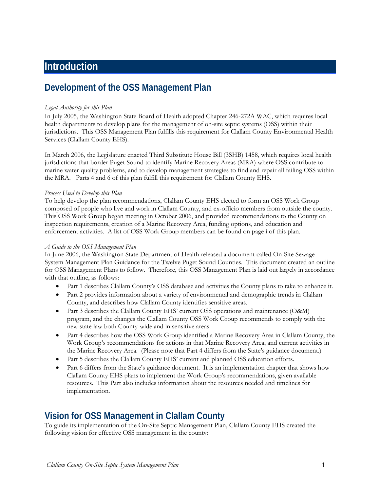## **Introduction**

## **Development of the OSS Management Plan**

#### *Legal Authority for this Plan*

In July 2005, the Washington State Board of Health adopted Chapter 246-272A WAC, which requires local health departments to develop plans for the management of on-site septic systems (OSS) within their jurisdictions. This OSS Management Plan fulfills this requirement for Clallam County Environmental Health Services (Clallam County EHS).

In March 2006, the Legislature enacted Third Substitute House Bill (3SHB) 1458, which requires local health jurisdictions that border Puget Sound to identify Marine Recovery Areas (MRA) where OSS contribute to marine water quality problems, and to develop management strategies to find and repair all failing OSS within the MRA. Parts 4 and 6 of this plan fulfill this requirement for Clallam County EHS.

#### *Process Used to Develop this Plan*

To help develop the plan recommendations, Clallam County EHS elected to form an OSS Work Group composed of people who live and work in Clallam County, and ex-officio members from outside the county. This OSS Work Group began meeting in October 2006, and provided recommendations to the County on inspection requirements, creation of a Marine Recovery Area, funding options, and education and enforcement activities. A list of OSS Work Group members can be found on page i of this plan.

#### *A Guide to the OSS Management Plan*

In June 2006, the Washington State Department of Health released a document called On-Site Sewage System Management Plan Guidance for the Twelve Puget Sound Counties. This document created an outline for OSS Management Plans to follow. Therefore, this OSS Management Plan is laid out largely in accordance with that outline, as follows:

- Part 1 describes Clallam County's OSS database and activities the County plans to take to enhance it.
- Part 2 provides information about a variety of environmental and demographic trends in Clallam County, and describes how Clallam County identifies sensitive areas.
- Part 3 describes the Clallam County EHS' current OSS operations and maintenance (O&M) program, and the changes the Clallam County OSS Work Group recommends to comply with the new state law both County-wide and in sensitive areas.
- Part 4 describes how the OSS Work Group identified a Marine Recovery Area in Clallam County, the Work Group's recommendations for actions in that Marine Recovery Area, and current activities in the Marine Recovery Area. (Please note that Part 4 differs from the State's guidance document.)
- Part 5 describes the Clallam County EHS' current and planned OSS education efforts.
- Part 6 differs from the State's guidance document. It is an implementation chapter that shows how Clallam County EHS plans to implement the Work Group's recommendations, given available resources. This Part also includes information about the resources needed and timelines for implementation.

### **Vision for OSS Management in Clallam County**

To guide its implementation of the On-Site Septic Management Plan, Clallam County EHS created the following vision for effective OSS management in the county: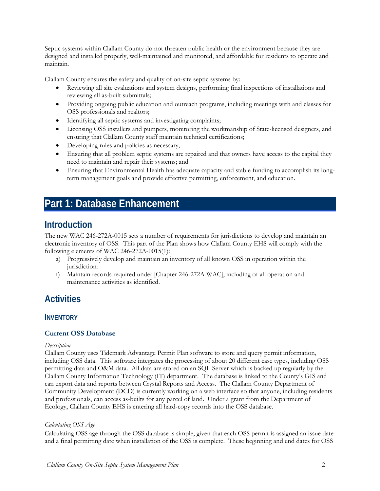Septic systems within Clallam County do not threaten public health or the environment because they are designed and installed properly, well-maintained and monitored, and affordable for residents to operate and maintain.

Clallam County ensures the safety and quality of on-site septic systems by:

- Reviewing all site evaluations and system designs, performing final inspections of installations and reviewing all as-built submittals;
- Providing ongoing public education and outreach programs, including meetings with and classes for OSS professionals and realtors;
- Identifying all septic systems and investigating complaints;
- Licensing OSS installers and pumpers, monitoring the workmanship of State-licensed designers, and ensuring that Clallam County staff maintain technical certifications;
- Developing rules and policies as necessary;
- Ensuring that all problem septic systems are repaired and that owners have access to the capital they need to maintain and repair their systems; and
- Ensuring that Environmental Health has adequate capacity and stable funding to accomplish its longterm management goals and provide effective permitting, enforcement, and education.

## **Part 1: Database Enhancement**

## **Introduction**

The new WAC 246-272A-0015 sets a number of requirements for jurisdictions to develop and maintain an electronic inventory of OSS. This part of the Plan shows how Clallam County EHS will comply with the following elements of WAC 246-272A-0015(1):

- a) Progressively develop and maintain an inventory of all known OSS in operation within the jurisdiction.
- f) Maintain records required under [Chapter 246-272A WAC], including of all operation and maintenance activities as identified.

## **Activities**

### **INVENTORY**

### **Current OSS Database**

#### *Description*

Clallam County uses Tidemark Advantage Permit Plan software to store and query permit information, including OSS data. This software integrates the processing of about 20 different case types, including OSS permitting data and O&M data. All data are stored on an SQL Server which is backed up regularly by the Clallam County Information Technology (IT) department. The database is linked to the County's GIS and can export data and reports between Crystal Reports and Access. The Clallam County Department of Community Development (DCD) is currently working on a web interface so that anyone, including residents and professionals, can access as-builts for any parcel of land. Under a grant from the Department of Ecology, Clallam County EHS is entering all hard-copy records into the OSS database.

#### *Calculating OSS Age*

Calculating OSS age through the OSS database is simple, given that each OSS permit is assigned an issue date and a final permitting date when installation of the OSS is complete. These beginning and end dates for OSS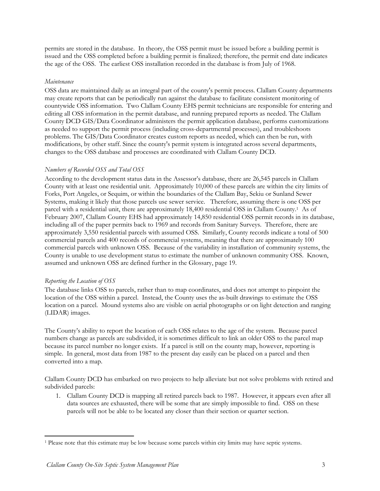permits are stored in the database. In theory, the OSS permit must be issued before a building permit is issued and the OSS completed before a building permit is finalized; therefore, the permit end date indicates the age of the OSS. The earliest OSS installation recorded in the database is from July of 1968.

#### *Maintenance*

OSS data are maintained daily as an integral part of the county's permit process. Clallam County departments may create reports that can be periodically run against the database to facilitate consistent monitoring of countywide OSS information. Two Clallam County EHS permit technicians are responsible for entering and editing all OSS information in the permit database, and running prepared reports as needed. The Clallam County DCD GIS/Data Coordinator administers the permit application database, performs customizations as needed to support the permit process (including cross-departmental processes), and troubleshoots problems. The GIS/Data Coordinator creates custom reports as needed, which can then be run, with modifications, by other staff. Since the county's permit system is integrated across several departments, changes to the OSS database and processes are coordinated with Clallam County DCD.

#### *Numbers of Recorded OSS and Total OSS*

According to the development status data in the Assessor's database, there are 26,545 parcels in Clallam County with at least one residential unit. Approximately 10,000 of these parcels are within the city limits of Forks, Port Angeles, or Sequim, or within the boundaries of the Clallam Bay, Sekiu or Sunland Sewer Systems, making it likely that those parcels use sewer service. Therefore, assuming there is one OSS per parcel with a residential unit, there are approximately 18,400 residential OSS in Clallam County.1 As of February 2007, Clallam County EHS had approximately 14,850 residential OSS permit records in its database, including all of the paper permits back to 1969 and records from Sanitary Surveys. Therefore, there are approximately 3,550 residential parcels with assumed OSS. Similarly, County records indicate a total of 500 commercial parcels and 400 records of commercial systems, meaning that there are approximately 100 commercial parcels with unknown OSS. Because of the variability in installation of community systems, the County is unable to use development status to estimate the number of unknown community OSS. Known, assumed and unknown OSS are defined further in the Glossary, page 19.

#### *Reporting the Location of OSS*

The database links OSS to parcels, rather than to map coordinates, and does not attempt to pinpoint the location of the OSS within a parcel. Instead, the County uses the as-built drawings to estimate the OSS location on a parcel. Mound systems also are visible on aerial photographs or on light detection and ranging (LIDAR) images.

The County's ability to report the location of each OSS relates to the age of the system. Because parcel numbers change as parcels are subdivided, it is sometimes difficult to link an older OSS to the parcel map because its parcel number no longer exists. If a parcel is still on the county map, however, reporting is simple. In general, most data from 1987 to the present day easily can be placed on a parcel and then converted into a map.

Clallam County DCD has embarked on two projects to help alleviate but not solve problems with retired and subdivided parcels:

1. Clallam County DCD is mapping all retired parcels back to 1987. However, it appears even after all data sources are exhausted, there will be some that are simply impossible to find. OSS on these parcels will not be able to be located any closer than their section or quarter section.

 <sup>1</sup> Please note that this estimate may be low because some parcels within city limits may have septic systems.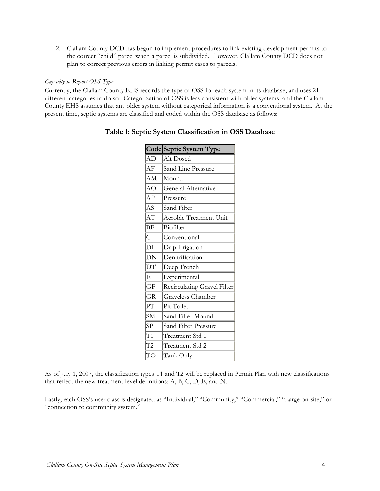2. Clallam County DCD has begun to implement procedures to link existing development permits to the correct "child" parcel when a parcel is subdivided. However, Clallam County DCD does not plan to correct previous errors in linking permit cases to parcels.

#### *Capacity to Report OSS Type*

Currently, the Clallam County EHS records the type of OSS for each system in its database, and uses 21 different categories to do so. Categorization of OSS is less consistent with older systems, and the Clallam County EHS assumes that any older system without categorical information is a conventional system. At the present time, septic systems are classified and coded within the OSS database as follows:

|                        | Code Septic System Type     |
|------------------------|-----------------------------|
| AD                     | Alt Dosed                   |
| AF                     | Sand Line Pressure          |
| AM                     | Mound                       |
| AО                     | General Alternative         |
| AP                     | Pressure                    |
| AS                     | Sand Filter                 |
| AT                     | Aerobic Treatment Unit      |
| BF                     | Biofilter                   |
| C                      | Conventional                |
| DI                     | Drip Irrigation             |
| DN                     | Denitrification             |
| DT                     | Deep Trench                 |
| E                      | Experimental                |
| GF                     | Recirculating Gravel Filter |
| GR                     | Graveless Chamber           |
| $\overline{\text{PT}}$ | Pit Toilet                  |
| <b>SM</b>              | Sand Filter Mound           |
| SP                     | Sand Filter Pressure        |
| T1                     | Treatment Std 1             |
| T <sub>2</sub>         | Treatment Std 2             |
| TО                     | Tank Only                   |

### **Table 1: Septic System Classification in OSS Database**

As of July 1, 2007, the classification types T1 and T2 will be replaced in Permit Plan with new classifications that reflect the new treatment-level definitions: A, B, C, D, E, and N.

Lastly, each OSS's user class is designated as "Individual," "Community," "Commercial," "Large on-site," or "connection to community system."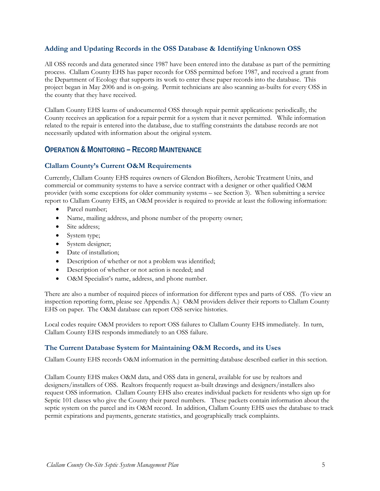#### **Adding and Updating Records in the OSS Database & Identifying Unknown OSS**

All OSS records and data generated since 1987 have been entered into the database as part of the permitting process. Clallam County EHS has paper records for OSS permitted before 1987, and received a grant from the Department of Ecology that supports its work to enter these paper records into the database. This project began in May 2006 and is on-going. Permit technicians are also scanning as-builts for every OSS in the county that they have received.

Clallam County EHS learns of undocumented OSS through repair permit applications: periodically, the County receives an application for a repair permit for a system that it never permitted. While information related to the repair is entered into the database, due to staffing constraints the database records are not necessarily updated with information about the original system.

### **OPERATION & MONITORING – RECORD MAINTENANCE**

### **Clallam County's Current O&M Requirements**

Currently, Clallam County EHS requires owners of Glendon Biofilters, Aerobic Treatment Units, and commercial or community systems to have a service contract with a designer or other qualified O&M provider (with some exceptions for older community systems – see Section 3). When submitting a service report to Clallam County EHS, an O&M provider is required to provide at least the following information:

- Parcel number;
- Name, mailing address, and phone number of the property owner;
- Site address;
- System type;
- System designer;
- Date of installation;
- Description of whether or not a problem was identified;
- Description of whether or not action is needed; and
- O&M Specialist's name, address, and phone number.

There are also a number of required pieces of information for different types and parts of OSS. (To view an inspection reporting form, please see Appendix A.) O&M providers deliver their reports to Clallam County EHS on paper. The O&M database can report OSS service histories.

Local codes require O&M providers to report OSS failures to Clallam County EHS immediately. In turn, Clallam County EHS responds immediately to an OSS failure.

#### **The Current Database System for Maintaining O&M Records, and its Uses**

Clallam County EHS records O&M information in the permitting database described earlier in this section.

Clallam County EHS makes O&M data, and OSS data in general, available for use by realtors and designers/installers of OSS. Realtors frequently request as-built drawings and designers/installers also request OSS information. Clallam County EHS also creates individual packets for residents who sign up for Septic 101 classes who give the County their parcel numbers. These packets contain information about the septic system on the parcel and its O&M record. In addition, Clallam County EHS uses the database to track permit expirations and payments, generate statistics, and geographically track complaints.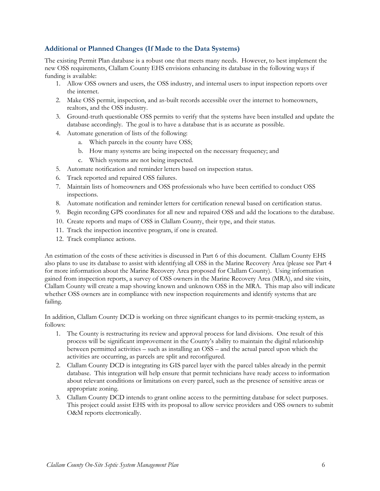#### **Additional or Planned Changes (If Made to the Data Systems)**

The existing Permit Plan database is a robust one that meets many needs. However, to best implement the new OSS requirements, Clallam County EHS envisions enhancing its database in the following ways if funding is available:

- 1. Allow OSS owners and users, the OSS industry, and internal users to input inspection reports over the internet.
- 2. Make OSS permit, inspection, and as-built records accessible over the internet to homeowners, realtors, and the OSS industry.
- 3. Ground-truth questionable OSS permits to verify that the systems have been installed and update the database accordingly. The goal is to have a database that is as accurate as possible.
- 4. Automate generation of lists of the following:
	- a. Which parcels in the county have OSS;
	- b. How many systems are being inspected on the necessary frequency; and
	- c. Which systems are not being inspected.
- 5. Automate notification and reminder letters based on inspection status.
- 6. Track reported and repaired OSS failures.
- 7. Maintain lists of homeowners and OSS professionals who have been certified to conduct OSS inspections.
- 8. Automate notification and reminder letters for certification renewal based on certification status.
- 9. Begin recording GPS coordinates for all new and repaired OSS and add the locations to the database.
- 10. Create reports and maps of OSS in Clallam County, their type, and their status.
- 11. Track the inspection incentive program, if one is created.
- 12. Track compliance actions.

An estimation of the costs of these activities is discussed in Part 6 of this document. Clallam County EHS also plans to use its database to assist with identifying all OSS in the Marine Recovery Area (please see Part 4 for more information about the Marine Recovery Area proposed for Clallam County). Using information gained from inspection reports, a survey of OSS owners in the Marine Recovery Area (MRA), and site visits, Clallam County will create a map showing known and unknown OSS in the MRA. This map also will indicate whether OSS owners are in compliance with new inspection requirements and identify systems that are failing.

In addition, Clallam County DCD is working on three significant changes to its permit-tracking system, as follows:

- 1. The County is restructuring its review and approval process for land divisions. One result of this process will be significant improvement in the County's ability to maintain the digital relationship between permitted activities – such as installing an OSS – and the actual parcel upon which the activities are occurring, as parcels are split and reconfigured.
- 2. Clallam County DCD is integrating its GIS parcel layer with the parcel tables already in the permit database. This integration will help ensure that permit technicians have ready access to information about relevant conditions or limitations on every parcel, such as the presence of sensitive areas or appropriate zoning.
- 3. Clallam County DCD intends to grant online access to the permitting database for select purposes. This project could assist EHS with its proposal to allow service providers and OSS owners to submit O&M reports electronically.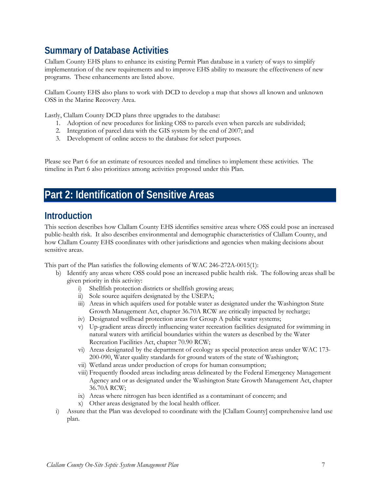## **Summary of Database Activities**

Clallam County EHS plans to enhance its existing Permit Plan database in a variety of ways to simplify implementation of the new requirements and to improve EHS ability to measure the effectiveness of new programs. These enhancements are listed above.

Clallam County EHS also plans to work with DCD to develop a map that shows all known and unknown OSS in the Marine Recovery Area.

Lastly, Clallam County DCD plans three upgrades to the database:

- 1. Adoption of new procedures for linking OSS to parcels even when parcels are subdivided;
- 2. Integration of parcel data with the GIS system by the end of 2007; and
- 3. Development of online access to the database for select purposes.

Please see Part 6 for an estimate of resources needed and timelines to implement these activities. The timeline in Part 6 also prioritizes among activities proposed under this Plan.

## **Part 2: Identification of Sensitive Areas**

### **Introduction**

This section describes how Clallam County EHS identifies sensitive areas where OSS could pose an increased public-health risk. It also describes environmental and demographic characteristics of Clallam County, and how Clallam County EHS coordinates with other jurisdictions and agencies when making decisions about sensitive areas.

This part of the Plan satisfies the following elements of WAC 246-272A-0015(1):

- b) Identify any areas where OSS could pose an increased public health risk. The following areas shall be given priority in this activity:
	- i) Shellfish protection districts or shellfish growing areas;
	- ii) Sole source aquifers designated by the USEPA;
	- iii) Areas in which aquifers used for potable water as designated under the Washington State Growth Management Act, chapter 36.70A RCW are critically impacted by recharge;
	- iv) Designated wellhead protection areas for Group A public water systems;
	- v) Up-gradient areas directly influencing water recreation facilities designated for swimming in natural waters with artificial boundaries within the waters as described by the Water Recreation Facilities Act, chapter 70.90 RCW;
	- vi) Areas designated by the department of ecology as special protection areas under WAC 173- 200-090, Water quality standards for ground waters of the state of Washington;
	- vii) Wetland areas under production of crops for human consumption;
	- viii) Frequently flooded areas including areas delineated by the Federal Emergency Management Agency and or as designated under the Washington State Growth Management Act, chapter 36.70A RCW;
	- ix) Areas where nitrogen has been identified as a contaminant of concern; and
	- x) Other areas designated by the local health officer.
- i) Assure that the Plan was developed to coordinate with the [Clallam County] comprehensive land use plan.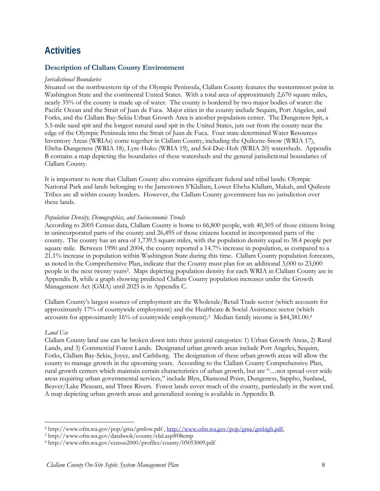## **Activities**

#### **Description of Clallam County Environment**

#### *Jurisdictional Boundaries*

Situated on the northwestern tip of the Olympic Peninsula, Clallam County features the westernmost point in Washington State and the continental United States. With a total area of approximately 2,670 square miles, nearly 35% of the county is made up of water. The county is bordered by two major bodies of water: the Pacific Ocean and the Strait of Juan de Fuca. Major cities in the county include Sequim, Port Angeles, and Forks, and the Clallam Bay-Sekiu Urban Growth Area is another population center. The Dungeness Spit, a 5.5-mile sand spit and the longest natural sand spit in the United States, juts out from the county near the edge of the Olympic Peninsula into the Strait of Juan de Fuca. Four state-determined Water Resources Inventory Areas (WRIAs) come together in Clallam County, including the Quilcene-Snow (WRIA 17), Elwha-Dungeness (WRIA 18), Lyre-Hoko (WRIA 19), and Sol-Duc-Hoh (WRIA 20) watersheds. Appendix B contains a map depicting the boundaries of these watersheds and the general jurisdictional boundaries of Clallam County.

It is important to note that Clallam County also contains significant federal and tribal lands: Olympic National Park and lands belonging to the Jamestown S'Klallam, Lower Elwha Klallam, Makah, and Quileute Tribes are all within county borders. However, the Clallam County government has no jurisdiction over these lands.

#### *Population Density, Demographics, and Socioeconomic Trends*

According to 2005 Census data, Clallam County is home to 66,800 people, with 40,305 of those citizens living in unincorporated parts of the county and 26,495 of those citizens located in incorporated parts of the county. The county has an area of 1,739.5 square miles, with the population density equal to 38.4 people per square mile. Between 1990 and 2004, the county reported a 14.7% increase in population, as compared to a 21.1% increase in population within Washington State during this time. Clallam County population forecasts, as noted in the Comprehensive Plan, indicate that the County must plan for an additional 3,000 to 23,000 people in the next twenty years2. Maps depicting population density for each WRIA in Clallam County are in Appendix B, while a graph showing predicted Clallam County population increases under the Growth Management Act (GMA) until 2025 is in Appendix C.

Clallam County's largest sources of employment are the Wholesale/Retail Trade sector (which accounts for approximately 17% of countywide employment) and the Healthcare & Social Assistance sector (which accounts for approximately 16% of countywide employment).3 Median family income is \$44,381.00.4

#### *Land Use*

Clallam County land use can be broken down into three general categories: 1) Urban Growth Areas, 2) Rural Lands, and 3) Commercial Forest Lands. Designated urban growth areas include Port Angeles, Sequim, Forks, Clallam Bay-Sekiu, Joyce, and Carlsborg. The designation of these urban growth areas will allow the county to manage growth in the upcoming years. According to the Clallam County Comprehensive Plan, rural growth centers which maintain certain characteristics of urban growth, but are "…not spread over wide areas requiring urban governmental services," include Blyn, Diamond Point, Dungeness, Sappho, Sunland, Beaver/Lake Pleasant, and Three Rivers. Forest lands cover much of the county, particularly in the west end. A map depicting urban growth areas and generalized zoning is available in Appendix B.

<sup>&</sup>lt;sup>2</sup> http://www.ofm.wa.gov/pop/gma/gmlow.pdf , <u>http://www.ofm.wa.gov/pop/gma/gmhigh.pdf</u>, 3 http://www.ofm.wa.gov/databook/county/clal.asp#08emp 4 http://www.ofm.wa.gov/census2000/profiles/county/05053009.pdf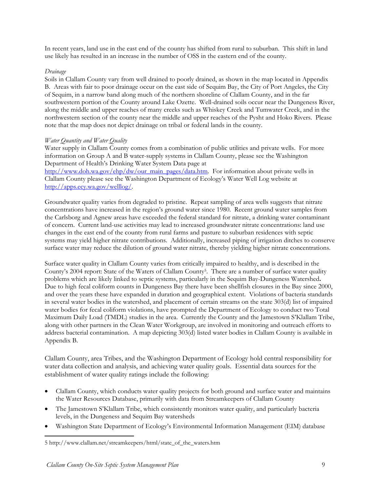In recent years, land use in the east end of the county has shifted from rural to suburban. This shift in land use likely has resulted in an increase in the number of OSS in the eastern end of the county.

#### *Drainage*

Soils in Clallam County vary from well drained to poorly drained, as shown in the map located in Appendix B. Areas with fair to poor drainage occur on the east side of Sequim Bay, the City of Port Angeles, the City of Sequim, in a narrow band along much of the northern shoreline of Clallam County, and in the far southwestern portion of the County around Lake Ozette. Well-drained soils occur near the Dungeness River, along the middle and upper reaches of many creeks such as Whiskey Creek and Tumwater Creek, and in the northwestern section of the county near the middle and upper reaches of the Pysht and Hoko Rivers. Please note that the map does not depict drainage on tribal or federal lands in the county.

#### *Water Quantity and Water Quality*

Water supply in Clallam County comes from a combination of public utilities and private wells. For more information on Group A and B water-supply systems in Clallam County, please see the Washington Department of Health's Drinking Water System Data page at

http://www.doh.wa.gov/ehp/dw/our\_main\_pages/data.htm. For information about private wells in Clallam County please see the Washington Department of Ecology's Water Well Log website at http://apps.ecy.wa.gov/welllog/.

Groundwater quality varies from degraded to pristine. Repeat sampling of area wells suggests that nitrate concentrations have increased in the region's ground water since 1980. Recent ground water samples from the Carlsborg and Agnew areas have exceeded the federal standard for nitrate, a drinking water contaminant of concern. Current land-use activities may lead to increased groundwater nitrate concentrations: land use changes in the east end of the county from rural farms and pasture to suburban residences with septic systems may yield higher nitrate contributions. Additionally, increased piping of irrigation ditches to conserve surface water may reduce the dilution of ground water nitrate, thereby yielding higher nitrate concentrations.

Surface water quality in Clallam County varies from critically impaired to healthy, and is described in the County's 2004 report: State of the Waters of Clallam County5. There are a number of surface water quality problems which are likely linked to septic systems, particularly in the Sequim Bay-Dungeness Watershed**.**  Due to high fecal coliform counts in Dungeness Bay there have been shellfish closures in the Bay since 2000, and over the years these have expanded in duration and geographical extent. Violations of bacteria standards in several water bodies in the watershed, and placement of certain streams on the state 303(d) list of impaired water bodies for fecal coliform violations, have prompted the Department of Ecology to conduct two Total Maximum Daily Load (TMDL) studies in the area. Currently the County and the Jamestown S'Klallam Tribe, along with other partners in the Clean Water Workgroup, are involved in monitoring and outreach efforts to address bacterial contamination. A map depicting 303(d) listed water bodies in Clallam County is available in Appendix B.

Clallam County, area Tribes, and the Washington Department of Ecology hold central responsibility for water data collection and analysis, and achieving water quality goals. Essential data sources for the establishment of water quality ratings include the following:

- Clallam County, which conducts water quality projects for both ground and surface water and maintains the Water Resources Database, primarily with data from Streamkeepers of Clallam County
- The Jamestown S'Klallam Tribe, which consistently monitors water quality, and particularly bacteria levels, in the Dungeness and Sequim Bay watersheds
- Washington State Department of Ecology's Environmental Information Management (EIM) database

 $\ddot{\phantom{a}}$ 

<sup>5</sup> http://www.clallam.net/streamkeepers/html/state\_of\_the\_waters.htm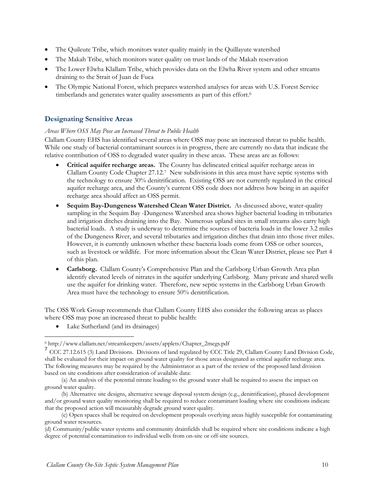- The Quileute Tribe, which monitors water quality mainly in the Quillayute watershed
- The Makah Tribe, which monitors water quality on trust lands of the Makah reservation
- The Lower Elwha Klallam Tribe, which provides data on the Elwha River system and other streams draining to the Strait of Juan de Fuca
- The Olympic National Forest, which prepares watershed analyses for areas with U.S. Forest Service timberlands and generates water quality assessments as part of this effort.<sup>6</sup>

#### **Designating Sensitive Areas**

#### *Areas Where OSS May Pose an Increased Threat to Public Health*

Clallam County EHS has identified several areas where OSS may pose an increased threat to public health. While one study of bacterial contaminant sources is in progress, there are currently no data that indicate the relative contribution of OSS to degraded water quality in these areas. These areas are as follows:

- **Critical aquifer recharge areas.** The County has delineated critical aquifer recharge areas in Clallam County Code Chapter 27.12.7 New subdivisions in this area must have septic systems with the technology to ensure 30% denitrification. Existing OSS are not currently regulated in the critical aquifer recharge area, and the County's current OSS code does not address how being in an aquifer recharge area should affect an OSS permit.
- **Sequim Bay-Dungeness Watershed Clean Water District.** As discussed above, water-quality sampling in the Sequim Bay -Dungeness Watershed area shows higher bacterial loading in tributaries and irrigation ditches draining into the Bay. Numerous upland sites in small streams also carry high bacterial loads. A study is underway to determine the sources of bacteria loads in the lower 3.2 miles of the Dungeness River, and several tributaries and irrigation ditches that drain into those river miles. However, it is currently unknown whether these bacteria loads come from OSS or other sources, such as livestock or wildlife. For more information about the Clean Water District, please see Part 4 of this plan.
- **Carlsborg.** Clallam County's Comprehensive Plan and the Carlsborg Urban Growth Area plan identify elevated levels of nitrates in the aquifer underlying Carlsborg. Many private and shared wells use the aquifer for drinking water. Therefore, new septic systems in the Carlsborg Urban Growth Area must have the technology to ensure 50% denitrification.

The OSS Work Group recommends that Clallam County EHS also consider the following areas as places where OSS may pose an increased threat to public health:

• Lake Sutherland (and its drainages)

 <sup>6</sup> http://www.clallam.net/streamkeepers/assets/applets/Chapter\_2megs.pdf

<sup>7</sup> CCC 27.12.615 (3) Land Divisions. Divisions of land regulated by CCC Title 29, Clallam County Land Division Code, shall be evaluated for their impact on ground water quality for those areas designated as critical aquifer recharge area. The following measures may be required by the Administrator as a part of the review of the proposed land division based on site conditions after consideration of available data:

<sup>(</sup>a) An analysis of the potential nitrate loading to the ground water shall be required to assess the impact on ground water quality.

<sup>(</sup>b) Alternative site designs, alternative sewage disposal system design (e.g., denitrification), phased development and/or ground water quality monitoring shall be required to reduce contaminant loading where site conditions indicate that the proposed action will measurably degrade ground water quality.

<sup>(</sup>c) Open spaces shall be required on development proposals overlying areas highly susceptible for contaminating ground water resources.

<sup>(</sup>d) Community/public water systems and community drainfields shall be required where site conditions indicate a high degree of potential contamination to individual wells from on-site or off-site sources.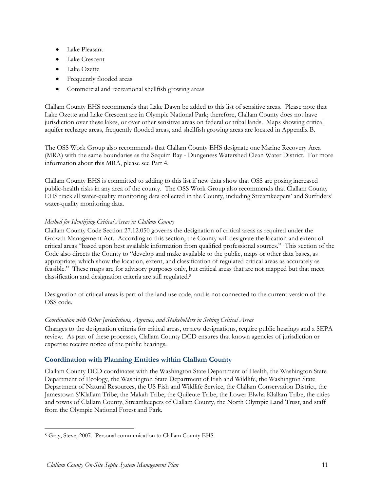- Lake Pleasant
- Lake Crescent
- Lake Ozette
- Frequently flooded areas
- Commercial and recreational shellfish growing areas

Clallam County EHS recommends that Lake Dawn be added to this list of sensitive areas. Please note that Lake Ozette and Lake Crescent are in Olympic National Park; therefore, Clallam County does not have jurisdiction over these lakes, or over other sensitive areas on federal or tribal lands. Maps showing critical aquifer recharge areas, frequently flooded areas, and shellfish growing areas are located in Appendix B.

The OSS Work Group also recommends that Clallam County EHS designate one Marine Recovery Area (MRA) with the same boundaries as the Sequim Bay - Dungeness Watershed Clean Water District. For more information about this MRA, please see Part 4.

Clallam County EHS is committed to adding to this list if new data show that OSS are posing increased public-health risks in any area of the county. The OSS Work Group also recommends that Clallam County EHS track all water-quality monitoring data collected in the County, including Streamkeepers' and Surfriders' water-quality monitoring data.

#### *Method for Identifying Critical Areas in Clallam County*

Clallam County Code Section 27.12.050 governs the designation of critical areas as required under the Growth Management Act. According to this section, the County will designate the location and extent of critical areas "based upon best available information from qualified professional sources." This section of the Code also directs the County to "develop and make available to the public, maps or other data bases, as appropriate, which show the location, extent, and classification of regulated critical areas as accurately as feasible." These maps are for advisory purposes only, but critical areas that are not mapped but that meet classification and designation criteria are still regulated.8

Designation of critical areas is part of the land use code, and is not connected to the current version of the OSS code.

#### *Coordination with Other Jurisdictions, Agencies, and Stakeholders in Setting Critical Areas*

Changes to the designation criteria for critical areas, or new designations, require public hearings and a SEPA review. As part of these processes, Clallam County DCD ensures that known agencies of jurisdiction or expertise receive notice of the public hearings.

### **Coordination with Planning Entities within Clallam County**

Clallam County DCD coordinates with the Washington State Department of Health, the Washington State Department of Ecology, the Washington State Department of Fish and Wildlife, the Washington State Department of Natural Resources, the US Fish and Wildlife Service, the Clallam Conservation District, the Jamestown S'Klallam Tribe, the Makah Tribe, the Quileute Tribe, the Lower Elwha Klallam Tribe, the cities and towns of Clallam County, Streamkeepers of Clallam County, the North Olympic Land Trust, and staff from the Olympic National Forest and Park.

 <sup>8</sup> Gray, Steve, 2007. Personal communication to Clallam County EHS.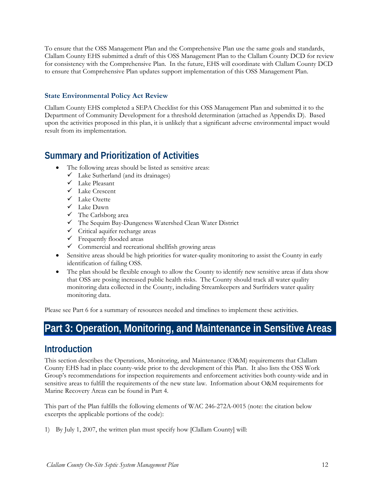To ensure that the OSS Management Plan and the Comprehensive Plan use the same goals and standards, Clallam County EHS submitted a draft of this OSS Management Plan to the Clallam County DCD for review for consistency with the Comprehensive Plan. In the future, EHS will coordinate with Clallam County DCD to ensure that Comprehensive Plan updates support implementation of this OSS Management Plan.

#### **State Environmental Policy Act Review**

Clallam County EHS completed a SEPA Checklist for this OSS Management Plan and submitted it to the Department of Community Development for a threshold determination (attached as Appendix D). Based upon the activities proposed in this plan, it is unlikely that a significant adverse environmental impact would result from its implementation.

### **Summary and Prioritization of Activities**

- The following areas should be listed as sensitive areas:
	- $\checkmark$  Lake Sutherland (and its drainages)
	- $\checkmark$  Lake Pleasant
	- $\checkmark$  Lake Crescent
	- $\checkmark$  Lake Ozette
	- $\checkmark$  Lake Dawn
	- $\checkmark$  The Carlsborg area
	- $\checkmark$  The Sequim Bay-Dungeness Watershed Clean Water District
	- $\checkmark$  Critical aquifer recharge areas
	- $\checkmark$  Frequently flooded areas
	- $\checkmark$  Commercial and recreational shellfish growing areas
- Sensitive areas should be high priorities for water-quality monitoring to assist the County in early identification of failing OSS.
- The plan should be flexible enough to allow the County to identify new sensitive areas if data show that OSS are posing increased public health risks. The County should track all water quality monitoring data collected in the County, including Streamkeepers and Surfriders water quality monitoring data.

Please see Part 6 for a summary of resources needed and timelines to implement these activities.

## **Part 3: Operation, Monitoring, and Maintenance in Sensitive Areas**

### **Introduction**

This section describes the Operations, Monitoring, and Maintenance (O&M) requirements that Clallam County EHS had in place county-wide prior to the development of this Plan. It also lists the OSS Work Group's recommendations for inspection requirements and enforcement activities both county-wide and in sensitive areas to fulfill the requirements of the new state law. Information about O&M requirements for Marine Recovery Areas can be found in Part 4.

This part of the Plan fulfills the following elements of WAC 246-272A-0015 (note: the citation below excerpts the applicable portions of the code):

1) By July 1, 2007, the written plan must specify how [Clallam County] will: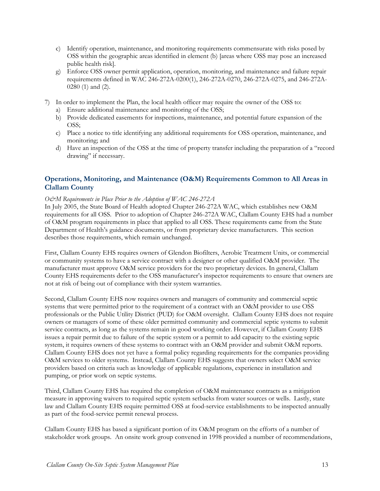- c) Identify operation, maintenance, and monitoring requirements commensurate with risks posed by OSS within the geographic areas identified in element (b) [areas where OSS may pose an increased public health risk].
- g) Enforce OSS owner permit application, operation, monitoring, and maintenance and failure repair requirements defined in WAC 246-272A-0200(1), 246-272A-0270, 246-272A-0275, and 246-272A-0280 (1) and (2).
- 7) In order to implement the Plan, the local health officer may require the owner of the OSS to:
	- a) Ensure additional maintenance and monitoring of the OSS;
	- b) Provide dedicated easements for inspections, maintenance, and potential future expansion of the OSS;
	- c) Place a notice to title identifying any additional requirements for OSS operation, maintenance, and monitoring; and
	- d) Have an inspection of the OSS at the time of property transfer including the preparation of a "record drawing" if necessary.

### **Operations, Monitoring, and Maintenance (O&M) Requirements Common to All Areas in Clallam County**

#### *O&M Requirements in Place Prior to the Adoption of WAC 246-272A*

In July 2005, the State Board of Health adopted Chapter 246-272A WAC, which establishes new O&M requirements for all OSS. Prior to adoption of Chapter 246-272A WAC, Clallam County EHS had a number of O&M program requirements in place that applied to all OSS. These requirements came from the State Department of Health's guidance documents, or from proprietary device manufacturers. This section describes those requirements, which remain unchanged.

First, Clallam County EHS requires owners of Glendon Biofilters, Aerobic Treatment Units, or commercial or community systems to have a service contract with a designer or other qualified O&M provider. The manufacturer must approve O&M service providers for the two proprietary devices. In general, Clallam County EHS requirements defer to the OSS manufacturer's inspector requirements to ensure that owners are not at risk of being out of compliance with their system warranties.

Second, Clallam County EHS now requires owners and managers of community and commercial septic systems that were permitted prior to the requirement of a contract with an O&M provider to use OSS professionals or the Public Utility District (PUD) for O&M oversight. Clallam County EHS does not require owners or managers of some of these older permitted community and commercial septic systems to submit service contracts, as long as the systems remain in good working order. However, if Clallam County EHS issues a repair permit due to failure of the septic system or a permit to add capacity to the existing septic system, it requires owners of these systems to contract with an O&M provider and submit O&M reports. Clallam County EHS does not yet have a formal policy regarding requirements for the companies providing O&M services to older systems. Instead, Clallam County EHS suggests that owners select O&M service providers based on criteria such as knowledge of applicable regulations, experience in installation and pumping, or prior work on septic systems.

Third, Clallam County EHS has required the completion of O&M maintenance contracts as a mitigation measure in approving waivers to required septic system setbacks from water sources or wells. Lastly, state law and Clallam County EHS require permitted OSS at food-service establishments to be inspected annually as part of the food-service permit renewal process.

Clallam County EHS has based a significant portion of its O&M program on the efforts of a number of stakeholder work groups. An onsite work group convened in 1998 provided a number of recommendations,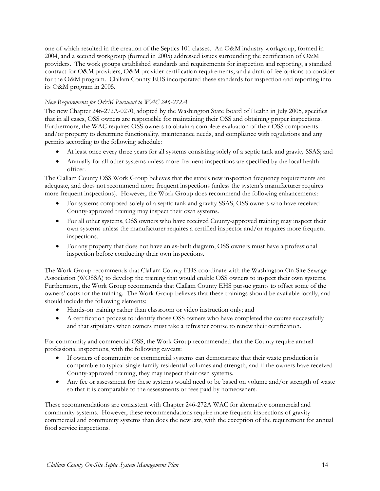one of which resulted in the creation of the Septics 101 classes. An O&M industry workgroup, formed in 2004, and a second workgroup (formed in 2005) addressed issues surrounding the certification of O&M providers. The work groups established standards and requirements for inspection and reporting, a standard contract for O&M providers, O&M provider certification requirements, and a draft of fee options to consider for the O&M program. Clallam County EHS incorporated these standards for inspection and reporting into its O&M program in 2005.

#### *New Requirements for O&M Pursuant to WAC 246-272A*

The new Chapter 246-272A-0270, adopted by the Washington State Board of Health in July 2005, specifies that in all cases, OSS owners are responsible for maintaining their OSS and obtaining proper inspections. Furthermore, the WAC requires OSS owners to obtain a complete evaluation of their OSS components and/or property to determine functionality, maintenance needs, and compliance with regulations and any permits according to the following schedule:

- At least once every three years for all systems consisting solely of a septic tank and gravity SSAS; and
- Annually for all other systems unless more frequent inspections are specified by the local health officer.

The Clallam County OSS Work Group believes that the state's new inspection frequency requirements are adequate, and does not recommend more frequent inspections (unless the system's manufacturer requires more frequent inspections). However, the Work Group does recommend the following enhancements:

- For systems composed solely of a septic tank and gravity SSAS, OSS owners who have received County-approved training may inspect their own systems.
- For all other systems, OSS owners who have received County-approved training may inspect their own systems unless the manufacturer requires a certified inspector and/or requires more frequent inspections.
- For any property that does not have an as-built diagram, OSS owners must have a professional inspection before conducting their own inspections.

The Work Group recommends that Clallam County EHS coordinate with the Washington On-Site Sewage Association (WOSSA) to develop the training that would enable OSS owners to inspect their own systems. Furthermore, the Work Group recommends that Clallam County EHS pursue grants to offset some of the owners' costs for the training. The Work Group believes that these trainings should be available locally, and should include the following elements:

- Hands-on training rather than classroom or video instruction only; and
- A certification process to identify those OSS owners who have completed the course successfully and that stipulates when owners must take a refresher course to renew their certification.

For community and commercial OSS, the Work Group recommended that the County require annual professional inspections, with the following caveats:

- If owners of community or commercial systems can demonstrate that their waste production is comparable to typical single-family residential volumes and strength, and if the owners have received County-approved training, they may inspect their own systems.
- Any fee or assessment for these systems would need to be based on volume and/or strength of waste so that it is comparable to the assessments or fees paid by homeowners.

These recommendations are consistent with Chapter 246-272A WAC for alternative commercial and community systems. However, these recommendations require more frequent inspections of gravity commercial and community systems than does the new law, with the exception of the requirement for annual food service inspections.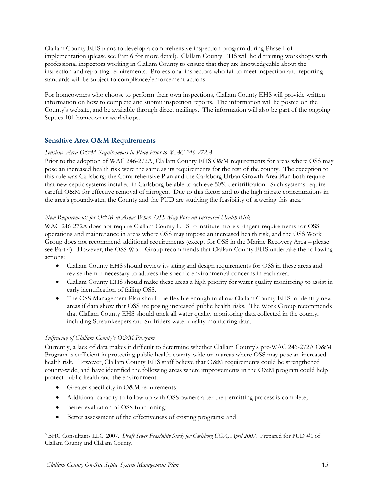Clallam County EHS plans to develop a comprehensive inspection program during Phase I of implementation (please see Part 6 for more detail). Clallam County EHS will hold training workshops with professional inspectors working in Clallam County to ensure that they are knowledgeable about the inspection and reporting requirements. Professional inspectors who fail to meet inspection and reporting standards will be subject to compliance/enforcement actions.

For homeowners who choose to perform their own inspections, Clallam County EHS will provide written information on how to complete and submit inspection reports. The information will be posted on the County's website, and be available through direct mailings. The information will also be part of the ongoing Septics 101 homeowner workshops.

### **Sensitive Area O&M Requirements**

#### *Sensitive Area O&M Requirements in Place Prior to WAC 246-272A*

Prior to the adoption of WAC 246-272A, Clallam County EHS O&M requirements for areas where OSS may pose an increased health risk were the same as its requirements for the rest of the county. The exception to this rule was Carlsborg: the Comprehensive Plan and the Carlsborg Urban Growth Area Plan both require that new septic systems installed in Carlsborg be able to achieve 50% denitrification. Such systems require careful O&M for effective removal of nitrogen. Due to this factor and to the high nitrate concentrations in the area's groundwater, the County and the PUD are studying the feasibility of sewering this area.<sup>9</sup>

#### *New Requirements for O&M in Areas Where OSS May Pose an Increased Health Risk*

WAC 246-272A does not require Clallam County EHS to institute more stringent requirements for OSS operations and maintenance in areas where OSS may impose an increased health risk, and the OSS Work Group does not recommend additional requirements (except for OSS in the Marine Recovery Area – please see Part 4). However, the OSS Work Group recommends that Clallam County EHS undertake the following actions:

- Clallam County EHS should review its siting and design requirements for OSS in these areas and revise them if necessary to address the specific environmental concerns in each area.
- Clallam County EHS should make these areas a high priority for water quality monitoring to assist in early identification of failing OSS.
- The OSS Management Plan should be flexible enough to allow Clallam County EHS to identify new areas if data show that OSS are posing increased public health risks. The Work Group recommends that Clallam County EHS should track all water quality monitoring data collected in the county, including Streamkeepers and Surfriders water quality monitoring data.

#### *Sufficiency of Clallam County's O&M Program*

Currently, a lack of data makes it difficult to determine whether Clallam County's pre-WAC 246-272A O&M Program is sufficient in protecting public health county-wide or in areas where OSS may pose an increased health risk. However, Clallam County EHS staff believe that O&M requirements could be strengthened county-wide, and have identified the following areas where improvements in the O&M program could help protect public health and the environment:

- Greater specificity in O&M requirements;
- Additional capacity to follow up with OSS owners after the permitting process is complete;
- Better evaluation of OSS functioning;
- Better assessment of the effectiveness of existing programs; and

 <sup>9</sup> BHC Consultants LLC, 2007. *Draft Sewer Feasibility Study for Carlsborg UGA, April 2007*. Prepared for PUD #1 of Clallam County and Clallam County.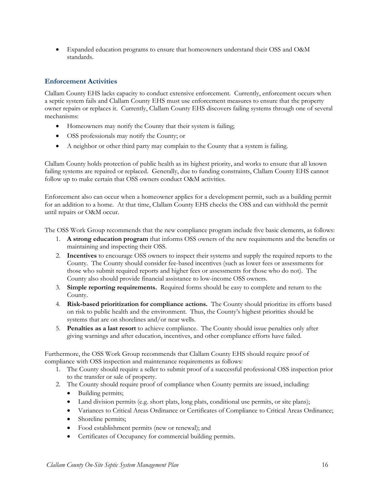• Expanded education programs to ensure that homeowners understand their OSS and O&M standards.

### **Enforcement Activities**

Clallam County EHS lacks capacity to conduct extensive enforcement. Currently, enforcement occurs when a septic system fails and Clallam County EHS must use enforcement measures to ensure that the property owner repairs or replaces it. Currently, Clallam County EHS discovers failing systems through one of several mechanisms:

- Homeowners may notify the County that their system is failing;
- OSS professionals may notify the County; or
- A neighbor or other third party may complain to the County that a system is failing.

Clallam County holds protection of public health as its highest priority, and works to ensure that all known failing systems are repaired or replaced. Generally, due to funding constraints, Clallam County EHS cannot follow up to make certain that OSS owners conduct O&M activities.

Enforcement also can occur when a homeowner applies for a development permit, such as a building permit for an addition to a home. At that time, Clallam County EHS checks the OSS and can withhold the permit until repairs or O&M occur.

The OSS Work Group recommends that the new compliance program include five basic elements, as follows:

- 1. **A strong education program** that informs OSS owners of the new requirements and the benefits or maintaining and inspecting their OSS.
- 2. **Incentives** to encourage OSS owners to inspect their systems and supply the required reports to the County. The County should consider fee-based incentives (such as lower fees or assessments for those who submit required reports and higher fees or assessments for those who do not). The County also should provide financial assistance to low-income OSS owners.
- 3. **Simple reporting requirements.** Required forms should be easy to complete and return to the County.
- 4. **Risk-based prioritization for compliance actions.** The County should prioritize its efforts based on risk to public health and the environment. Thus, the County's highest priorities should be systems that are on shorelines and/or near wells.
- 5. **Penalties as a last resort** to achieve compliance. The County should issue penalties only after giving warnings and after education, incentives, and other compliance efforts have failed.

Furthermore, the OSS Work Group recommends that Clallam County EHS should require proof of compliance with OSS inspection and maintenance requirements as follows:

- 1. The County should require a seller to submit proof of a successful professional OSS inspection prior to the transfer or sale of property.
- 2. The County should require proof of compliance when County permits are issued, including:
	- Building permits;
	- Land division permits (e.g. short plats, long plats, conditional use permits, or site plans);
	- Variances to Critical Areas Ordinance or Certificates of Compliance to Critical Areas Ordinance;
	- Shoreline permits;
	- Food establishment permits (new or renewal); and
	- Certificates of Occupancy for commercial building permits.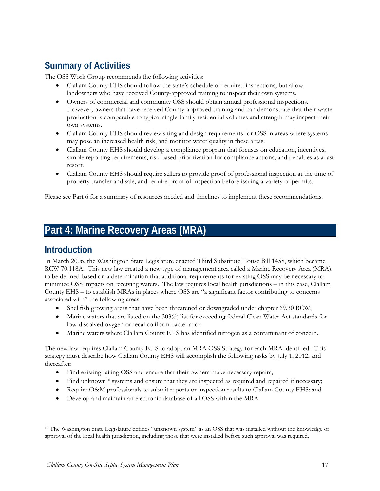## **Summary of Activities**

The OSS Work Group recommends the following activities:

- Clallam County EHS should follow the state's schedule of required inspections, but allow landowners who have received County-approved training to inspect their own systems.
- Owners of commercial and community OSS should obtain annual professional inspections. However, owners that have received County-approved training and can demonstrate that their waste production is comparable to typical single-family residential volumes and strength may inspect their own systems.
- Clallam County EHS should review siting and design requirements for OSS in areas where systems may pose an increased health risk, and monitor water quality in these areas.
- Clallam County EHS should develop a compliance program that focuses on education, incentives, simple reporting requirements, risk-based prioritization for compliance actions, and penalties as a last resort.
- Clallam County EHS should require sellers to provide proof of professional inspection at the time of property transfer and sale, and require proof of inspection before issuing a variety of permits.

Please see Part 6 for a summary of resources needed and timelines to implement these recommendations.

## **Part 4: Marine Recovery Areas (MRA)**

## **Introduction**

In March 2006, the Washington State Legislature enacted Third Substitute House Bill 1458, which became RCW 70.118A. This new law created a new type of management area called a Marine Recovery Area (MRA), to be defined based on a determination that additional requirements for existing OSS may be necessary to minimize OSS impacts on receiving waters. The law requires local health jurisdictions – in this case, Clallam County EHS – to establish MRAs in places where OSS are "a significant factor contributing to concerns associated with" the following areas:

- Shellfish growing areas that have been threatened or downgraded under chapter 69.30 RCW;
- Marine waters that are listed on the 303(d) list for exceeding federal Clean Water Act standards for low-dissolved oxygen or fecal coliform bacteria; or
- Marine waters where Clallam County EHS has identified nitrogen as a contaminant of concern.

The new law requires Clallam County EHS to adopt an MRA OSS Strategy for each MRA identified. This strategy must describe how Clallam County EHS will accomplish the following tasks by July 1, 2012, and thereafter:

- Find existing failing OSS and ensure that their owners make necessary repairs;
- Find unknown<sup>10</sup> systems and ensure that they are inspected as required and repaired if necessary;
- Require O&M professionals to submit reports or inspection results to Clallam County EHS; and
- Develop and maintain an electronic database of all OSS within the MRA.

<sup>&</sup>lt;sup>10</sup> The Washington State Legislature defines "unknown system" as an OSS that was installed without the knowledge or approval of the local health jurisdiction, including those that were installed before such approval was required.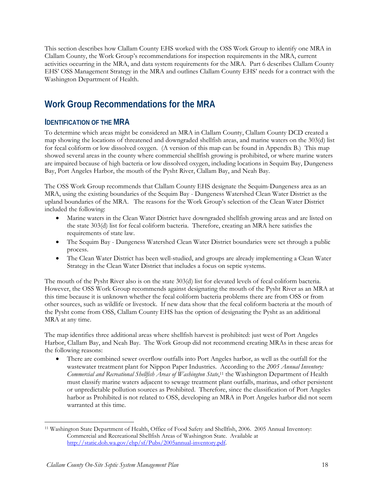This section describes how Clallam County EHS worked with the OSS Work Group to identify one MRA in Clallam County, the Work Group's recommendations for inspection requirements in the MRA, current activities occurring in the MRA, and data system requirements for the MRA. Part 6 describes Clallam County EHS' OSS Management Strategy in the MRA and outlines Clallam County EHS' needs for a contract with the Washington Department of Health.

## **Work Group Recommendations for the MRA**

### **IDENTIFICATION OF THE MRA**

To determine which areas might be considered an MRA in Clallam County, Clallam County DCD created a map showing the locations of threatened and downgraded shellfish areas, and marine waters on the 303(d) list for fecal coliform or low dissolved oxygen. (A version of this map can be found in Appendix B.) This map showed several areas in the county where commercial shellfish growing is prohibited, or where marine waters are impaired because of high bacteria or low dissolved oxygen, including locations in Sequim Bay, Dungeness Bay, Port Angeles Harbor, the mouth of the Pysht River, Clallam Bay, and Neah Bay.

The OSS Work Group recommends that Clallam County EHS designate the Sequim-Dungeness area as an MRA, using the existing boundaries of the Sequim Bay - Dungeness Watershed Clean Water District as the upland boundaries of the MRA. The reasons for the Work Group's selection of the Clean Water District included the following:

- Marine waters in the Clean Water District have downgraded shellfish growing areas and are listed on the state 303(d) list for fecal coliform bacteria. Therefore, creating an MRA here satisfies the requirements of state law.
- The Sequim Bay Dungeness Watershed Clean Water District boundaries were set through a public process.
- The Clean Water District has been well-studied, and groups are already implementing a Clean Water Strategy in the Clean Water District that includes a focus on septic systems.

The mouth of the Pysht River also is on the state 303(d) list for elevated levels of fecal coliform bacteria. However, the OSS Work Group recommends against designating the mouth of the Pysht River as an MRA at this time because it is unknown whether the fecal coliform bacteria problems there are from OSS or from other sources, such as wildlife or livestock. If new data show that the fecal coliform bacteria at the mouth of the Pysht come from OSS, Clallam County EHS has the option of designating the Pysht as an additional MRA at any time.

The map identifies three additional areas where shellfish harvest is prohibited: just west of Port Angeles Harbor, Clallam Bay, and Neah Bay. The Work Group did not recommend creating MRAs in these areas for the following reasons:

• There are combined sewer overflow outfalls into Port Angeles harbor, as well as the outfall for the wastewater treatment plant for Nippon Paper Industries. According to the *2005 Annual Inventory: Commercial and Recreational Shellfish Areas of Washington State*, 11 the Washington Department of Health must classify marine waters adjacent to sewage treatment plant outfalls, marinas, and other persistent or unpredictable pollution sources as Prohibited. Therefore, since the classification of Port Angeles harbor as Prohibited is not related to OSS, developing an MRA in Port Angeles harbor did not seem warranted at this time.

 <sup>11</sup> Washington State Department of Health, Office of Food Safety and Shellfish, 2006. 2005 Annual Inventory: Commercial and Recreational Shellfish Areas of Washington State. Available at http://static.doh.wa.gov/ehp/sf/Pubs/2005annual-inventory.pdf.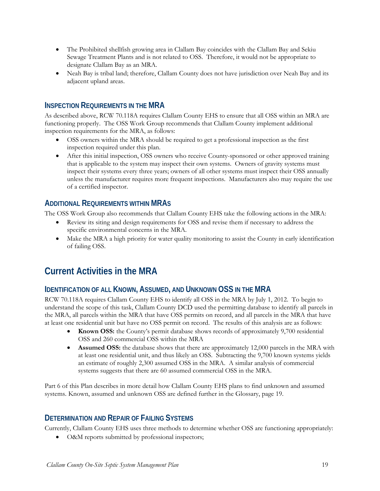- The Prohibited shellfish growing area in Clallam Bay coincides with the Clallam Bay and Sekiu Sewage Treatment Plants and is not related to OSS. Therefore, it would not be appropriate to designate Clallam Bay as an MRA.
- Neah Bay is tribal land; therefore, Clallam County does not have jurisdiction over Neah Bay and its adjacent upland areas.

### **INSPECTION REQUIREMENTS IN THE MRA**

As described above, RCW 70.118A requires Clallam County EHS to ensure that all OSS within an MRA are functioning properly. The OSS Work Group recommends that Clallam County implement additional inspection requirements for the MRA, as follows:

- OSS owners within the MRA should be required to get a professional inspection as the first inspection required under this plan.
- After this initial inspection, OSS owners who receive County-sponsored or other approved training that is applicable to the system may inspect their own systems. Owners of gravity systems must inspect their systems every three years; owners of all other systems must inspect their OSS annually unless the manufacturer requires more frequent inspections. Manufacturers also may require the use of a certified inspector.

### **ADDITIONAL REQUIREMENTS WITHIN MRAS**

The OSS Work Group also recommends that Clallam County EHS take the following actions in the MRA:

- Review its siting and design requirements for OSS and revise them if necessary to address the specific environmental concerns in the MRA.
- Make the MRA a high priority for water quality monitoring to assist the County in early identification of failing OSS.

## **Current Activities in the MRA**

### **IDENTIFICATION OF ALL KNOWN, ASSUMED, AND UNKNOWN OSS IN THE MRA**

RCW 70.118A requires Clallam County EHS to identify all OSS in the MRA by July 1, 2012. To begin to understand the scope of this task, Clallam County DCD used the permitting database to identify all parcels in the MRA, all parcels within the MRA that have OSS permits on record, and all parcels in the MRA that have at least one residential unit but have no OSS permit on record. The results of this analysis are as follows:

- **Known OSS:** the County's permit database shows records of approximately 9,700 residential OSS and 260 commercial OSS within the MRA
- **Assumed OSS:** the database shows that there are approximately 12,000 parcels in the MRA with at least one residential unit, and thus likely an OSS. Subtracting the 9,700 known systems yields an estimate of roughly 2,300 assumed OSS in the MRA. A similar analysis of commercial systems suggests that there are 60 assumed commercial OSS in the MRA.

Part 6 of this Plan describes in more detail how Clallam County EHS plans to find unknown and assumed systems. Known, assumed and unknown OSS are defined further in the Glossary, page 19.

### **DETERMINATION AND REPAIR OF FAILING SYSTEMS**

Currently, Clallam County EHS uses three methods to determine whether OSS are functioning appropriately:

• O&M reports submitted by professional inspectors;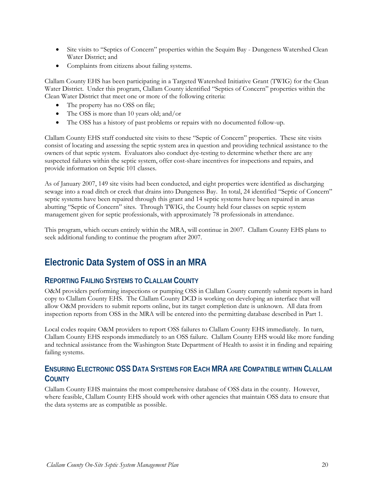- Site visits to "Septics of Concern" properties within the Sequim Bay Dungeness Watershed Clean Water District; and
- Complaints from citizens about failing systems.

Clallam County EHS has been participating in a Targeted Watershed Initiative Grant (TWIG) for the Clean Water District. Under this program, Clallam County identified "Septics of Concern" properties within the Clean Water District that meet one or more of the following criteria:

- The property has no OSS on file;
- The OSS is more than 10 years old; and/or
- The OSS has a history of past problems or repairs with no documented follow-up.

Clallam County EHS staff conducted site visits to these "Septic of Concern" properties. These site visits consist of locating and assessing the septic system area in question and providing technical assistance to the owners of that septic system. Evaluators also conduct dye-testing to determine whether there are any suspected failures within the septic system, offer cost-share incentives for inspections and repairs, and provide information on Septic 101 classes.

As of January 2007, 149 site visits had been conducted, and eight properties were identified as discharging sewage into a road ditch or creek that drains into Dungeness Bay. In total, 24 identified "Septic of Concern" septic systems have been repaired through this grant and 14 septic systems have been repaired in areas abutting "Septic of Concern" sites. Through TWIG, the County held four classes on septic system management given for septic professionals, with approximately 78 professionals in attendance.

This program, which occurs entirely within the MRA, will continue in 2007. Clallam County EHS plans to seek additional funding to continue the program after 2007.

## **Electronic Data System of OSS in an MRA**

### **REPORTING FAILING SYSTEMS TO CLALLAM COUNTY**

O&M providers performing inspections or pumping OSS in Clallam County currently submit reports in hard copy to Clallam County EHS. The Clallam County DCD is working on developing an interface that will allow O&M providers to submit reports online, but its target completion date is unknown. All data from inspection reports from OSS in the MRA will be entered into the permitting database described in Part 1.

Local codes require O&M providers to report OSS failures to Clallam County EHS immediately. In turn, Clallam County EHS responds immediately to an OSS failure. Clallam County EHS would like more funding and technical assistance from the Washington State Department of Health to assist it in finding and repairing failing systems.

### **ENSURING ELECTRONIC OSS DATA SYSTEMS FOR EACH MRA ARE COMPATIBLE WITHIN CLALLAM COUNTY**

Clallam County EHS maintains the most comprehensive database of OSS data in the county. However, where feasible, Clallam County EHS should work with other agencies that maintain OSS data to ensure that the data systems are as compatible as possible.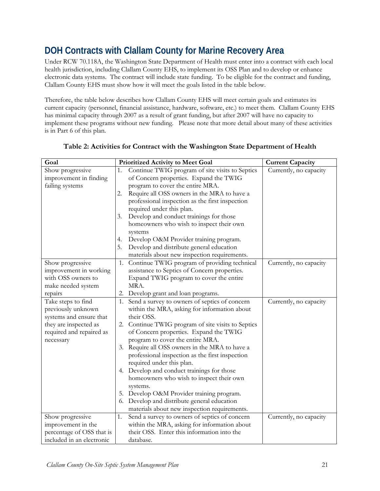## **DOH Contracts with Clallam County for Marine Recovery Area**

Under RCW 70.118A, the Washington State Department of Health must enter into a contract with each local health jurisdiction, including Clallam County EHS, to implement its OSS Plan and to develop or enhance electronic data systems. The contract will include state funding. To be eligible for the contract and funding, Clallam County EHS must show how it will meet the goals listed in the table below.

Therefore, the table below describes how Clallam County EHS will meet certain goals and estimates its current capacity (personnel, financial assistance, hardware, software, etc.) to meet them. Clallam County EHS has minimal capacity through 2007 as a result of grant funding, but after 2007 will have no capacity to implement these programs without new funding. Please note that more detail about many of these activities is in Part 6 of this plan.

| Goal                      | <b>Prioritized Activity to Meet Goal</b>              | <b>Current Capacity</b> |
|---------------------------|-------------------------------------------------------|-------------------------|
| Show progressive          | Continue TWIG program of site visits to Septics<br>1. | Currently, no capacity  |
| improvement in finding    | of Concern properties. Expand the TWIG                |                         |
| failing systems           | program to cover the entire MRA.                      |                         |
|                           | 2.<br>Require all OSS owners in the MRA to have a     |                         |
|                           | professional inspection as the first inspection       |                         |
|                           | required under this plan.                             |                         |
|                           | Develop and conduct trainings for those<br>3.         |                         |
|                           | homeowners who wish to inspect their own              |                         |
|                           | systems                                               |                         |
|                           | Develop O&M Provider training program.<br>4.          |                         |
|                           | Develop and distribute general education<br>5.        |                         |
|                           | materials about new inspection requirements.          |                         |
| Show progressive          | Continue TWIG program of providing technical<br>1.    | Currently, no capacity  |
| improvement in working    | assistance to Septics of Concern properties.          |                         |
| with OSS owners to        | Expand TWIG program to cover the entire               |                         |
| make needed system        | MRA.                                                  |                         |
| repairs                   | 2. Develop grant and loan programs.                   |                         |
| Take steps to find        | Send a survey to owners of septics of concern<br>1.   | Currently, no capacity  |
| previously unknown        | within the MRA, asking for information about          |                         |
| systems and ensure that   | their OSS.                                            |                         |
| they are inspected as     | 2. Continue TWIG program of site visits to Septics    |                         |
| required and repaired as  | of Concern properties. Expand the TWIG                |                         |
| necessary                 | program to cover the entire MRA.                      |                         |
|                           | 3. Require all OSS owners in the MRA to have a        |                         |
|                           | professional inspection as the first inspection       |                         |
|                           | required under this plan.                             |                         |
|                           | 4. Develop and conduct trainings for those            |                         |
|                           | homeowners who wish to inspect their own              |                         |
|                           | systems.                                              |                         |
|                           | 5. Develop O&M Provider training program.             |                         |
|                           | 6. Develop and distribute general education           |                         |
|                           | materials about new inspection requirements.          |                         |
| Show progressive          | Send a survey to owners of septics of concern<br>1.   | Currently, no capacity  |
| improvement in the        | within the MRA, asking for information about          |                         |
| percentage of OSS that is | their OSS. Enter this information into the            |                         |
| included in an electronic | database.                                             |                         |

### **Table 2: Activities for Contract with the Washington State Department of Health**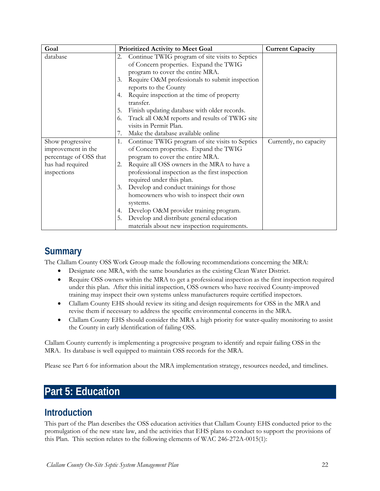| Goal                   | <b>Prioritized Activity to Meet Goal</b>              | <b>Current Capacity</b> |
|------------------------|-------------------------------------------------------|-------------------------|
| database               | Continue TWIG program of site visits to Septics<br>2. |                         |
|                        | of Concern properties. Expand the TWIG                |                         |
|                        | program to cover the entire MRA.                      |                         |
|                        | Require O&M professionals to submit inspection<br>3.  |                         |
|                        | reports to the County                                 |                         |
|                        | Require inspection at the time of property<br>4.      |                         |
|                        | transfer.                                             |                         |
|                        | Finish updating database with older records.<br>5.    |                         |
|                        | Track all O&M reports and results of TWIG site<br>6.  |                         |
|                        | visits in Permit Plan.                                |                         |
|                        | Make the database available online<br>7.              |                         |
| Show progressive       | Continue TWIG program of site visits to Septics<br>1. | Currently, no capacity  |
| improvement in the     | of Concern properties. Expand the TWIG                |                         |
| percentage of OSS that | program to cover the entire MRA.                      |                         |
| has had required       | Require all OSS owners in the MRA to have a<br>2.     |                         |
| inspections            | professional inspection as the first inspection       |                         |
|                        | required under this plan.                             |                         |
|                        | Develop and conduct trainings for those<br>3.         |                         |
|                        | homeowners who wish to inspect their own              |                         |
|                        | systems.                                              |                         |
|                        | Develop O&M provider training program.<br>4.          |                         |
|                        | Develop and distribute general education<br>5.        |                         |
|                        | materials about new inspection requirements.          |                         |

## **Summary**

The Clallam County OSS Work Group made the following recommendations concerning the MRA:

- Designate one MRA, with the same boundaries as the existing Clean Water District.
- Require OSS owners within the MRA to get a professional inspection as the first inspection required under this plan. After this initial inspection, OSS owners who have received County-improved training may inspect their own systems unless manufacturers require certified inspectors.
- Clallam County EHS should review its siting and design requirements for OSS in the MRA and revise them if necessary to address the specific environmental concerns in the MRA.
- Clallam County EHS should consider the MRA a high priority for water-quality monitoring to assist the County in early identification of failing OSS.

Clallam County currently is implementing a progressive program to identify and repair failing OSS in the MRA. Its database is well equipped to maintain OSS records for the MRA.

Please see Part 6 for information about the MRA implementation strategy, resources needed, and timelines.

## **Part 5: Education**

## **Introduction**

This part of the Plan describes the OSS education activities that Clallam County EHS conducted prior to the promulgation of the new state law, and the activities that EHS plans to conduct to support the provisions of this Plan. This section relates to the following elements of WAC 246-272A-0015(1):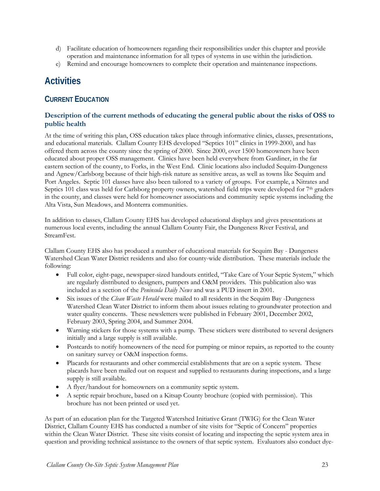- d) Facilitate education of homeowners regarding their responsibilities under this chapter and provide operation and maintenance information for all types of systems in use within the jurisdiction.
- e) Remind and encourage homeowners to complete their operation and maintenance inspections.

## **Activities**

### **CURRENT EDUCATION**

### **Description of the current methods of educating the general public about the risks of OSS to public health**

At the time of writing this plan, OSS education takes place through informative clinics, classes, presentations, and educational materials. Clallam County EHS developed "Septics 101" clinics in 1999-2000, and has offered them across the county since the spring of 2000. Since 2000, over 1500 homeowners have been educated about proper OSS management. Clinics have been held everywhere from Gardiner, in the far eastern section of the county, to Forks, in the West End. Clinic locations also included Sequim-Dungeness and Agnew/Carlsborg because of their high-risk nature as sensitive areas, as well as towns like Sequim and Port Angeles. Septic 101 classes have also been tailored to a variety of groups. For example, a Nitrates and Septics 101 class was held for Carlsborg property owners, watershed field trips were developed for 7th graders in the county, and classes were held for homeowner associations and community septic systems including the Alta Vista, Sun Meadows, and Monterra communities.

In addition to classes, Clallam County EHS has developed educational displays and gives presentations at numerous local events, including the annual Clallam County Fair, the Dungeness River Festival, and StreamFest.

Clallam County EHS also has produced a number of educational materials for Sequim Bay - Dungeness Watershed Clean Water District residents and also for county-wide distribution. These materials include the following:

- Full color, eight-page, newspaper-sized handouts entitled, "Take Care of Your Septic System," which are regularly distributed to designers, pumpers and O&M providers. This publication also was included as a section of the *Peninsula Daily News* and was a PUD insert in 2001.
- Six issues of the *Clean Waste Herald* were mailed to all residents in the Sequim Bay -Dungeness Watershed Clean Water District to inform them about issues relating to groundwater protection and water quality concerns. These newsletters were published in February 2001, December 2002, February 2003, Spring 2004, and Summer 2004.
- Warning stickers for those systems with a pump. These stickers were distributed to several designers initially and a large supply is still available.
- Postcards to notify homeowners of the need for pumping or minor repairs, as reported to the county on sanitary survey or O&M inspection forms.
- Placards for restaurants and other commercial establishments that are on a septic system. These placards have been mailed out on request and supplied to restaurants during inspections, and a large supply is still available.
- A flyer/handout for homeowners on a community septic system.
- A septic repair brochure, based on a Kitsap County brochure (copied with permission). This brochure has not been printed or used yet.

As part of an education plan for the Targeted Watershed Initiative Grant (TWIG) for the Clean Water District, Clallam County EHS has conducted a number of site visits for "Septic of Concern" properties within the Clean Water District. These site visits consist of locating and inspecting the septic system area in question and providing technical assistance to the owners of that septic system. Evaluators also conduct dye-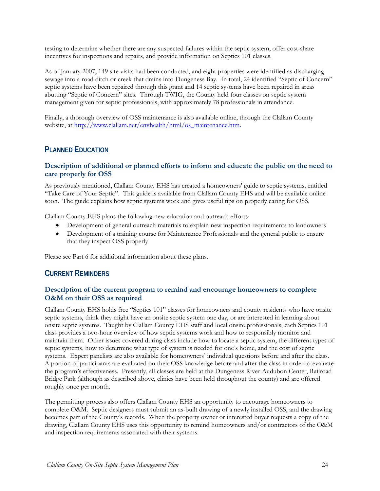testing to determine whether there are any suspected failures within the septic system, offer cost-share incentives for inspections and repairs, and provide information on Septics 101 classes.

As of January 2007, 149 site visits had been conducted, and eight properties were identified as discharging sewage into a road ditch or creek that drains into Dungeness Bay. In total, 24 identified "Septic of Concern" septic systems have been repaired through this grant and 14 septic systems have been repaired in areas abutting "Septic of Concern" sites. Through TWIG, the County held four classes on septic system management given for septic professionals, with approximately 78 professionals in attendance.

Finally, a thorough overview of OSS maintenance is also available online, through the Clallam County website, at http://www.clallam.net/envhealth/html/os\_maintenance.htm.

### **PLANNED EDUCATION**

### **Description of additional or planned efforts to inform and educate the public on the need to care properly for OSS**

As previously mentioned, Clallam County EHS has created a homeowners' guide to septic systems, entitled "Take Care of Your Septic". This guide is available from Clallam County EHS and will be available online soon. The guide explains how septic systems work and gives useful tips on properly caring for OSS.

Clallam County EHS plans the following new education and outreach efforts:

- Development of general outreach materials to explain new inspection requirements to landowners
- Development of a training course for Maintenance Professionals and the general public to ensure that they inspect OSS properly

Please see Part 6 for additional information about these plans.

### **CURRENT REMINDERS**

### **Description of the current program to remind and encourage homeowners to complete O&M on their OSS as required**

Clallam County EHS holds free "Septics 101" classes for homeowners and county residents who have onsite septic systems, think they might have an onsite septic system one day, or are interested in learning about onsite septic systems. Taught by Clallam County EHS staff and local onsite professionals, each Septics 101 class provides a two-hour overview of how septic systems work and how to responsibly monitor and maintain them. Other issues covered during class include how to locate a septic system, the different types of septic systems, how to determine what type of system is needed for one's home, and the cost of septic systems. Expert panelists are also available for homeowners' individual questions before and after the class. A portion of participants are evaluated on their OSS knowledge before and after the class in order to evaluate the program's effectiveness. Presently, all classes are held at the Dungeness River Audubon Center, Railroad Bridge Park (although as described above, clinics have been held throughout the county) and are offered roughly once per month.

The permitting process also offers Clallam County EHS an opportunity to encourage homeowners to complete O&M. Septic designers must submit an as-built drawing of a newly installed OSS, and the drawing becomes part of the County's records. When the property owner or interested buyer requests a copy of the drawing, Clallam County EHS uses this opportunity to remind homeowners and/or contractors of the O&M and inspection requirements associated with their systems.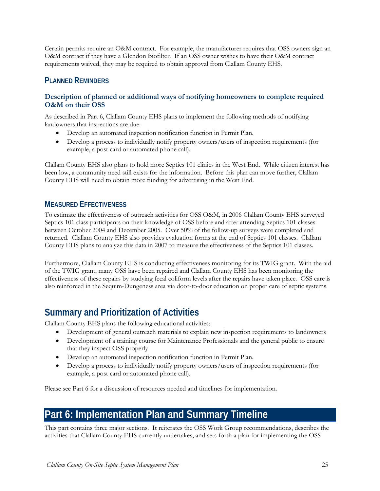Certain permits require an O&M contract. For example, the manufacturer requires that OSS owners sign an O&M contract if they have a Glendon Biofilter. If an OSS owner wishes to have their O&M contract requirements waived, they may be required to obtain approval from Clallam County EHS.

### **PLANNED REMINDERS**

### **Description of planned or additional ways of notifying homeowners to complete required O&M on their OSS**

As described in Part 6, Clallam County EHS plans to implement the following methods of notifying landowners that inspections are due:

- Develop an automated inspection notification function in Permit Plan.
- Develop a process to individually notify property owners/users of inspection requirements (for example, a post card or automated phone call).

Clallam County EHS also plans to hold more Septics 101 clinics in the West End. While citizen interest has been low, a community need still exists for the information. Before this plan can move further, Clallam County EHS will need to obtain more funding for advertising in the West End.

### **MEASURED EFFECTIVENESS**

To estimate the effectiveness of outreach activities for OSS O&M, in 2006 Clallam County EHS surveyed Septics 101 class participants on their knowledge of OSS before and after attending Septics 101 classes between October 2004 and December 2005. Over 50% of the follow-up surveys were completed and returned. Clallam County EHS also provides evaluation forms at the end of Septics 101 classes. Clallam County EHS plans to analyze this data in 2007 to measure the effectiveness of the Septics 101 classes.

Furthermore, Clallam County EHS is conducting effectiveness monitoring for its TWIG grant. With the aid of the TWIG grant, many OSS have been repaired and Clallam County EHS has been monitoring the effectiveness of these repairs by studying fecal coliform levels after the repairs have taken place. OSS care is also reinforced in the Sequim-Dungeness area via door-to-door education on proper care of septic systems.

## **Summary and Prioritization of Activities**

Clallam County EHS plans the following educational activities:

- Development of general outreach materials to explain new inspection requirements to landowners
- Development of a training course for Maintenance Professionals and the general public to ensure that they inspect OSS properly
- Develop an automated inspection notification function in Permit Plan.
- Develop a process to individually notify property owners/users of inspection requirements (for example, a post card or automated phone call).

Please see Part 6 for a discussion of resources needed and timelines for implementation.

## **Part 6: Implementation Plan and Summary Timeline**

This part contains three major sections. It reiterates the OSS Work Group recommendations, describes the activities that Clallam County EHS currently undertakes, and sets forth a plan for implementing the OSS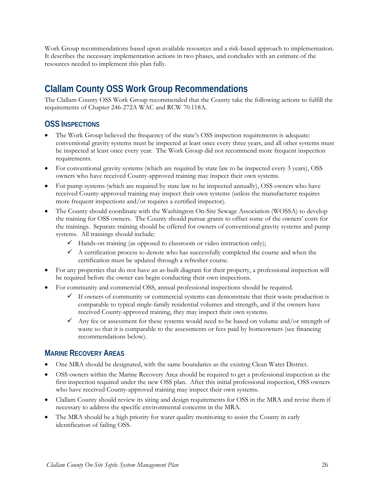Work Group recommendations based upon available resources and a risk-based approach to implementation. It describes the necessary implementation actions in two phases, and concludes with an estimate of the resources needed to implement this plan fully.

## **Clallam County OSS Work Group Recommendations**

The Clallam County OSS Work Group recommended that the County take the following actions to fulfill the requirements of Chapter 246-272A WAC and RCW 70.118A.

### **OSS INSPECTIONS**

- The Work Group believed the frequency of the state's OSS inspection requirements is adequate: conventional gravity systems must be inspected at least once every three years, and all other systems must be inspected at least once every year. The Work Group did not recommend more frequent inspection requirements.
- For conventional gravity systems (which are required by state law to be inspected every 3 years), OSS owners who have received County-approved training may inspect their own systems.
- For pump systems (which are required by state law to be inspected annually), OSS owners who have received County-approved training may inspect their own systems (unless the manufacturer requires more frequent inspections and/or requires a certified inspector).
- The County should coordinate with the Washington On-Site Sewage Association (WOSSA) to develop the training for OSS owners. The County should pursue grants to offset some of the owners' costs for the trainings. Separate training should be offered for owners of conventional gravity systems and pump systems. All trainings should include:
	- $\checkmark$  Hands-on training (as opposed to classroom or video instruction only);
	- $\checkmark$  A certification process to denote who has successfully completed the course and when the certification must be updated through a refresher course.
- For any properties that do not have an as-built diagram for their property, a professional inspection will be required before the owner can begin conducting their own inspections.
- For community and commercial OSS, annual professional inspections should be required.
	- $\checkmark$  If owners of community or commercial systems can demonstrate that their waste production is comparable to typical single-family residential volumes and strength, and if the owners have received County-approved training, they may inspect their own systems.
	- Any fee or assessment for these systems would need to be based on volume and/or strength of waste so that it is comparable to the assessments or fees paid by homeowners (see financing recommendations below).

### **MARINE RECOVERY AREAS**

- One MRA should be designated, with the same boundaries as the existing Clean Water District.
- OSS owners within the Marine Recovery Area should be required to get a professional inspection as the first inspection required under the new OSS plan. After this initial professional inspection, OSS owners who have received County-approved training may inspect their own systems.
- Clallam County should review its siting and design requirements for OSS in the MRA and revise them if necessary to address the specific environmental concerns in the MRA.
- The MRA should be a high priority for water quality monitoring to assist the County in early identification of failing OSS.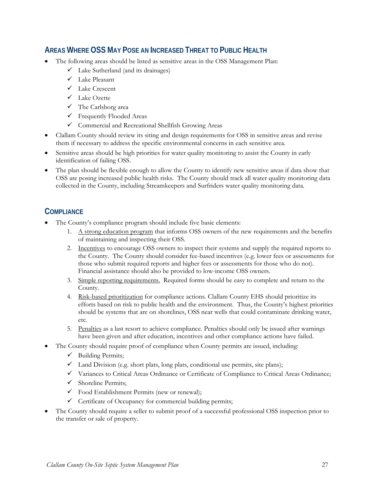### **AREAS WHERE OSS MAY POSE AN INCREASED THREAT TO PUBLIC HEALTH**

- The following areas should be listed as sensitive areas in the OSS Management Plan:
	- $\checkmark$  Lake Sutherland (and its drainages)
	- $\checkmark$  Lake Pleasant
	- $\checkmark$  Lake Crescent
	- $\checkmark$  Lake Ozette
	- $\checkmark$  The Carlsborg area
	- $\checkmark$  Frequently Flooded Areas
	- $\checkmark$  Commercial and Recreational Shellfish Growing Areas
- Clallam County should review its siting and design requirements for OSS in sensitive areas and revise them if necessary to address the specific environmental concerns in each sensitive area.
- Sensitive areas should be high priorities for water quality monitoring to assist the County in early identification of failing OSS.
- The plan should be flexible enough to allow the County to identify new sensitive areas if data show that OSS are posing increased public health risks. The County should track all water quality monitoring data collected in the County, including Streamkeepers and Surfriders water quality monitoring data.

### **COMPLIANCE**

- The County's compliance program should include five basic elements:
	- 1. A strong education program that informs OSS owners of the new requirements and the benefits of maintaining and inspecting their OSS.
	- 2. Incentives to encourage OSS owners to inspect their systems and supply the required reports to the County. The County should consider fee-based incentives (e.g. lower fees or assessments for those who submit required reports and higher fees or assessments for those who do not). Financial assistance should also be provided to low-income OSS owners.
	- 3. Simple reporting requirements. Required forms should be easy to complete and return to the County.
	- 4. Risk-based prioritization for compliance actions. Clallam County EHS should prioritize its efforts based on risk to public health and the environment. Thus, the County's highest priorities should be systems that are on shorelines, OSS near wells that could contaminate drinking water, etc.
	- 5. Penalties as a last resort to achieve compliance. Penalties should only be issued after warnings have been given and after education, incentives and other compliance actions have failed.
	- The County should require proof of compliance when County permits are issued, including:
		- $\checkmark$  Building Permits;
		- $\checkmark$  Land Division (e.g. short plats, long plats, conditional use permits, site plans);
		- 9 Variances to Critical Areas Ordinance or Certificate of Compliance to Critical Areas Ordinance;
		- $\checkmark$  Shoreline Permits;
		- $\checkmark$  Food Establishment Permits (new or renewal);
		- $\checkmark$  Certificate of Occupancy for commercial building permits;
- The County should require a seller to submit proof of a successful professional OSS inspection prior to the transfer or sale of property.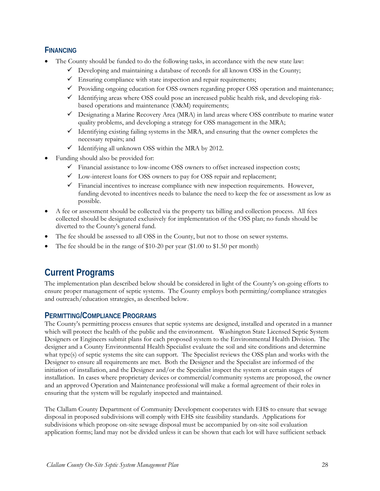#### **FINANCING**

- The County should be funded to do the following tasks, in accordance with the new state law:
	- $\checkmark$  Developing and maintaining a database of records for all known OSS in the County;
	- $\checkmark$  Ensuring compliance with state inspection and repair requirements;
	- $\checkmark$  Providing ongoing education for OSS owners regarding proper OSS operation and maintenance;
	- $\checkmark$  Identifying areas where OSS could pose an increased public health risk, and developing riskbased operations and maintenance (O&M) requirements;
	- $\checkmark$  Designating a Marine Recovery Area (MRA) in land areas where OSS contribute to marine water quality problems, and developing a strategy for OSS management in the MRA;
	- $\checkmark$  Identifying existing failing systems in the MRA, and ensuring that the owner completes the necessary repairs; and
	- $\checkmark$  Identifying all unknown OSS within the MRA by 2012.
- Funding should also be provided for:
	- $\checkmark$  Financial assistance to low-income OSS owners to offset increased inspection costs;
	- $\checkmark$  Low-interest loans for OSS owners to pay for OSS repair and replacement;
	- $\checkmark$  Financial incentives to increase compliance with new inspection requirements. However, funding devoted to incentives needs to balance the need to keep the fee or assessment as low as possible.
- A fee or assessment should be collected via the property tax billing and collection process. All fees collected should be designated exclusively for implementation of the OSS plan; no funds should be diverted to the County's general fund.
- The fee should be assessed to all OSS in the County, but not to those on sewer systems.
- The fee should be in the range of \$10-20 per year (\$1.00 to \$1.50 per month)

# **Current Programs**

The implementation plan described below should be considered in light of the County's on-going efforts to ensure proper management of septic systems. The County employs both permitting/compliance strategies and outreach/education strategies, as described below.

#### **PERMITTING/COMPLIANCE PROGRAMS**

The County's permitting process ensures that septic systems are designed, installed and operated in a manner which will protect the health of the public and the environment. Washington State Licensed Septic System Designers or Engineers submit plans for each proposed system to the Environmental Health Division. The designer and a County Environmental Health Specialist evaluate the soil and site conditions and determine what type(s) of septic systems the site can support. The Specialist reviews the OSS plan and works with the Designer to ensure all requirements are met. Both the Designer and the Specialist are informed of the initiation of installation, and the Designer and/or the Specialist inspect the system at certain stages of installation. In cases where proprietary devices or commercial/community systems are proposed, the owner and an approved Operation and Maintenance professional will make a formal agreement of their roles in ensuring that the system will be regularly inspected and maintained.

The Clallam County Department of Community Development cooperates with EHS to ensure that sewage disposal in proposed subdivisions will comply with EHS site feasibility standards. Applications for subdivisions which propose on-site sewage disposal must be accompanied by on-site soil evaluation application forms; land may not be divided unless it can be shown that each lot will have sufficient setback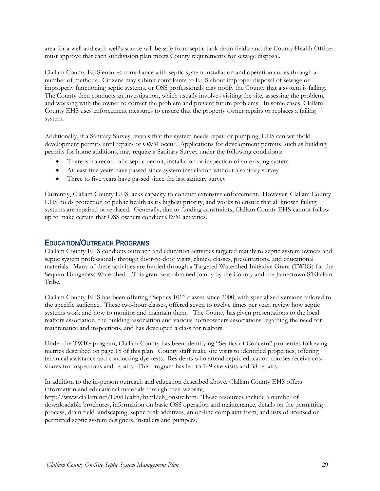area for a well and each well's source will be safe from septic tank drain fields; and the County Health Officer must approve that each subdivision plan meets County requirements for sewage disposal.

Clallam County EHS ensures compliance with septic system installation and operation codes through a number of methods. Citizens may submit complaints to EHS about improper disposal of sewage or improperly functioning septic systems, or OSS professionals may notify the County that a system is failing. The County then conducts an investigation, which usually involves visiting the site, assessing the problem, and working with the owner to correct the problem and prevent future problems. In some cases, Clallam County EHS uses enforcement measures to ensure that the property owner repairs or replaces a failing system.

Additionally, if a Sanitary Survey reveals that the system needs repair or pumping, EHS can withhold development permits until repairs or O&M occur. Applications for development permits, such as building permits for home additions, may require a Sanitary Survey under the following conditions:

- There is no record of a septic permit, installation or inspection of an existing system
- At least five years have passed since system installation without a sanitary survey
- Three to five years have passed since the last sanitary survey

Currently, Clallam County EHS lacks capacity to conduct extensive enforcement. However, Clallam County EHS holds protection of public health as its highest priority, and works to ensure that all known failing systems are repaired or replaced. Generally, due to funding constraints, Clallam County EHS cannot follow up to make certain that OSS owners conduct O&M activities.

#### **EDUCATION/OUTREACH PROGRAMS**

Clallam County EHS conducts outreach and education activities targeted mainly to septic system owners and septic system professionals through door-to-door visits, clinics, classes, presentations, and educational materials. Many of these activities are funded through a Targeted Watershed Initiative Grant (TWIG) for the Sequim-Dungeness Watershed. This grant was obtained jointly by the County and the Jamestown S'Klallam Tribe.

Clallam County EHS has been offering "Septics 101" classes since 2000, with specialized versions tailored to the specific audience. These two-hour classes, offered seven to twelve times per year, review how septic systems work and how to monitor and maintain them. The County has given presentations to the local realtors association, the building association and various homeowners associations regarding the need for maintenance and inspections, and has developed a class for realtors.

Under the TWIG program, Clallam County has been identifying "Septics of Concern" properties following metrics described on page 18 of this plan. County staff make site visits to identified properties, offering technical assistance and conducting dye-tests. Residents who attend septic education courses receive costshares for inspections and repairs. This program has led to 149 site visits and 38 repairs..

In addition to the in-person outreach and education described above, Clallam County EHS offers information and educational materials through their website,

http://www.clallam.net/EnvHealth/html/eh\_onsite.htm. These resources include a number of downloadable brochures, information on basic OSS operation and maintenance, details on the permitting process, drain field landscaping, septic tank additives, an on-line complaint form, and lists of licensed or permitted septic system designers, installers and pumpers.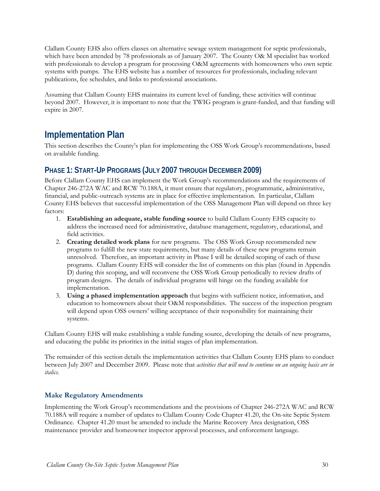Clallam County EHS also offers classes on alternative sewage system management for septic professionals, which have been attended by 78 professionals as of January 2007. The County O& M specialist has worked with professionals to develop a program for processing O&M agreements with homeowners who own septic systems with pumps. The EHS website has a number of resources for professionals, including relevant publications, fee schedules, and links to professional associations.

Assuming that Clallam County EHS maintains its current level of funding, these activities will continue beyond 2007. However, it is important to note that the TWIG program is grant-funded, and that funding will expire in 2007.

# **Implementation Plan**

This section describes the County's plan for implementing the OSS Work Group's recommendations, based on available funding.

### **PHASE 1: START-UP PROGRAMS (JULY 2007 THROUGH DECEMBER 2009)**

Before Clallam County EHS can implement the Work Group's recommendations and the requirements of Chapter 246-272A WAC and RCW 70.188A, it must ensure that regulatory, programmatic, administrative, financial, and public-outreach systems are in place for effective implementation. In particular, Clallam County EHS believes that successful implementation of the OSS Management Plan will depend on three key factors:

- 1. **Establishing an adequate, stable funding source** to build Clallam County EHS capacity to address the increased need for administrative, database management, regulatory, educational, and field activities.
- 2. **Creating detailed work plans** for new programs.The OSS Work Group recommended new programs to fulfill the new state requirements, but many details of these new programs remain unresolved. Therefore, an important activity in Phase I will be detailed scoping of each of these programs. Clallam County EHS will consider the list of comments on this plan (found in Appendix D) during this scoping, and will reconvene the OSS Work Group periodically to review drafts of program designs. The details of individual programs will hinge on the funding available for implementation.
- 3. **Using a phased implementation approach** that begins with sufficient notice, information, and education to homeowners about their O&M responsibilities. The success of the inspection program will depend upon OSS owners' willing acceptance of their responsibility for maintaining their systems.

Clallam County EHS will make establishing a stable funding source, developing the details of new programs, and educating the public its priorities in the initial stages of plan implementation.

The remainder of this section details the implementation activities that Clallam County EHS plans to conduct between July 2007 and December 2009. Please note that *activities that will need to continue on an ongoing basis are in italics*.

#### **Make Regulatory Amendments**

Implementing the Work Group's recommendations and the provisions of Chapter 246-272A WAC and RCW 70.188A will require a number of updates to Clallam County Code Chapter 41.20, the On-site Septic System Ordinance. Chapter 41.20 must be amended to include the Marine Recovery Area designation, OSS maintenance provider and homeowner inspector approval processes, and enforcement language.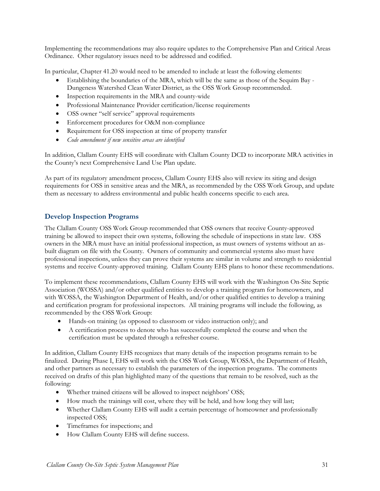Implementing the recommendations may also require updates to the Comprehensive Plan and Critical Areas Ordinance. Other regulatory issues need to be addressed and codified.

In particular, Chapter 41.20 would need to be amended to include at least the following elements:

- Establishing the boundaries of the MRA, which will be the same as those of the Sequim Bay Dungeness Watershed Clean Water District, as the OSS Work Group recommended.
- Inspection requirements in the MRA and county-wide
- Professional Maintenance Provider certification/license requirements
- OSS owner "self service" approval requirements
- Enforcement procedures for O&M non-compliance
- Requirement for OSS inspection at time of property transfer
- *Code amendment if new sensitive areas are identified*

In addition, Clallam County EHS will coordinate with Clallam County DCD to incorporate MRA activities in the County's next Comprehensive Land Use Plan update.

As part of its regulatory amendment process, Clallam County EHS also will review its siting and design requirements for OSS in sensitive areas and the MRA, as recommended by the OSS Work Group, and update them as necessary to address environmental and public health concerns specific to each area.

#### **Develop Inspection Programs**

The Clallam County OSS Work Group recommended that OSS owners that receive County-approved training be allowed to inspect their own systems, following the schedule of inspections in state law. OSS owners in the MRA must have an initial professional inspection, as must owners of systems without an asbuilt diagram on file with the County. Owners of community and commercial systems also must have professional inspections, unless they can prove their systems are similar in volume and strength to residential systems and receive County-approved training. Clallam County EHS plans to honor these recommendations.

To implement these recommendations, Clallam County EHS will work with the Washington On-Site Septic Association (WOSSA) and/or other qualified entities to develop a training program for homeowners, and with WOSSA, the Washington Department of Health, and/or other qualified entities to develop a training and certification program for professional inspectors. All training programs will include the following, as recommended by the OSS Work Group:

- Hands-on training (as opposed to classroom or video instruction only); and
- A certification process to denote who has successfully completed the course and when the certification must be updated through a refresher course.

In addition, Clallam County EHS recognizes that many details of the inspection programs remain to be finalized. During Phase I, EHS will work with the OSS Work Group, WOSSA, the Department of Health, and other partners as necessary to establish the parameters of the inspection programs. The comments received on drafts of this plan highlighted many of the questions that remain to be resolved, such as the following:

- Whether trained citizens will be allowed to inspect neighbors' OSS;
- How much the trainings will cost, where they will be held, and how long they will last;
- Whether Clallam County EHS will audit a certain percentage of homeowner and professionally inspected OSS;
- Timeframes for inspections; and
- How Clallam County EHS will define success.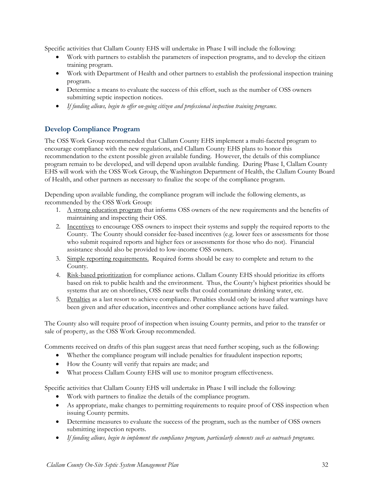Specific activities that Clallam County EHS will undertake in Phase I will include the following:

- Work with partners to establish the parameters of inspection programs, and to develop the citizen training program.
- Work with Department of Health and other partners to establish the professional inspection training program.
- Determine a means to evaluate the success of this effort, such as the number of OSS owners submitting septic inspection notices.
- *If funding allows, begin to offer on-going citizen and professional inspection training programs.*

### **Develop Compliance Program**

The OSS Work Group recommended that Clallam County EHS implement a multi-faceted program to encourage compliance with the new regulations, and Clallam County EHS plans to honor this recommendation to the extent possible given available funding. However, the details of this compliance program remain to be developed, and will depend upon available funding. During Phase I, Clallam County EHS will work with the OSS Work Group, the Washington Department of Health, the Clallam County Board of Health, and other partners as necessary to finalize the scope of the compliance program.

Depending upon available funding, the compliance program will include the following elements, as recommended by the OSS Work Group:

- 1. A strong education program that informs OSS owners of the new requirements and the benefits of maintaining and inspecting their OSS.
- 2. Incentives to encourage OSS owners to inspect their systems and supply the required reports to the County. The County should consider fee-based incentives (e.g. lower fees or assessments for those who submit required reports and higher fees or assessments for those who do not). Financial assistance should also be provided to low-income OSS owners.
- 3. Simple reporting requirements. Required forms should be easy to complete and return to the County.
- 4. Risk-based prioritization for compliance actions. Clallam County EHS should prioritize its efforts based on risk to public health and the environment. Thus, the County's highest priorities should be systems that are on shorelines, OSS near wells that could contaminate drinking water, etc.
- 5. Penalties as a last resort to achieve compliance. Penalties should only be issued after warnings have been given and after education, incentives and other compliance actions have failed.

The County also will require proof of inspection when issuing County permits, and prior to the transfer or sale of property, as the OSS Work Group recommended.

Comments received on drafts of this plan suggest areas that need further scoping, such as the following:

- Whether the compliance program will include penalties for fraudulent inspection reports;
- How the County will verify that repairs are made; and
- What process Clallam County EHS will use to monitor program effectiveness.

Specific activities that Clallam County EHS will undertake in Phase I will include the following:

- Work with partners to finalize the details of the compliance program.
- As appropriate, make changes to permitting requirements to require proof of OSS inspection when issuing County permits.
- Determine measures to evaluate the success of the program, such as the number of OSS owners submitting inspection reports.
- *If funding allows, begin to implement the compliance program, particularly elements such as outreach programs.*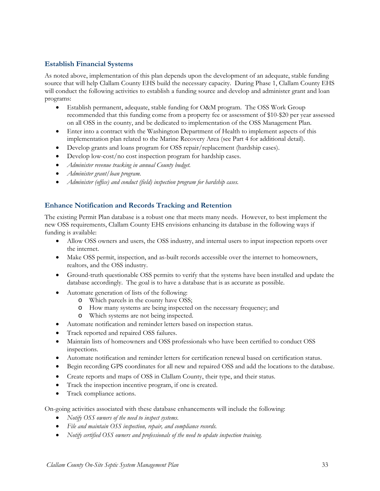#### **Establish Financial Systems**

As noted above, implementation of this plan depends upon the development of an adequate, stable funding source that will help Clallam County EHS build the necessary capacity. During Phase 1, Clallam County EHS will conduct the following activities to establish a funding source and develop and administer grant and loan programs:

- Establish permanent, adequate, stable funding for O&M program. The OSS Work Group recommended that this funding come from a property fee or assessment of \$10-\$20 per year assessed on all OSS in the county, and be dedicated to implementation of the OSS Management Plan.
- Enter into a contract with the Washington Department of Health to implement aspects of this implementation plan related to the Marine Recovery Area (see Part 4 for additional detail).
- Develop grants and loans program for OSS repair/replacement (hardship cases).
- Develop low-cost/no cost inspection program for hardship cases.
- *Administer revenue tracking in annual County budget.*
- *Administer grant/loan program.*
- *Administer (office) and conduct (field) inspection program for hardship cases.*

#### **Enhance Notification and Records Tracking and Retention**

The existing Permit Plan database is a robust one that meets many needs. However, to best implement the new OSS requirements, Clallam County EHS envisions enhancing its database in the following ways if funding is available:

- Allow OSS owners and users, the OSS industry, and internal users to input inspection reports over the internet.
- Make OSS permit, inspection, and as-built records accessible over the internet to homeowners, realtors, and the OSS industry.
- Ground-truth questionable OSS permits to verify that the systems have been installed and update the database accordingly. The goal is to have a database that is as accurate as possible.
- Automate generation of lists of the following:
	- o Which parcels in the county have OSS;
	- o How many systems are being inspected on the necessary frequency; and
	- o Which systems are not being inspected.
- Automate notification and reminder letters based on inspection status.
- Track reported and repaired OSS failures.
- Maintain lists of homeowners and OSS professionals who have been certified to conduct OSS inspections.
- Automate notification and reminder letters for certification renewal based on certification status.
- Begin recording GPS coordinates for all new and repaired OSS and add the locations to the database.
- Create reports and maps of OSS in Clallam County, their type, and their status.
- Track the inspection incentive program, if one is created.
- Track compliance actions.

On-going activities associated with these database enhancements will include the following:

- *Notify OSS owners of the need to inspect systems.*
- *File and maintain OSS inspection, repair, and compliance records.*
- *Notify certified OSS owners and professionals of the need to update inspection training.*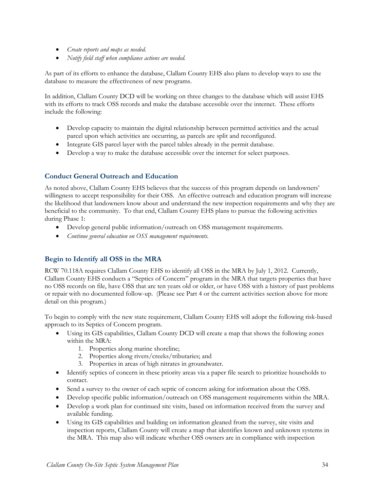- *Create reports and maps as needed.*
- *Notify field staff when compliance actions are needed.*

As part of its efforts to enhance the database, Clallam County EHS also plans to develop ways to use the database to measure the effectiveness of new programs.

In addition, Clallam County DCD will be working on three changes to the database which will assist EHS with its efforts to track OSS records and make the database accessible over the internet. These efforts include the following:

- Develop capacity to maintain the digital relationship between permitted activities and the actual parcel upon which activities are occurring, as parcels are split and reconfigured.
- Integrate GIS parcel layer with the parcel tables already in the permit database.
- Develop a way to make the database accessible over the internet for select purposes.

#### **Conduct General Outreach and Education**

As noted above, Clallam County EHS believes that the success of this program depends on landowners' willingness to accept responsibility for their OSS. An effective outreach and education program will increase the likelihood that landowners know about and understand the new inspection requirements and why they are beneficial to the community. To that end, Clallam County EHS plans to pursue the following activities during Phase 1:

- Develop general public information/outreach on OSS management requirements.
- *Continue general education on OSS management requirements.*

#### **Begin to Identify all OSS in the MRA**

RCW 70.118A requires Clallam County EHS to identify all OSS in the MRA by July 1, 2012. Currently, Clallam County EHS conducts a "Septics of Concern" program in the MRA that targets properties that have no OSS records on file, have OSS that are ten years old or older, or have OSS with a history of past problems or repair with no documented follow-up. (Please see Part 4 or the current activities section above for more detail on this program.)

To begin to comply with the new state requirement, Clallam County EHS will adopt the following risk-based approach to its Septics of Concern program.

- Using its GIS capabilities, Clallam County DCD will create a map that shows the following zones within the MRA:
	- 1. Properties along marine shoreline;
	- 2. Properties along rivers/creeks/tributaries; and
	- 3. Properties in areas of high nitrates in groundwater.
- Identify septics of concern in these priority areas via a paper file search to prioritize households to contact.
- Send a survey to the owner of each septic of concern asking for information about the OSS.
- Develop specific public information/outreach on OSS management requirements within the MRA.
- Develop a work plan for continued site visits, based on information received from the survey and available funding.
- Using its GIS capabilities and building on information gleaned from the survey, site visits and inspection reports, Clallam County will create a map that identifies known and unknown systems in the MRA. This map also will indicate whether OSS owners are in compliance with inspection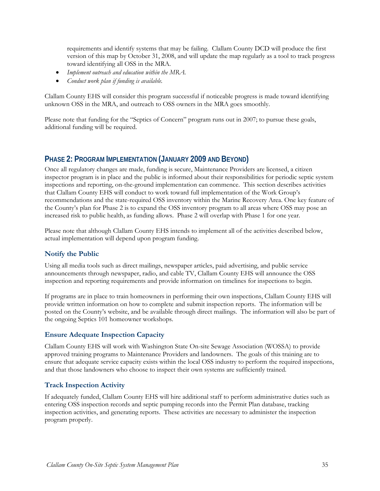requirements and identify systems that may be failing. Clallam County DCD will produce the first version of this map by October 31, 2008, and will update the map regularly as a tool to track progress toward identifying all OSS in the MRA.

- *Implement outreach and education within the MRA.*
- *Conduct work plan if funding is available.*

Clallam County EHS will consider this program successful if noticeable progress is made toward identifying unknown OSS in the MRA, and outreach to OSS owners in the MRA goes smoothly.

Please note that funding for the "Septics of Concern" program runs out in 2007; to pursue these goals, additional funding will be required.

#### **PHASE 2: PROGRAM IMPLEMENTATION (JANUARY 2009 AND BEYOND)**

Once all regulatory changes are made, funding is secure, Maintenance Providers are licensed, a citizen inspector program is in place and the public is informed about their responsibilities for periodic septic system inspections and reporting, on-the-ground implementation can commence. This section describes activities that Clallam County EHS will conduct to work toward full implementation of the Work Group's recommendations and the state-required OSS inventory within the Marine Recovery Area. One key feature of the County's plan for Phase 2 is to expand the OSS inventory program to all areas where OSS may pose an increased risk to public health, as funding allows. Phase 2 will overlap with Phase 1 for one year.

Please note that although Clallam County EHS intends to implement all of the activities described below, actual implementation will depend upon program funding.

#### **Notify the Public**

Using all media tools such as direct mailings, newspaper articles, paid advertising, and public service announcements through newspaper, radio, and cable TV, Clallam County EHS will announce the OSS inspection and reporting requirements and provide information on timelines for inspections to begin.

If programs are in place to train homeowners in performing their own inspections, Clallam County EHS will provide written information on how to complete and submit inspection reports. The information will be posted on the County's website, and be available through direct mailings. The information will also be part of the ongoing Septics 101 homeowner workshops.

#### **Ensure Adequate Inspection Capacity**

Clallam County EHS will work with Washington State On-site Sewage Association (WOSSA) to provide approved training programs to Maintenance Providers and landowners. The goals of this training are to ensure that adequate service capacity exists within the local OSS industry to perform the required inspections, and that those landowners who choose to inspect their own systems are sufficiently trained.

#### **Track Inspection Activity**

If adequately funded, Clallam County EHS will hire additional staff to perform administrative duties such as entering OSS inspection records and septic pumping records into the Permit Plan database, tracking inspection activities, and generating reports. These activities are necessary to administer the inspection program properly.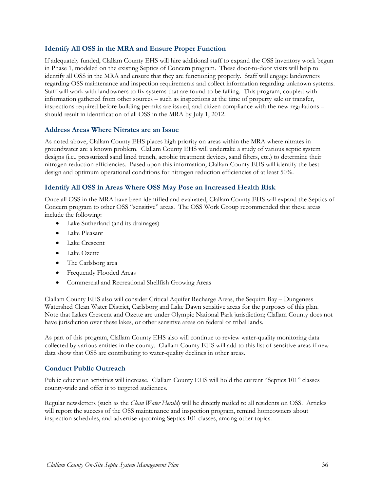#### **Identify All OSS in the MRA and Ensure Proper Function**

If adequately funded, Clallam County EHS will hire additional staff to expand the OSS inventory work begun in Phase 1, modeled on the existing Septics of Concern program. These door-to-door visits will help to identify all OSS in the MRA and ensure that they are functioning properly. Staff will engage landowners regarding OSS maintenance and inspection requirements and collect information regarding unknown systems. Staff will work with landowners to fix systems that are found to be failing. This program, coupled with information gathered from other sources – such as inspections at the time of property sale or transfer, inspections required before building permits are issued, and citizen compliance with the new regulations – should result in identification of all OSS in the MRA by July 1, 2012.

#### **Address Areas Where Nitrates are an Issue**

As noted above, Clallam County EHS places high priority on areas within the MRA where nitrates in groundwater are a known problem. Clallam County EHS will undertake a study of various septic system designs (i.e., pressurized sand lined trench, aerobic treatment devices, sand filters, etc.) to determine their nitrogen reduction efficiencies. Based upon this information, Clallam County EHS will identify the best design and optimum operational conditions for nitrogen reduction efficiencies of at least 50%.

#### **Identify All OSS in Areas Where OSS May Pose an Increased Health Risk**

Once all OSS in the MRA have been identified and evaluated, Clallam County EHS will expand the Septics of Concern program to other OSS "sensitive" areas. The OSS Work Group recommended that these areas include the following:

- Lake Sutherland (and its drainages)
- Lake Pleasant
- Lake Crescent
- Lake Ozette
- The Carlsborg area
- Frequently Flooded Areas
- Commercial and Recreational Shellfish Growing Areas

Clallam County EHS also will consider Critical Aquifer Recharge Areas, the Sequim Bay – Dungeness Watershed Clean Water District, Carlsborg and Lake Dawn sensitive areas for the purposes of this plan. Note that Lakes Crescent and Ozette are under Olympic National Park jurisdiction; Clallam County does not have jurisdiction over these lakes, or other sensitive areas on federal or tribal lands.

As part of this program, Clallam County EHS also will continue to review water-quality monitoring data collected by various entities in the county. Clallam County EHS will add to this list of sensitive areas if new data show that OSS are contributing to water-quality declines in other areas.

#### **Conduct Public Outreach**

Public education activities will increase. Clallam County EHS will hold the current "Septics 101" classes county-wide and offer it to targeted audiences.

Regular newsletters (such as the *Clean Water Herald*) will be directly mailed to all residents on OSS. Articles will report the success of the OSS maintenance and inspection program, remind homeowners about inspection schedules, and advertise upcoming Septics 101 classes, among other topics.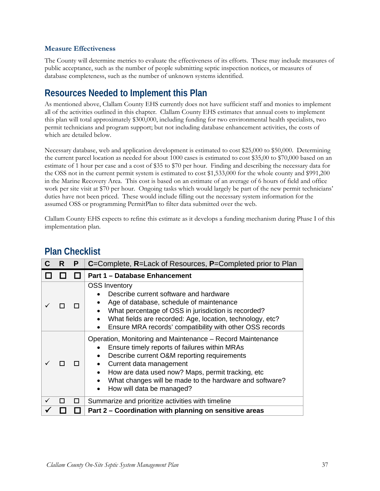#### **Measure Effectiveness**

The County will determine metrics to evaluate the effectiveness of its efforts. These may include measures of public acceptance, such as the number of people submitting septic inspection notices, or measures of database completeness, such as the number of unknown systems identified.

# **Resources Needed to Implement this Plan**

As mentioned above, Clallam County EHS currently does not have sufficient staff and monies to implement all of the activities outlined in this chapter. Clallam County EHS estimates that annual costs to implement this plan will total approximately \$300,000, including funding for two environmental health specialists, two permit technicians and program support; but not including database enhancement activities, the costs of which are detailed below.

Necessary database, web and application development is estimated to cost \$25,000 to \$50,000. Determining the current parcel location as needed for about 1000 cases is estimated to cost \$35,00 to \$70,000 based on an estimate of 1 hour per case and a cost of \$35 to \$70 per hour. Finding and describing the necessary data for the OSS not in the current permit system is estimated to cost \$1,533,000 for the whole county and \$991,200 in the Marine Recovery Area. This cost is based on an estimate of an average of 6 hours of field and office work per site visit at \$70 per hour. Ongoing tasks which would largely be part of the new permit technicians' duties have not been priced. These would include filling out the necessary system information for the assumed OSS or programming PermitPlan to filter data submitted over the web.

Clallam County EHS expects to refine this estimate as it develops a funding mechanism during Phase I of this implementation plan.

| C | R | P            | C=Complete, R=Lack of Resources, P=Completed prior to Plan                                                                                                                                                                                                                                                                                                                             |
|---|---|--------------|----------------------------------------------------------------------------------------------------------------------------------------------------------------------------------------------------------------------------------------------------------------------------------------------------------------------------------------------------------------------------------------|
|   |   |              | Part 1 - Database Enhancement                                                                                                                                                                                                                                                                                                                                                          |
|   |   |              | <b>OSS Inventory</b><br>Describe current software and hardware<br>Age of database, schedule of maintenance<br>What percentage of OSS in jurisdiction is recorded?<br>What fields are recorded: Age, location, technology, etc?<br>$\bullet$<br>Ensure MRA records' compatibility with other OSS records<br>$\bullet$                                                                   |
|   | п |              | Operation, Monitoring and Maintenance – Record Maintenance<br>Ensure timely reports of failures within MRAs<br>Describe current O&M reporting requirements<br>Current data management<br>$\bullet$<br>How are data used now? Maps, permit tracking, etc<br>$\bullet$<br>What changes will be made to the hardware and software?<br>$\bullet$<br>How will data be managed?<br>$\bullet$ |
|   | П | $\mathsf{L}$ | Summarize and prioritize activities with timeline                                                                                                                                                                                                                                                                                                                                      |
|   |   |              | Part 2 – Coordination with planning on sensitive areas                                                                                                                                                                                                                                                                                                                                 |

## **Plan Checklist**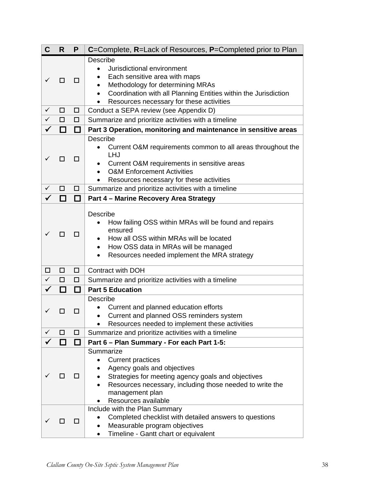| $\mathbf C$  | R.     | P            | C=Complete, R=Lack of Resources, P=Completed prior to Plan                                                                                                                                                                                                        |  |  |  |  |  |
|--------------|--------|--------------|-------------------------------------------------------------------------------------------------------------------------------------------------------------------------------------------------------------------------------------------------------------------|--|--|--|--|--|
|              |        | п            | Describe<br>Jurisdictional environment<br>$\bullet$<br>Each sensitive area with maps<br>Methodology for determining MRAs<br>Coordination with all Planning Entities within the Jurisdiction<br>$\bullet$<br>Resources necessary for these activities<br>$\bullet$ |  |  |  |  |  |
| $\checkmark$ | □      | $\Box$       | Conduct a SEPA review (see Appendix D)                                                                                                                                                                                                                            |  |  |  |  |  |
| $\checkmark$ | $\Box$ | $\Box$       | Summarize and prioritize activities with a timeline                                                                                                                                                                                                               |  |  |  |  |  |
|              | □      | $\Box$       | Part 3 Operation, monitoring and maintenance in sensitive areas                                                                                                                                                                                                   |  |  |  |  |  |
|              | П      | □            | Describe<br>Current O&M requirements common to all areas throughout the<br>$\bullet$<br><b>LHJ</b><br>Current O&M requirements in sensitive areas<br><b>O&amp;M Enforcement Activities</b><br>$\bullet$<br>Resources necessary for these activities<br>$\bullet$  |  |  |  |  |  |
| $\checkmark$ | $\Box$ | □            | Summarize and prioritize activities with a timeline                                                                                                                                                                                                               |  |  |  |  |  |
| $\checkmark$ | $\Box$ | $\Box$       | Part 4 - Marine Recovery Area Strategy                                                                                                                                                                                                                            |  |  |  |  |  |
|              | п.     | 0            | Describe<br>How failing OSS within MRAs will be found and repairs<br>ensured<br>How all OSS within MRAs will be located<br>How OSS data in MRAs will be managed<br>$\bullet$<br>Resources needed implement the MRA strategy                                       |  |  |  |  |  |
| $\Box$       | □      | □            | Contract with DOH                                                                                                                                                                                                                                                 |  |  |  |  |  |
| $\checkmark$ | $\Box$ | $\Box$       | Summarize and prioritize activities with a timeline                                                                                                                                                                                                               |  |  |  |  |  |
|              | □      | $\Box$       | <b>Part 5 Education</b>                                                                                                                                                                                                                                           |  |  |  |  |  |
|              |        | ΙI           | Describe<br>Current and planned education efforts<br>Current and planned OSS reminders system<br>$\bullet$<br>Resources needed to implement these activities                                                                                                      |  |  |  |  |  |
| ✓            | □      | □            | Summarize and prioritize activities with a timeline                                                                                                                                                                                                               |  |  |  |  |  |
|              | П      | П            | Part 6 - Plan Summary - For each Part 1-5:                                                                                                                                                                                                                        |  |  |  |  |  |
|              | п      | П            | Summarize<br><b>Current practices</b><br>Agency goals and objectives<br>Strategies for meeting agency goals and objectives<br>Resources necessary, including those needed to write the<br>management plan<br>Resources available                                  |  |  |  |  |  |
|              | П      | $\mathsf{L}$ | Include with the Plan Summary<br>Completed checklist with detailed answers to questions<br>Measurable program objectives<br>Timeline - Gantt chart or equivalent                                                                                                  |  |  |  |  |  |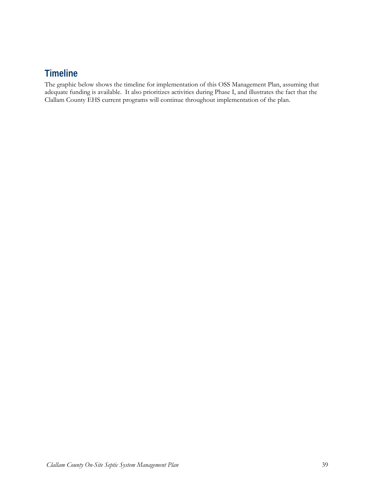# **Timeline**

The graphic below shows the timeline for implementation of this OSS Management Plan, assuming that adequate funding is available. It also prioritizes activities during Phase I, and illustrates the fact that the Clallam County EHS current programs will continue throughout implementation of the plan.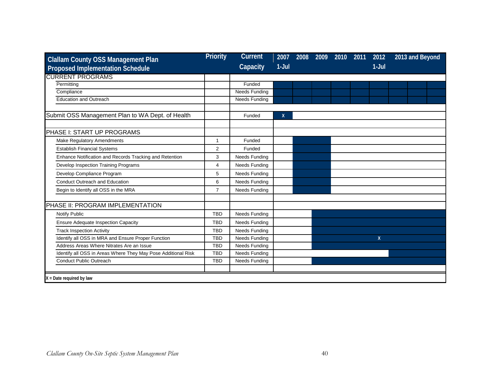| <b>Clallam County OSS Management Plan</b>                     | <b>Priority</b> | Current              | 2007    | 2008 | 2009 2010 2011 |  | 2012         | 2013 and Beyond |  |  |
|---------------------------------------------------------------|-----------------|----------------------|---------|------|----------------|--|--------------|-----------------|--|--|
| <b>Proposed Implementation Schedule</b>                       |                 | Capacity             | $1-Jul$ |      |                |  | $1-Jul$      |                 |  |  |
| <b>CURRENT PROGRAMS</b>                                       |                 |                      |         |      |                |  |              |                 |  |  |
| Permitting                                                    |                 | Funded               |         |      |                |  |              |                 |  |  |
| Compliance                                                    |                 | <b>Needs Funding</b> |         |      |                |  |              |                 |  |  |
| <b>Education and Outreach</b>                                 |                 | <b>Needs Funding</b> |         |      |                |  |              |                 |  |  |
|                                                               |                 |                      |         |      |                |  |              |                 |  |  |
| Submit OSS Management Plan to WA Dept. of Health              |                 | Funded               | X       |      |                |  |              |                 |  |  |
| PHASE I: START UP PROGRAMS                                    |                 |                      |         |      |                |  |              |                 |  |  |
| Make Regulatory Amendments                                    | 1               | Funded               |         |      |                |  |              |                 |  |  |
| <b>Establish Financial Systems</b>                            | 2               | Funded               |         |      |                |  |              |                 |  |  |
| Enhance Notification and Records Tracking and Retention       | 3               | Needs Funding        |         |      |                |  |              |                 |  |  |
| Develop Inspection Training Programs                          | 4               | Needs Funding        |         |      |                |  |              |                 |  |  |
| Develop Compliance Program                                    | 5               | Needs Funding        |         |      |                |  |              |                 |  |  |
| <b>Conduct Outreach and Education</b>                         | 6               | Needs Funding        |         |      |                |  |              |                 |  |  |
| Begin to Identify all OSS in the MRA                          | $\overline{7}$  | Needs Funding        |         |      |                |  |              |                 |  |  |
|                                                               |                 |                      |         |      |                |  |              |                 |  |  |
| PHASE II: PROGRAM IMPLEMENTATION                              |                 |                      |         |      |                |  |              |                 |  |  |
| <b>Notify Public</b>                                          | <b>TBD</b>      | Needs Funding        |         |      |                |  |              |                 |  |  |
| <b>Ensure Adequate Inspection Capacity</b>                    | TBD             | Needs Funding        |         |      |                |  |              |                 |  |  |
| <b>Track Inspection Activity</b>                              | <b>TBD</b>      | Needs Funding        |         |      |                |  |              |                 |  |  |
| Identify all OSS in MRA and Ensure Proper Function            | <b>TBD</b>      | Needs Funding        |         |      |                |  | $\mathsf{X}$ |                 |  |  |
| Address Areas Where Nitrates Are an Issue                     | <b>TBD</b>      | Needs Funding        |         |      |                |  |              |                 |  |  |
| Identify all OSS in Areas Where They May Pose Additional Risk | <b>TBD</b>      | Needs Funding        |         |      |                |  |              |                 |  |  |
| <b>Conduct Public Outreach</b>                                | <b>TBD</b>      | <b>Needs Funding</b> |         |      |                |  |              |                 |  |  |
|                                                               |                 |                      |         |      |                |  |              |                 |  |  |
| $X =$ Date required by law                                    |                 |                      |         |      |                |  |              |                 |  |  |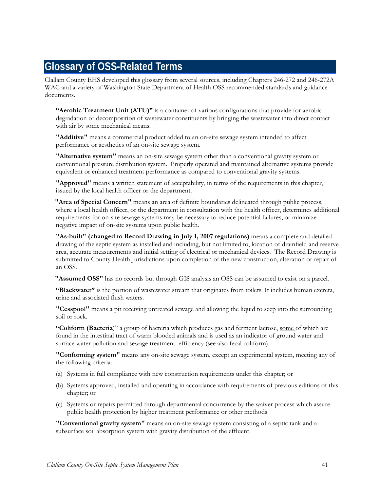# **Glossary of OSS-Related Terms**

Clallam County EHS developed this glossary from several sources, including Chapters 246-272 and 246-272A WAC and a variety of Washington State Department of Health OSS recommended standards and guidance documents.

**"Aerobic Treatment Unit (ATU)"** is a container of various configurations that provide for aerobic degradation or decomposition of wastewater constituents by bringing the wastewater into direct contact with air by some mechanical means.

 **"Additive"** means a commercial product added to an on-site sewage system intended to affect performance or aesthetics of an on-site sewage system.

 **"Alternative system"** means an on-site sewage system other than a conventional gravity system or conventional pressure distribution system. Properly operated and maintained alternative systems provide equivalent or enhanced treatment performance as compared to conventional gravity systems.

 **"Approved"** means a written statement of acceptability, in terms of the requirements in this chapter, issued by the local health officer or the department.

 **"Area of Special Concern"** means an area of definite boundaries delineated through public process, where a local health officer, or the department in consultation with the health officer, determines additional requirements for on-site sewage systems may be necessary to reduce potential failures, or minimize negative impact of on-site systems upon public health.

**"As-built" (changed to Record Drawing in July 1, 2007 regulations)** means a complete and detailed drawing of the septic system as installed and including, but not limited to, location of drainfield and reserve area, accurate measurements and initial setting of electrical or mechanical devices. The Record Drawing is submitted to County Health Jurisdictions upon completion of the new construction, alteration or repair of an OSS.

 **"Assumed OSS"** has no records but through GIS analysis an OSS can be assumed to exist on a parcel.

 **"Blackwater"** is the portion of wastewater stream that originates from toilets. It includes human excreta, urine and associated flush waters.

 **"Cesspool"** means a pit receiving untreated sewage and allowing the liquid to seep into the surrounding soil or rock.

"Coliform (Bacteria)" a group of bacteria which produces gas and ferment lactose, some of which are found in the intestinal tract of warm blooded animals and is used as an indicator of ground water and surface water pollution and sewage treatment efficiency (see also fecal coliform).

 **"Conforming system"** means any on-site sewage system, except an experimental system, meeting any of the following criteria:

- (a) Systems in full compliance with new construction requirements under this chapter; or
- (b) Systems approved, installed and operating in accordance with requirements of previous editions of this chapter; or
- (c) Systems or repairs permitted through departmental concurrence by the waiver process which assure public health protection by higher treatment performance or other methods.

**"Conventional gravity system"** means an on-site sewage system consisting of a septic tank and a subsurface soil absorption system with gravity distribution of the effluent.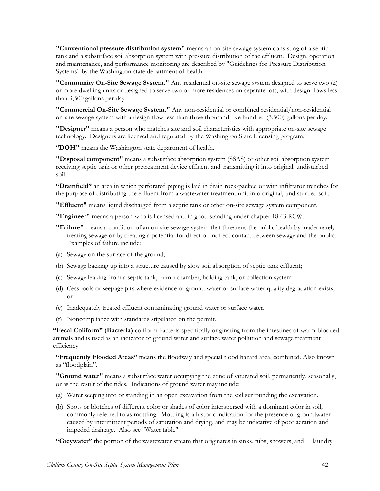**"Conventional pressure distribution system"** means an on-site sewage system consisting of a septic tank and a subsurface soil absorption system with pressure distribution of the effluent. Design, operation and maintenance, and performance monitoring are described by "Guidelines for Pressure Distribution Systems" by the Washington state department of health.

**"Community On-Site Sewage System."** Any residential on-site sewage system designed to serve two (2) or more dwelling units or designed to serve two or more residences on separate lots, with design flows less than 3,500 gallons per day.

**"Commercial On-Site Sewage System."** Any non-residential or combined residential/non-residential on-site sewage system with a design flow less than three thousand five hundred (3,500) gallons per day.

 **"Designer"** means a person who matches site and soil characteristics with appropriate on-site sewage technology. Designers are licensed and regulated by the Washington State Licensing program.

 **"DOH"** means the Washington state department of health.

 **"Disposal component"** means a subsurface absorption system (SSAS) or other soil absorption system receiving septic tank or other pretreatment device effluent and transmitting it into original, undisturbed soil.

 **"Drainfield"** an area in which perforated piping is laid in drain rock-packed or with infiltrator trenches for the purpose of distributing the effluent from a wastewater treatment unit into original, undisturbed soil.

 **"Effluent"** means liquid discharged from a septic tank or other on-site sewage system component.

 **"Engineer"** means a person who is licensed and in good standing under chapter 18.43 RCW.

- **"Failure"** means a condition of an on-site sewage system that threatens the public health by inadequately treating sewage or by creating a potential for direct or indirect contact between sewage and the public. Examples of failure include:
- (a) Sewage on the surface of the ground;
- (b) Sewage backing up into a structure caused by slow soil absorption of septic tank effluent;
- (c) Sewage leaking from a septic tank, pump chamber, holding tank, or collection system;
- (d) Cesspools or seepage pits where evidence of ground water or surface water quality degradation exists; or
- (e) Inadequately treated effluent contaminating ground water or surface water.
- (f) Noncompliance with standards stipulated on the permit.

**"Fecal Coliform" (Bacteria)** coliform bacteria specifically originating from the intestines of warm-blooded animals and is used as an indicator of ground water and surface water pollution and sewage treatment efficiency.

 **"Frequently Flooded Areas"** means the floodway and special flood hazard area, combined. Also known as "floodplain".

 **"Ground water"** means a subsurface water occupying the zone of saturated soil, permanently, seasonally, or as the result of the tides. Indications of ground water may include:

- (a) Water seeping into or standing in an open excavation from the soil surrounding the excavation.
- (b) Spots or blotches of different color or shades of color interspersed with a dominant color in soil, commonly referred to as mottling. Mottling is a historic indication for the presence of groundwater caused by intermittent periods of saturation and drying, and may be indicative of poor aeration and impeded drainage. Also see "Water table".

 **"Greywater"** the portion of the wastewater stream that originates in sinks, tubs, showers, and laundry.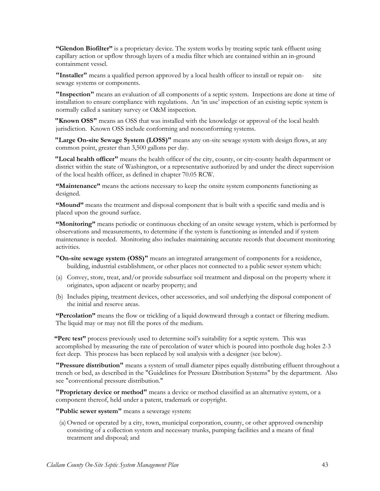**"Glendon Biofilter"** is a proprietary device. The system works by treating septic tank effluent using capillary action or upflow through layers of a media filter which are contained within an in-ground containment vessel.

 **"Installer"** means a qualified person approved by a local health officer to install or repair on- site sewage systems or components.

 **"Inspection"** means an evaluation of all components of a septic system. Inspections are done at time of installation to ensure compliance with regulations. An 'in use' inspection of an existing septic system is normally called a sanitary survey or O&M inspection.

 **"Known OSS"** means an OSS that was installed with the knowledge or approval of the local health jurisdiction. Known OSS include conforming and nonconforming systems.

 **"Large On-site Sewage System (LOSS)"** means any on-site sewage system with design flows, at any common point, greater than 3,500 gallons per day.

 **"Local health officer"** means the health officer of the city, county, or city-county health department or district within the state of Washington, or a representative authorized by and under the direct supervision of the local health officer, as defined in chapter 70.05 RCW.

 **"Maintenance"** means the actions necessary to keep the onsite system components functioning as designed.

**"Mound"** means the treatment and disposal component that is built with a specific sand media and is placed upon the ground surface.

 **"Monitoring"** means periodic or continuous checking of an onsite sewage system, which is performed by observations and measurements, to determine if the system is functioning as intended and if system maintenance is needed. Monitoring also includes maintaining accurate records that document monitoring activities.

**"On-site sewage system (OSS)"** means an integrated arrangement of components for a residence, building, industrial establishment, or other places not connected to a public sewer system which:

- (a) Convey, store, treat, and/or provide subsurface soil treatment and disposal on the property where it originates, upon adjacent or nearby property; and
- (b) Includes piping, treatment devices, other accessories, and soil underlying the disposal component of the initial and reserve areas.

**"Percolation"** means the flow or trickling of a liquid downward through a contact or filtering medium. The liquid may or may not fill the pores of the medium.

 **"Perc test"** process previously used to determine soil's suitability for a septic system. This was accomplished by measuring the rate of percolation of water which is poured into posthole dug holes 2-3 feet deep. This process has been replaced by soil analysis with a designer (see below).

 **"Pressure distribution"** means a system of small diameter pipes equally distributing effluent throughout a trench or bed, as described in the "Guidelines for Pressure Distribution Systems" by the department. Also see "conventional pressure distribution."

**"Proprietary device or method"** means a device or method classified as an alternative system, or a component thereof, held under a patent, trademark or copyright.

**"Public sewer system"** means a sewerage system:

 (a)Owned or operated by a city, town, municipal corporation, county, or other approved ownership consisting of a collection system and necessary trunks, pumping facilities and a means of final treatment and disposal; and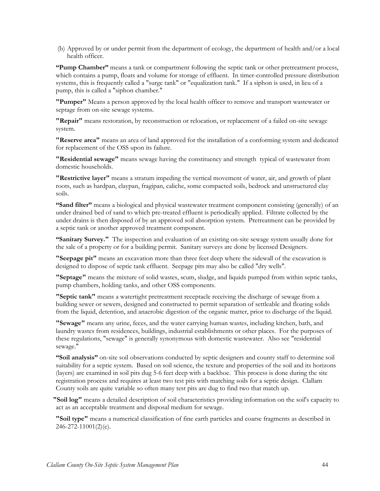(b) Approved by or under permit from the department of ecology, the department of health and/or a local health officer.

**"Pump Chamber"** means a tank or compartment following the septic tank or other pretreatment process, which contains a pump, floats and volume for storage of effluent. In timer-controlled pressure distribution systems, this is frequently called a "surge tank" or "equalization tank." If a siphon is used, in lieu of a pump, this is called a "siphon chamber."

 **"Pumper"** Means a person approved by the local health officer to remove and transport wastewater or septage from on-site sewage systems.

 **"Repair"** means restoration, by reconstruction or relocation, or replacement of a failed on-site sewage system.

 **"Reserve area"** means an area of land approved for the installation of a conforming system and dedicated for replacement of the OSS upon its failure.

 **"Residential sewage"** means sewage having the constituency and strength typical of wastewater from domestic households.

 **"Restrictive layer"** means a stratum impeding the vertical movement of water, air, and growth of plant roots, such as hardpan, claypan, fragipan, caliche, some compacted soils, bedrock and unstructured clay soils.

 **"Sand filter"** means a biological and physical wastewater treatment component consisting (generally) of an under drained bed of sand to which pre-treated effluent is periodically applied. Filtrate collected by the under drains is then disposed of by an approved soil absorption system. Pretreatment can be provided by a septic tank or another approved treatment component.

 **"Sanitary Survey."** The inspection and evaluation of an existing on-site sewage system usually done for the sale of a property or for a building permit. Sanitary surveys are done by licensed Designers.

 **"Seepage pit"** means an excavation more than three feet deep where the sidewall of the excavation is designed to dispose of septic tank effluent. Seepage pits may also be called "dry wells".

 **"Septage"** means the mixture of solid wastes, scum, sludge, and liquids pumped from within septic tanks, pump chambers, holding tanks, and other OSS components.

 **"Septic tank"** means a watertight pretreatment receptacle receiving the discharge of sewage from a building sewer or sewers, designed and constructed to permit separation of settleable and floating solids from the liquid, detention, and anaerobic digestion of the organic matter, prior to discharge of the liquid.

 **"Sewage"** means any urine, feces, and the water carrying human wastes, including kitchen, bath, and laundry wastes from residences, buildings, industrial establishments or other places. For the purposes of these regulations, "sewage" is generally synonymous with domestic wastewater. Also see "residential sewage."

 **"Soil analysis"** on-site soil observations conducted by septic designers and county staff to determine soil suitability for a septic system. Based on soil science, the texture and properties of the soil and its horizons (layers) are examined in soil pits dug 5-6 feet deep with a backhoe. This process is done during the site registration process and requires at least two test pits with matching soils for a septic design. Clallam County soils are quite variable so often many test pits are dug to find two that match up.

 **"Soil log"** means a detailed description of soil characteristics providing information on the soil's capacity to act as an acceptable treatment and disposal medium for sewage.

 **"Soil type"** means a numerical classification of fine earth particles and coarse fragments as described in 246-272-11001(2)(e).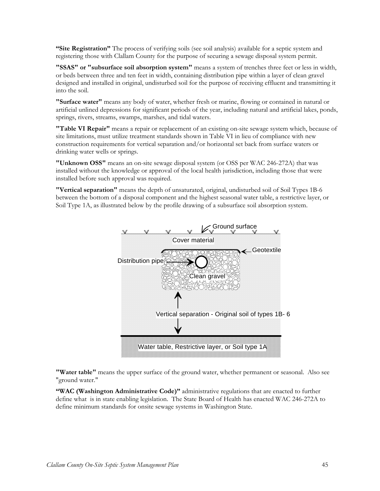**"Site Registration"** The process of verifying soils (see soil analysis) available for a septic system and registering those with Clallam County for the purpose of securing a sewage disposal system permit.

**"SSAS" or "subsurface soil absorption system"** means a system of trenches three feet or less in width, or beds between three and ten feet in width, containing distribution pipe within a layer of clean gravel designed and installed in original, undisturbed soil for the purpose of receiving effluent and transmitting it into the soil.

 **"Surface water"** means any body of water, whether fresh or marine, flowing or contained in natural or artificial unlined depressions for significant periods of the year, including natural and artificial lakes, ponds, springs, rivers, streams, swamps, marshes, and tidal waters.

**"Table VI Repair"** means a repair or replacement of an existing on-site sewage system which, because of site limitations, must utilize treatment standards shown in Table VI in lieu of compliance with new construction requirements for vertical separation and/or horizontal set back from surface waters or drinking water wells or springs.

**"Unknown OSS"** means an on-site sewage disposal system (or OSS per WAC 246-272A) that was installed without the knowledge or approval of the local health jurisdiction, including those that were installed before such approval was required.

**"Vertical separation"** means the depth of unsaturated, original, undisturbed soil of Soil Types 1B-6 between the bottom of a disposal component and the highest seasonal water table, a restrictive layer, or Soil Type 1A, as illustrated below by the profile drawing of a subsurface soil absorption system.



**"Water table"** means the upper surface of the ground water, whether permanent or seasonal. Also see "ground water."

**"WAC (Washington Administrative Code)"** administrative regulations that are enacted to further define what is in state enabling legislation. The State Board of Health has enacted WAC 246-272A to define minimum standards for onsite sewage systems in Washington State.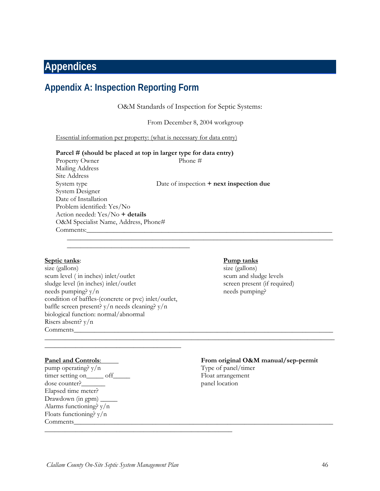# **Appendices**

# **Appendix A: Inspection Reporting Form**

O&M Standards of Inspection for Septic Systems:

From December 8, 2004 workgroup

Essential information per property: (what is necessary for data entry)

#### **Parcel # (should be placed at top in larger type for data entry)**

Property Owner Phone # Mailing Address Site Address System type Date of inspection **+ next inspection due** System Designer Date of Installation Problem identified: Yes/No Action needed: Yes/No **+ details** O&M Specialist Name, Address, Phone# Comments: \_\_\_\_\_\_\_\_\_\_\_\_\_\_\_\_\_\_\_\_\_\_\_\_\_\_\_\_\_\_\_\_\_\_\_\_\_\_\_\_\_\_\_\_\_\_\_\_\_\_\_\_\_\_\_\_\_\_\_\_\_\_\_\_\_\_\_\_\_\_\_\_\_\_\_\_\_\_

size (gallons) size (gallons) scum level (in inches) inlet/outlet scum and sludge levels sludge level (in inches) inlet/outlet screen present (if required) needs pumping?  $y/n$  needs pumping? condition of baffles-(concrete or pvc) inlet/outlet, baffle screen present? y/n needs cleaning? y/n biological function: normal/abnormal Risers absent? y/n Comments

\_\_\_\_\_\_\_\_\_\_\_\_\_\_\_\_\_\_\_\_\_\_\_\_\_\_\_\_\_\_\_\_\_\_\_\_\_\_\_\_

\_\_\_\_\_\_\_\_\_\_\_\_\_\_\_\_\_\_\_\_\_\_\_\_\_\_\_\_\_\_\_\_\_\_\_\_

#### **Septic tanks**: **Pump tanks**

pump operating? y/n Type of panel/timer timer setting on\_\_\_\_\_ off\_\_\_\_\_\_ Float arrangement dose counter?<br>
<u>panel location</u> Elapsed time meter? Drawdown (in gpm) \_\_\_\_\_ Alarms functioning? y/n Floats functioning?  $y/n$ Comments\_\_\_\_\_\_\_\_\_\_\_\_\_\_\_\_\_\_\_\_\_\_\_\_\_\_\_\_\_\_\_\_\_\_\_\_\_\_\_\_\_\_\_\_\_\_\_\_\_\_\_\_\_\_\_\_\_\_\_\_\_\_\_\_\_\_\_\_\_\_\_\_\_\_\_\_

#### **Panel and Controls**: **From original O&M manual/sep-permit**

\_\_\_\_\_\_\_\_\_\_\_\_\_\_\_\_\_\_\_\_\_\_\_\_\_\_\_\_\_\_\_\_\_\_\_\_\_\_\_\_\_\_\_\_\_\_\_\_\_\_\_\_\_\_\_\_\_\_\_\_\_\_\_\_\_\_\_\_\_\_\_\_\_\_\_\_\_\_\_\_\_\_\_\_\_

\_\_\_\_\_\_\_\_\_\_\_\_\_\_\_\_\_\_\_\_\_\_\_\_\_\_\_\_\_\_\_\_\_\_\_\_\_\_\_\_\_\_\_\_\_\_\_\_\_\_\_\_\_\_\_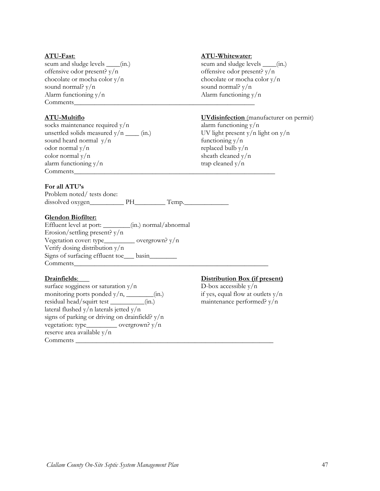## Comments\_ **Drainfields**: **Distribution Box (if present)** surface sogginess or saturation  $y/n$  D-box accessible  $y/n$ monitoring ports ponded  $y/n$ , \_\_\_\_\_\_\_(in.) if yes, equal flow at outlets  $y/n$ residual head/squirt test \_\_\_\_\_\_\_\_\_(in.) maintenance performed? y/n lateral flushed y/n laterals jetted y/n signs of parking or driving on drainfield? y/n vegetation: type\_\_\_\_\_\_\_\_\_ overgrown? y/n reserve area available y/n Comments \_\_\_\_\_\_\_\_\_\_\_\_\_\_\_\_\_\_\_\_\_\_\_\_\_\_\_\_\_\_\_\_\_\_\_\_\_\_\_\_\_\_\_\_\_\_\_\_\_\_\_\_\_\_\_\_\_\_

| <b>Glendon Biofilter:</b>        |                       |
|----------------------------------|-----------------------|
| Effluent level at port:          | (in.) normal/abnormal |
| Erosion/settling present? $y/n$  |                       |
| Vegetation cover: type_          | overgrown? $y/n$      |
| Verify dosing distribution y/n   |                       |
| Signs of surfacing effluent toe_ | basin                 |

#### **For all ATU's**

alarm functioning  $y/n$  trap cleaned  $y/n$ Comments\_ Problem noted/ tests done:

dissolved oxygen\_\_\_\_\_\_\_\_\_\_\_\_ PH\_\_\_\_\_\_\_\_\_\_\_ Temp.\_\_\_\_\_\_\_\_\_\_\_\_\_\_\_\_\_\_\_\_\_\_\_\_\_\_\_\_\_\_\_\_

#### **ATU-Fast**: **ATU-Whitewater**:

scum and sludge levels \_\_\_\_(in.) scum and sludge levels \_\_\_\_(in.)

### **ATU-Multiflo UVdisinfection** (manufacturer on permit)

socks maintenance required  $y/n$  alarm functioning  $y/n$ unsettled solids measured  $y/n$  \_\_\_\_\_ (in.) UV light present  $y/n$  light on  $y/n$ sound heard normal  $y/n$  functioning  $y/n$ odor normal  $y/n$  replaced bulb  $y/n$ color normal  $y/n$  sheath cleaned  $y/n$ 

offensive odor present? y/n offensive odor present? y/n chocolate or mocha color y/n chocolate or mocha color y/n sound normal?  $y/n$  sound normal?  $y/n$ Alarm functioning y/n Alarm functioning y/n Comments\_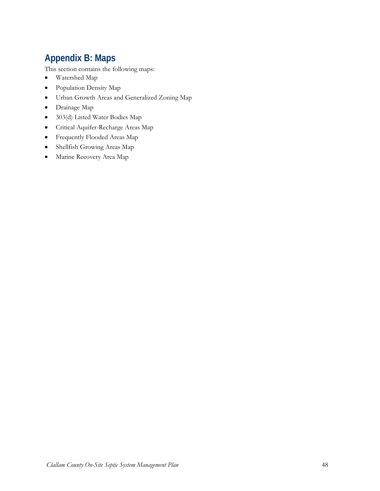# **Appendix B: Maps**

This section contains the following maps:

- Watershed Map
- Population Density Map
- Urban Growth Areas and Generalized Zoning Map
- Drainage Map
- 303(d) Listed Water Bodies Map
- Critical Aquifer-Recharge Areas Map
- Frequently Flooded Areas Map
- Shellfish Growing Areas Map
- Marine Recovery Area Map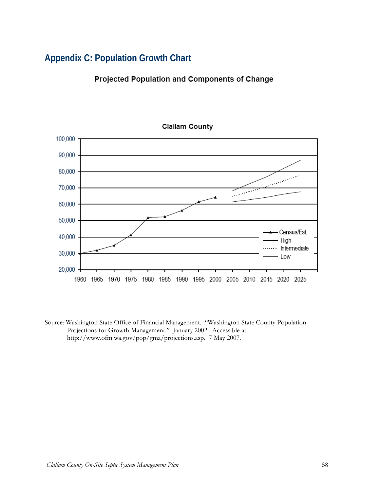# **Appendix C: Population Growth Chart**





**Clallam County** 

Source: Washington State Office of Financial Management. "Washington State County Population Projections for Growth Management." January 2002. Accessible at http://www.ofm.wa.gov/pop/gma/projections.asp. 7 May 2007.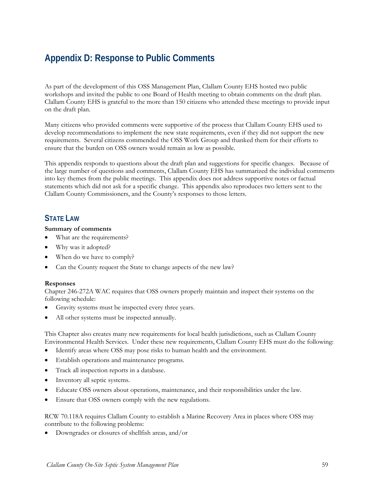# **Appendix D: Response to Public Comments**

As part of the development of this OSS Management Plan, Clallam County EHS hosted two public workshops and invited the public to one Board of Health meeting to obtain comments on the draft plan. Clallam County EHS is grateful to the more than 150 citizens who attended these meetings to provide input on the draft plan.

Many citizens who provided comments were supportive of the process that Clallam County EHS used to develop recommendations to implement the new state requirements, even if they did not support the new requirements. Several citizens commended the OSS Work Group and thanked them for their efforts to ensure that the burden on OSS owners would remain as low as possible.

This appendix responds to questions about the draft plan and suggestions for specific changes. Because of the large number of questions and comments, Clallam County EHS has summarized the individual comments into key themes from the public meetings. This appendix does not address supportive notes or factual statements which did not ask for a specific change. This appendix also reproduces two letters sent to the Clallam County Commissioners, and the County's responses to those letters.

#### **STATE LAW**

#### **Summary of comments**

- What are the requirements?
- Why was it adopted?
- When do we have to comply?
- Can the County request the State to change aspects of the new law?

#### **Responses**

Chapter 246-272A WAC requires that OSS owners properly maintain and inspect their systems on the following schedule:

- Gravity systems must be inspected every three years.
- All other systems must be inspected annually.

This Chapter also creates many new requirements for local health jurisdictions, such as Clallam County Environmental Health Services. Under these new requirements, Clallam County EHS must do the following:

- Identify areas where OSS may pose risks to human health and the environment.
- Establish operations and maintenance programs.
- Track all inspection reports in a database.
- Inventory all septic systems.
- Educate OSS owners about operations, maintenance, and their responsibilities under the law.
- Ensure that OSS owners comply with the new regulations.

RCW 70.118A requires Clallam County to establish a Marine Recovery Area in places where OSS may contribute to the following problems:

• Downgrades or closures of shellfish areas, and/or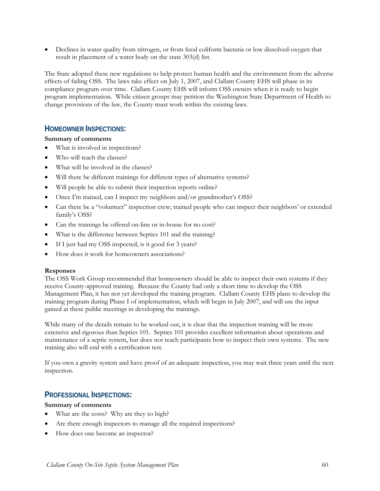• Declines in water quality from nitrogen, or from fecal coliform bacteria or low dissolved-oxygen that result in placement of a water body on the state 303(d) list.

The State adopted these new regulations to help protect human health and the environment from the adverse effects of failing OSS. The laws take effect on July 1, 2007, and Clallam County EHS will phase in its compliance program over time. Clallam County EHS will inform OSS owners when it is ready to begin program implementation. While citizen groups may petition the Washington State Department of Health to change provisions of the law, the County must work within the existing laws.

#### **HOMEOWNER INSPECTIONS:**

#### **Summary of comments**

- What is involved in inspections?
- Who will teach the classes?
- What will be involved in the classes?
- Will there be different trainings for different types of alternative systems?
- Will people be able to submit their inspection reports online?
- Once I'm trained, can I inspect my neighbors and/or grandmother's OSS?
- Can there be a "volunteer" inspection crew; trained people who can inspect their neighbors' or extended family's OSS?
- Can the trainings be offered on-line or in-house for no cost?
- What is the difference between Septics 101 and the training?
- If I just had my OSS inspected, is it good for 3 years?
- How does it work for homeowners associations?

#### **Responses**

The OSS Work Group recommended that homeowners should be able to inspect their own systems if they receive County-approved training. Because the County had only a short time to develop the OSS Management Plan, it has not yet developed the training program. Clallam County EHS plans to develop the training program during Phase I of implementation, which will begin in July 2007, and will use the input gained at these public meetings in developing the trainings.

While many of the details remain to be worked out, it is clear that the inspection training will be more extensive and rigorous than Septics 101. Septics 101 provides excellent information about operations and maintenance of a septic system, but does not teach participants how to inspect their own systems. The new training also will end with a certification test.

If you own a gravity system and have proof of an adequate inspection, you may wait three years until the next inspection.

#### **PROFESSIONAL INSPECTIONS:**

#### **Summary of comments**

- What are the costs? Why are they so high?
- Are there enough inspectors to manage all the required inspections?
- How does one become an inspector?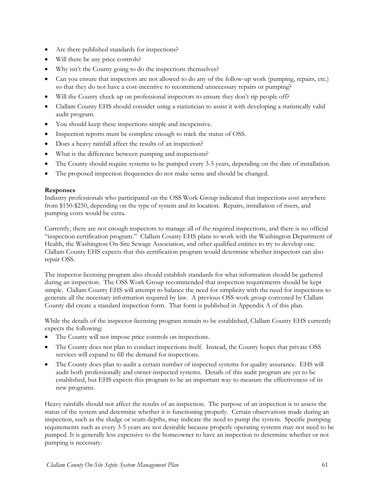- Are there published standards for inspections?
- Will there be any price controls?
- Why isn't the County going to do the inspections themselves?
- Can you ensure that inspectors are not allowed to do any of the follow-up work (pumping, repairs, etc.) so that they do not have a cost-incentive to recommend unnecessary repairs or pumping?
- Will the County check up on professional inspectors to ensure they don't rip people off?
- Clallam County EHS should consider using a statistician to assist it with developing a statistically valid audit program.
- You should keep these inspections simple and inexpensive.
- Inspection reports must be complete enough to track the status of OSS.
- Does a heavy rainfall affect the results of an inspection?
- What is the difference between pumping and inspections?
- The County should require systems to be pumped every 3-5 years, depending on the date of installation.
- The proposed inspection frequencies do not make sense and should be changed.

#### **Responses**

Industry professionals who participated on the OSS Work Group indicated that inspections cost anywhere from \$150-\$250, depending on the type of system and its location. Repairs, installation of risers, and pumping costs would be extra.

Currently, there are not enough inspectors to manage all of the required inspections, and there is no official "inspection certification program." Clallam County EHS plans to work with the Washington Department of Health, the Washington On-Site Sewage Association, and other qualified entities to try to develop one. Clallam County EHS expects that this certification program would determine whether inspectors can also repair OSS.

The inspector-licensing program also should establish standards for what information should be gathered during an inspection. The OSS Work Group recommended that inspection requirements should be kept simple. Clallam County EHS will attempt to balance the need for simplicity with the need for inspections to generate all the necessary information required by law. A previous OSS work group convened by Clallam County did create a standard inspection form. That form is published in Appendix A of this plan.

While the details of the inspector-licensing program remain to be established, Clallam County EHS currently expects the following:

- The County will not impose price controls on inspections.
- The County does not plan to conduct inspections itself. Instead, the County hopes that private OSS services will expand to fill the demand for inspections.
- The County does plan to audit a certain number of inspected systems for quality assurance. EHS will audit both professionally and owner-inspected systems. Details of this audit program are yet to be established, but EHS expects this program to be an important way to measure the effectiveness of its new programs.

Heavy rainfalls should not affect the results of an inspection. The purpose of an inspection is to assess the status of the system and determine whether it is functioning properly. Certain observations made during an inspection, such as the sludge or scum depths, may indicate the need to pump the system. Specific pumping requirements such as every 3-5 years are not desirable because properly operating systems may not need to be pumped. It is generally less expensive to the homeowner to have an inspection to determine whether or not pumping is necessary.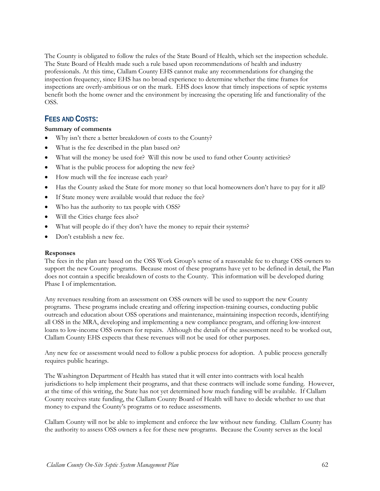The County is obligated to follow the rules of the State Board of Health, which set the inspection schedule. The State Board of Health made such a rule based upon recommendations of health and industry professionals. At this time, Clallam County EHS cannot make any recommendations for changing the inspection frequency, since EHS has no broad experience to determine whether the time frames for inspections are overly-ambitious or on the mark. EHS does know that timely inspections of septic systems benefit both the home owner and the environment by increasing the operating life and functionality of the OSS.

### **FEES AND COSTS:**

#### **Summary of comments**

- Why isn't there a better breakdown of costs to the County?
- What is the fee described in the plan based on?
- What will the money be used for? Will this now be used to fund other County activities?
- What is the public process for adopting the new fee?
- How much will the fee increase each year?
- Has the County asked the State for more money so that local homeowners don't have to pay for it all?
- If State money were available would that reduce the fee?
- Who has the authority to tax people with OSS?
- Will the Cities charge fees also?
- What will people do if they don't have the money to repair their systems?
- Don't establish a new fee.

#### **Responses**

The fees in the plan are based on the OSS Work Group's sense of a reasonable fee to charge OSS owners to support the new County programs. Because most of these programs have yet to be defined in detail, the Plan does not contain a specific breakdown of costs to the County. This information will be developed during Phase I of implementation.

Any revenues resulting from an assessment on OSS owners will be used to support the new County programs. These programs include creating and offering inspection-training courses, conducting public outreach and education about OSS operations and maintenance, maintaining inspection records, identifying all OSS in the MRA, developing and implementing a new compliance program, and offering low-interest loans to low-income OSS owners for repairs. Although the details of the assessment need to be worked out, Clallam County EHS expects that these revenues will not be used for other purposes.

Any new fee or assessment would need to follow a public process for adoption. A public process generally requires public hearings.

The Washington Department of Health has stated that it will enter into contracts with local health jurisdictions to help implement their programs, and that these contracts will include some funding. However, at the time of this writing, the State has not yet determined how much funding will be available. If Clallam County receives state funding, the Clallam County Board of Health will have to decide whether to use that money to expand the County's programs or to reduce assessments.

Clallam County will not be able to implement and enforce the law without new funding. Clallam County has the authority to assess OSS owners a fee for these new programs. Because the County serves as the local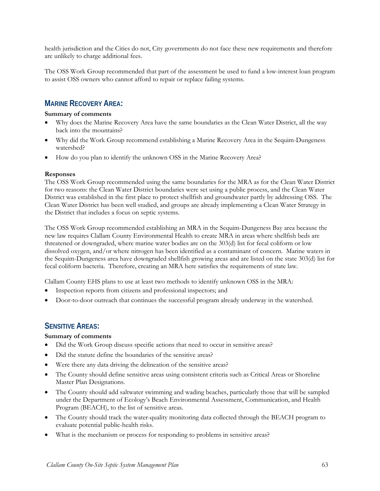health jurisdiction and the Cities do not, City governments do not face these new requirements and therefore are unlikely to charge additional fees.

The OSS Work Group recommended that part of the assessment be used to fund a low-interest loan program to assist OSS owners who cannot afford to repair or replace failing systems.

#### **MARINE RECOVERY AREA:**

#### **Summary of comments**

- Why does the Marine Recovery Area have the same boundaries as the Clean Water District, all the way back into the mountains?
- Why did the Work Group recommend establishing a Marine Recovery Area in the Sequim-Dungeness watershed?
- How do you plan to identify the unknown OSS in the Marine Recovery Area?

#### **Responses**

The OSS Work Group recommended using the same boundaries for the MRA as for the Clean Water District for two reasons: the Clean Water District boundaries were set using a public process, and the Clean Water District was established in the first place to protect shellfish and groundwater partly by addressing OSS. The Clean Water District has been well studied, and groups are already implementing a Clean Water Strategy in the District that includes a focus on septic systems.

The OSS Work Group recommended establishing an MRA in the Sequim-Dungeness Bay area because the new law requires Clallam County Environmental Health to create MRA in areas where shellfish beds are threatened or downgraded, where marine water bodies are on the 303(d) list for fecal coliform or low dissolved oxygen, and/or where nitrogen has been identified as a contaminant of concern. Marine waters in the Sequim-Dungeness area have downgraded shellfish growing areas and are listed on the state 303(d) list for fecal coliform bacteria. Therefore, creating an MRA here satisfies the requirements of state law.

Clallam County EHS plans to use at least two methods to identify unknown OSS in the MRA:

- Inspection reports from citizens and professional inspectors; and
- Door-to-door outreach that continues the successful program already underway in the watershed.

#### **SENSITIVE AREAS:**

#### **Summary of comments**

- Did the Work Group discuss specific actions that need to occur in sensitive areas?
- Did the statute define the boundaries of the sensitive areas?
- Were there any data driving the delineation of the sensitive areas?
- The County should define sensitive areas using consistent criteria such as Critical Areas or Shoreline Master Plan Designations.
- The County should add saltwater swimming and wading beaches, particularly those that will be sampled under the Department of Ecology's Beach Environmental Assessment, Communication, and Health Program (BEACH), to the list of sensitive areas.
- The County should track the water-quality monitoring data collected through the BEACH program to evaluate potential public-health risks.
- What is the mechanism or process for responding to problems in sensitive areas?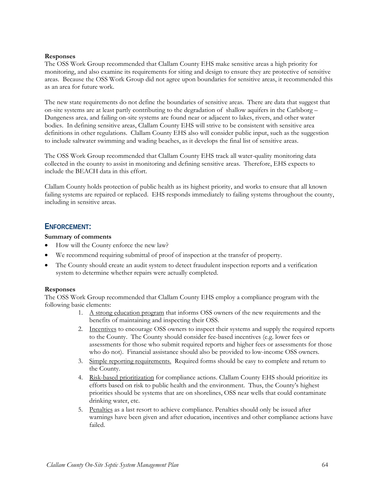#### **Responses**

The OSS Work Group recommended that Clallam County EHS make sensitive areas a high priority for monitoring, and also examine its requirements for siting and design to ensure they are protective of sensitive areas. Because the OSS Work Group did not agree upon boundaries for sensitive areas, it recommended this as an area for future work.

The new state requirements do not define the boundaries of sensitive areas. There are data that suggest that on-site systems are at least partly contributing to the degradation of shallow aquifers in the Carlsborg – Dungeness area, and failing on-site systems are found near or adjacent to lakes, rivers, and other water bodies. In defining sensitive areas, Clallam County EHS will strive to be consistent with sensitive area definitions in other regulations. Clallam County EHS also will consider public input, such as the suggestion to include saltwater swimming and wading beaches, as it develops the final list of sensitive areas.

The OSS Work Group recommended that Clallam County EHS track all water-quality monitoring data collected in the county to assist in monitoring and defining sensitive areas. Therefore, EHS expects to include the BEACH data in this effort.

Clallam County holds protection of public health as its highest priority, and works to ensure that all known failing systems are repaired or replaced. EHS responds immediately to failing systems throughout the county, including in sensitive areas.

#### **ENFORCEMENT:**

#### **Summary of comments**

- How will the County enforce the new law?
- We recommend requiring submittal of proof of inspection at the transfer of property.
- The County should create an audit system to detect fraudulent inspection reports and a verification system to determine whether repairs were actually completed.

#### **Responses**

The OSS Work Group recommended that Clallam County EHS employ a compliance program with the following basic elements:

- 1. A strong education program that informs OSS owners of the new requirements and the benefits of maintaining and inspecting their OSS.
- 2. Incentives to encourage OSS owners to inspect their systems and supply the required reports to the County. The County should consider fee-based incentives (e.g. lower fees or assessments for those who submit required reports and higher fees or assessments for those who do not). Financial assistance should also be provided to low-income OSS owners.
- 3. Simple reporting requirements. Required forms should be easy to complete and return to the County.
- 4. Risk-based prioritization for compliance actions. Clallam County EHS should prioritize its efforts based on risk to public health and the environment. Thus, the County's highest priorities should be systems that are on shorelines, OSS near wells that could contaminate drinking water, etc.
- 5. Penalties as a last resort to achieve compliance. Penalties should only be issued after warnings have been given and after education, incentives and other compliance actions have failed.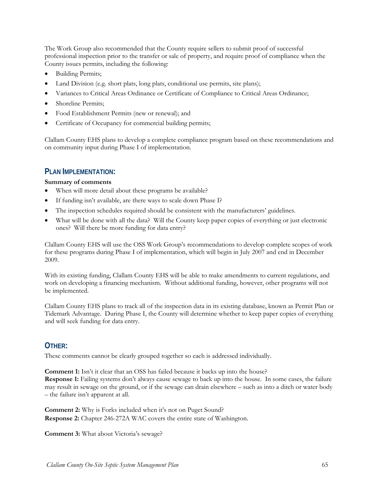The Work Group also recommended that the County require sellers to submit proof of successful professional inspection prior to the transfer or sale of property, and require proof of compliance when the County issues permits, including the following:

- Building Permits;
- Land Division (e.g. short plats, long plats, conditional use permits, site plans);
- Variances to Critical Areas Ordinance or Certificate of Compliance to Critical Areas Ordinance;
- Shoreline Permits;
- Food Establishment Permits (new or renewal); and
- Certificate of Occupancy for commercial building permits;

Clallam County EHS plans to develop a complete compliance program based on these recommendations and on community input during Phase I of implementation.

#### **PLAN IMPLEMENTATION:**

#### **Summary of comments**

- When will more detail about these programs be available?
- If funding isn't available, are there ways to scale down Phase I?
- The inspection schedules required should be consistent with the manufacturers' guidelines.
- What will be done with all the data? Will the County keep paper copies of everything or just electronic ones? Will there be more funding for data entry?

Clallam County EHS will use the OSS Work Group's recommendations to develop complete scopes of work for these programs during Phase I of implementation, which will begin in July 2007 and end in December 2009.

With its existing funding, Clallam County EHS will be able to make amendments to current regulations, and work on developing a financing mechanism. Without additional funding, however, other programs will not be implemented.

Clallam County EHS plans to track all of the inspection data in its existing database, known as Permit Plan or Tidemark Advantage. During Phase I, the County will determine whether to keep paper copies of everything and will seek funding for data entry.

### **OTHER:**

These comments cannot be clearly grouped together so each is addressed individually.

**Comment 1:** Isn't it clear that an OSS has failed because it backs up into the house? **Response 1:** Failing systems don't always cause sewage to back up into the house. In some cases, the failure may result in sewage on the ground, or if the sewage can drain elsewhere – such as into a ditch or water body – the failure isn't apparent at all.

**Comment 2:** Why is Forks included when it's not on Puget Sound? **Response 2:** Chapter 246-272A WAC covers the entire state of Washington.

**Comment 3:** What about Victoria's sewage?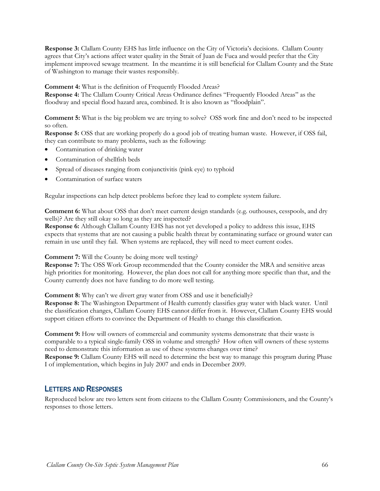**Response 3:** Clallam County EHS has little influence on the City of Victoria's decisions. Clallam County agrees that City's actions affect water quality in the Strait of Juan de Fuca and would prefer that the City implement improved sewage treatment. In the meantime it is still beneficial for Clallam County and the State of Washington to manage their wastes responsibly.

**Comment 4:** What is the definition of Frequently Flooded Areas?

**Response 4:** The Clallam County Critical Areas Ordinance defines "Frequently Flooded Areas" as the floodway and special flood hazard area, combined. It is also known as "floodplain".

**Comment 5:** What is the big problem we are trying to solve? OSS work fine and don't need to be inspected so often.

**Response 5:** OSS that are working properly do a good job of treating human waste. However, if OSS fail, they can contribute to many problems, such as the following:

- Contamination of drinking water
- Contamination of shellfish beds
- Spread of diseases ranging from conjunctivitis (pink eye) to typhoid
- Contamination of surface waters

Regular inspections can help detect problems before they lead to complete system failure.

**Comment 6:** What about OSS that don't meet current design standards (e.g. outhouses, cesspools, and dry wells)? Are they still okay so long as they are inspected?

**Response 6:** Although Clallam County EHS has not yet developed a policy to address this issue, EHS expects that systems that are not causing a public health threat by contaminating surface or ground water can remain in use until they fail. When systems are replaced, they will need to meet current codes.

**Comment 7:** Will the County be doing more well testing?

**Response 7:** The OSS Work Group recommended that the County consider the MRA and sensitive areas high priorities for monitoring. However, the plan does not call for anything more specific than that, and the County currently does not have funding to do more well testing.

**Comment 8:** Why can't we divert gray water from OSS and use it beneficially?

**Response 8:** The Washington Department of Health currently classifies gray water with black water. Until the classification changes, Clallam County EHS cannot differ from it. However, Clallam County EHS would support citizen efforts to convince the Department of Health to change this classification.

**Comment 9:** How will owners of commercial and community systems demonstrate that their waste is comparable to a typical single-family OSS in volume and strength? How often will owners of these systems need to demonstrate this information as use of these systems changes over time? **Response 9:** Clallam County EHS will need to determine the best way to manage this program during Phase I of implementation, which begins in July 2007 and ends in December 2009.

#### **LETTERS AND RESPONSES**

Reproduced below are two letters sent from citizens to the Clallam County Commissioners, and the County's responses to those letters.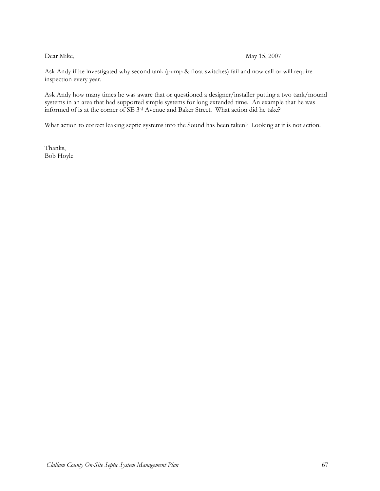#### Dear Mike, May 15, 2007

Ask Andy if he investigated why second tank (pump & float switches) fail and now call or will require inspection every year.

Ask Andy how many times he was aware that or questioned a designer/installer putting a two tank/mound systems in an area that had supported simple systems for long extended time. An example that he was informed of is at the corner of SE 3rd Avenue and Baker Street. What action did he take?

What action to correct leaking septic systems into the Sound has been taken? Looking at it is not action.

Thanks, Bob Hoyle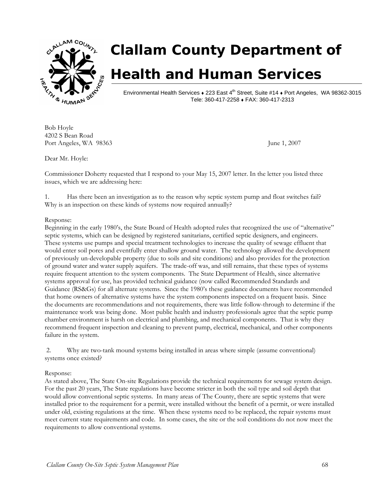

# **Clallam County Department of Health and Human Services**

Environmental Health Services • 223 East 4<sup>th</sup> Street, Suite #14 • Port Angeles, WA 98362-3015 Tele: 360-417-2258 FAX: 360-417-2313

Bob Hoyle 4202 S Bean Road Port Angeles, WA 98363 June 1, 2007

Dear Mr. Hoyle:

Commissioner Doherty requested that I respond to your May 15, 2007 letter. In the letter you listed three issues, which we are addressing here:

1. Has there been an investigation as to the reason why septic system pump and float switches fail? Why is an inspection on these kinds of systems now required annually?

#### Response:

Beginning in the early 1980's, the State Board of Health adopted rules that recognized the use of "alternative" septic systems, which can be designed by registered sanitarians, certified septic designers, and engineers. These systems use pumps and special treatment technologies to increase the quality of sewage effluent that would enter soil pores and eventfully enter shallow ground water. The technology allowed the development of previously un-developable property (due to soils and site conditions) and also provides for the protection of ground water and water supply aquifers. The trade-off was, and still remains, that these types of systems require frequent attention to the system components. The State Department of Health, since alternative systems approval for use, has provided technical guidance (now called Recommended Standards and Guidance (RS&Gs) for all alternate systems. Since the 1980's these guidance documents have recommended that home owners of alternative systems have the system components inspected on a frequent basis. Since the documents are recommendations and not requirements, there was little follow-through to determine if the maintenance work was being done. Most public health and industry professionals agree that the septic pump chamber environment is harsh on electrical and plumbing, and mechanical components. That is why they recommend frequent inspection and cleaning to prevent pump, electrical, mechanical, and other components failure in the system.

 2. Why are two-tank mound systems being installed in areas where simple (assume conventional) systems once existed?

#### Response:

As stated above, The State On-site Regulations provide the technical requirements for sewage system design. For the past 20 years, The State regulations have become stricter in both the soil type and soil depth that would allow conventional septic systems. In many areas of The County, there are septic systems that were installed prior to the requirement for a permit, were installed without the benefit of a permit, or were installed under old, existing regulations at the time. When these systems need to be replaced, the repair systems must meet current state requirements and code. In some cases, the site or the soil conditions do not now meet the requirements to allow conventional systems.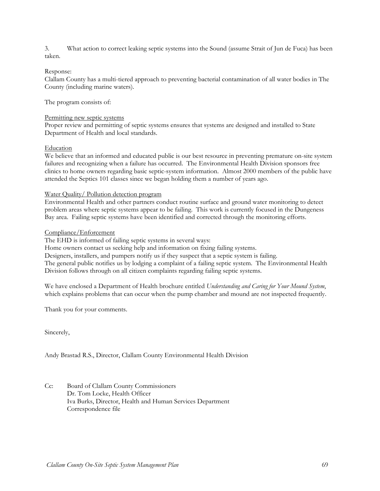3. What action to correct leaking septic systems into the Sound (assume Strait of Jun de Fuca) has been taken.

#### Response:

Clallam County has a multi-tiered approach to preventing bacterial contamination of all water bodies in The County (including marine waters).

The program consists of:

#### Permitting new septic systems

Proper review and permitting of septic systems ensures that systems are designed and installed to State Department of Health and local standards.

#### Education

We believe that an informed and educated public is our best resource in preventing premature on-site system failures and recognizing when a failure has occurred. The Environmental Health Division sponsors free clinics to home owners regarding basic septic-system information. Almost 2000 members of the public have attended the Septics 101 classes since we began holding them a number of years ago.

#### Water Quality/ Pollution detection program

Environmental Health and other partners conduct routine surface and ground water monitoring to detect problem areas where septic systems appear to be failing. This work is currently focused in the Dungeness Bay area. Failing septic systems have been identified and corrected through the monitoring efforts.

#### Compliance/Enforcement

The EHD is informed of failing septic systems in several ways:

Home owners contact us seeking help and information on fixing failing systems.

Designers, installers, and pumpers notify us if they suspect that a septic system is failing.

The general public notifies us by lodging a complaint of a failing septic system. The Environmental Health Division follows through on all citizen complaints regarding failing septic systems.

We have enclosed a Department of Health brochure entitled *Understanding and Caring for Your Mound System*, which explains problems that can occur when the pump chamber and mound are not inspected frequently.

Thank you for your comments.

Sincerely,

Andy Brastad R.S., Director, Clallam County Environmental Health Division

Cc: Board of Clallam County Commissioners Dr. Tom Locke, Health Officer Iva Burks, Director, Health and Human Services Department Correspondence file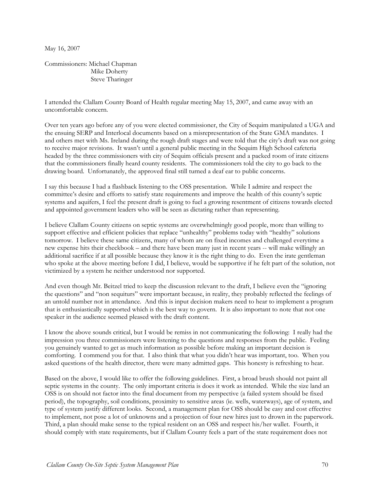May 16, 2007

Commissioners: Michael Chapman Mike Doherty Steve Tharinger

I attended the Clallam County Board of Health regular meeting May 15, 2007, and came away with an uncomfortable concern.

Over ten years ago before any of you were elected commissioner, the City of Sequim manipulated a UGA and the ensuing SERP and Interlocal documents based on a misrepresentation of the State GMA mandates. I and others met with Ms. Ireland during the rough draft stages and were told that the city's draft was not going to receive major revisions. It wasn't until a general public meeting in the Sequim High School cafeteria headed by the three commissioners with city of Sequim officials present and a packed room of irate citizens that the commissioners finally heard county residents. The commissioners told the city to go back to the drawing board. Unfortunately, the approved final still turned a deaf ear to public concerns.

I say this because I had a flashback listening to the OSS presentation. While I admire and respect the committee's desire and efforts to satisfy state requirements and improve the health of this county's septic systems and aquifers, I feel the present draft is going to fuel a growing resentment of citizens towards elected and appointed government leaders who will be seen as dictating rather than representing.

I believe Clallam County citizens on septic systems are overwhelmingly good people, more than willing to support effective and efficient policies that replace "unhealthy" problems today with "healthy" solutions tomorrow. I believe these same citizens, many of whom are on fixed incomes and challenged everytime a new expense hits their checkbook – and there have been many just in recent years -- will make willingly an additional sacrifice if at all possible because they know it is the right thing to do. Even the irate gentleman who spoke at the above meeting before I did, I believe, would be supportive if he felt part of the solution, not victimized by a system he neither understood nor supported.

And even though Mr. Beitzel tried to keep the discussion relevant to the draft, I believe even the "ignoring the questions" and "non sequiturs" were important because, in reality, they probably reflected the feelings of an untold number not in attendance. And this is input decision makers need to hear to implement a program that is enthusiastically supported which is the best way to govern. It is also important to note that not one speaker in the audience seemed pleased with the draft content.

I know the above sounds critical, but I would be remiss in not communicating the following: I really had the impression you three commissioners were listening to the questions and responses from the public. Feeling you genuinely wanted to get as much information as possible before making an important decision is comforting. I commend you for that. I also think that what you didn't hear was important, too. When you asked questions of the health director, there were many admitted gaps. This honesty is refreshing to hear.

Based on the above, I would like to offer the following guidelines. First, a broad brush should not paint all septic systems in the county. The only important criteria is does it work as intended. While the size land an OSS is on should not factor into the final document from my perspective (a failed system should be fixed period), the topography, soil conditions, proximity to sensitive areas (ie. wells, waterways), age of system, and type of system justify different looks. Second, a management plan for OSS should be easy and cost effective to implement, not pose a lot of unknowns and a projection of four new hires just to drown in the paperwork. Third, a plan should make sense to the typical resident on an OSS and respect his/her wallet. Fourth, it should comply with state requirements, but if Clallam County feels a part of the state requirement does not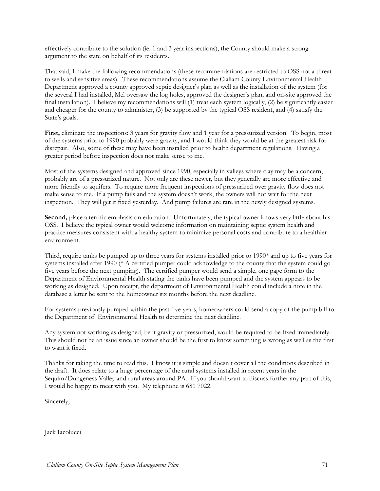effectively contribute to the solution (ie. 1 and 3 year inspections), the County should make a strong argument to the state on behalf of its residents.

That said, I make the following recommendations (these recommendations are restricted to OSS not a threat to wells and sensitive areas). These recommendations assume the Clallam County Environmental Health Department approved a county approved septic designer's plan as well as the installation of the system (for the several I had installed, Mel oversaw the log holes, approved the designer's plan, and on-site approved the final installation). I believe my recommendations will (1) treat each system logically, (2) be significantly easier and cheaper for the county to administer, (3) be supported by the typical OSS resident, and (4) satisfy the State's goals.

**First,** eliminate the inspections: 3 years for gravity flow and 1 year for a pressurized version. To begin, most of the systems prior to 1990 probably were gravity, and I would think they would be at the greatest risk for disrepair. Also, some of these may have been installed prior to health department regulations. Having a greater period before inspection does not make sense to me.

Most of the systems designed and approved since 1990, especially in valleys where clay may be a concern, probably are of a pressurized nature. Not only are these newer, but they generally are more effective and more friendly to aquifers. To require more frequent inspections of pressurized over gravity flow does not make sense to me. If a pump fails and the system doesn't work, the owners will not wait for the next inspection. They will get it fixed yesterday. And pump failures are rare in the newly designed systems.

**Second,** place a terrific emphasis on education. Unfortunately, the typical owner knows very little about his OSS. I believe the typical owner would welcome information on maintaining septic system health and practice measures consistent with a healthy system to minimize personal costs and contribute to a healthier environment.

Third, require tanks be pumped up to three years for systems installed prior to 1990\* and up to five years for systems installed after 1990 (\* A certified pumper could acknowledge to the county that the system could go five years before the next pumping). The certified pumper would send a simple, one page form to the Department of Environmental Health stating the tanks have been pumped and the system appears to be working as designed. Upon receipt, the department of Environmental Health could include a note in the database a letter be sent to the homeowner six months before the next deadline.

For systems previously pumped within the past five years, homeowners could send a copy of the pump bill to the Department of Environmental Health to determine the next deadline.

Any system not working as designed, be it gravity or pressurized, would be required to be fixed immediately. This should not be an issue since an owner should be the first to know something is wrong as well as the first to want it fixed.

Thanks for taking the time to read this. I know it is simple and doesn't cover all the conditions described in the draft. It does relate to a huge percentage of the rural systems installed in recent years in the Sequim/Dungeness Valley and rural areas around PA. If you should want to discuss further any part of this, I would be happy to meet with you. My telephone is 681 7022.

Sincerely,

Jack Iacolucci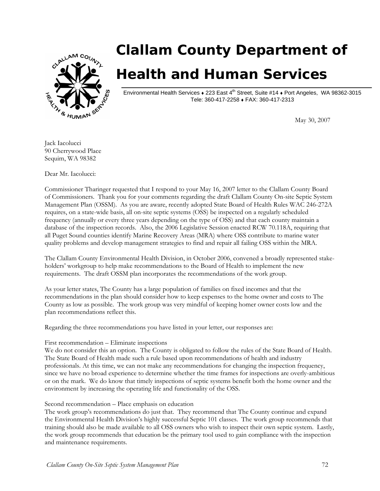

# **Clallam County Department of Health and Human Services**

Environmental Health Services • 223 East 4<sup>th</sup> Street, Suite #14 • Port Angeles, WA 98362-3015 Tele: 360-417-2258 FAX: 360-417-2313

May 30, 2007

Jack Iacolucci 90 Cherrywood Place Sequim, WA 98382

Dear Mr. Iacolucci:

Commissioner Tharinger requested that I respond to your May 16, 2007 letter to the Clallam County Board of Commissioners. Thank you for your comments regarding the draft Clallam County On-site Septic System Management Plan (OSSM). As you are aware, recently adopted State Board of Health Rules WAC 246-272A requires, on a state-wide basis, all on-site septic systems (OSS) be inspected on a regularly scheduled frequency (annually or every three years depending on the type of OSS) and that each county maintain a database of the inspection records. Also, the 2006 Legislative Session enacted RCW 70.118A, requiring that all Puget Sound counties identify Marine Recovery Areas (MRA) where OSS contribute to marine water quality problems and develop management strategies to find and repair all failing OSS within the MRA.

The Clallam County Environmental Health Division, in October 2006, convened a broadly represented stakeholders' workgroup to help make recommendations to the Board of Health to implement the new requirements. The draft OSSM plan incorporates the recommendations of the work group.

As your letter states, The County has a large population of families on fixed incomes and that the recommendations in the plan should consider how to keep expenses to the home owner and costs to The County as low as possible. The work group was very mindful of keeping homer owner costs low and the plan recommendations reflect this.

Regarding the three recommendations you have listed in your letter, our responses are:

#### First recommendation – Eliminate inspections

We do not consider this an option. The County is obligated to follow the rules of the State Board of Health. The State Board of Health made such a rule based upon recommendations of health and industry professionals. At this time, we can not make any recommendations for changing the inspection frequency, since we have no broad experience to determine whether the time frames for inspections are overly-ambitious or on the mark. We do know that timely inspections of septic systems benefit both the home owner and the environment by increasing the operating life and functionality of the OSS.

#### Second recommendation – Place emphasis on education

The work group's recommendations do just that. They recommend that The County continue and expand the Environmental Health Division's highly successful Septic 101 classes. The work group recommends that training should also be made available to all OSS owners who wish to inspect their own septic system. Lastly, the work group recommends that education be the primary tool used to gain compliance with the inspection and maintenance requirements.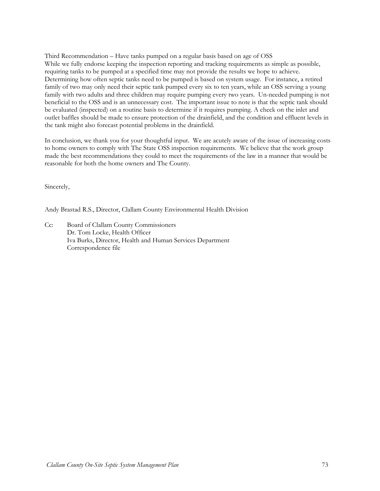Third Recommendation – Have tanks pumped on a regular basis based on age of OSS While we fully endorse keeping the inspection reporting and tracking requirements as simple as possible, requiring tanks to be pumped at a specified time may not provide the results we hope to achieve. Determining how often septic tanks need to be pumped is based on system usage. For instance, a retired family of two may only need their septic tank pumped every six to ten years, while an OSS serving a young family with two adults and three children may require pumping every two years. Un-needed pumping is not beneficial to the OSS and is an unnecessary cost. The important issue to note is that the septic tank should be evaluated (inspected) on a routine basis to determine if it requires pumping. A check on the inlet and outlet baffles should be made to ensure protection of the drainfield, and the condition and effluent levels in the tank might also forecast potential problems in the drainfield.

In conclusion, we thank you for your thoughtful input. We are acutely aware of the issue of increasing costs to home owners to comply with The State OSS inspection requirements. We believe that the work group made the best recommendations they could to meet the requirements of the law in a manner that would be reasonable for both the home owners and The County.

Sincerely,

Andy Brastad R.S., Director, Clallam County Environmental Health Division

Cc: Board of Clallam County Commissioners Dr. Tom Locke, Health Officer Iva Burks, Director, Health and Human Services Department Correspondence file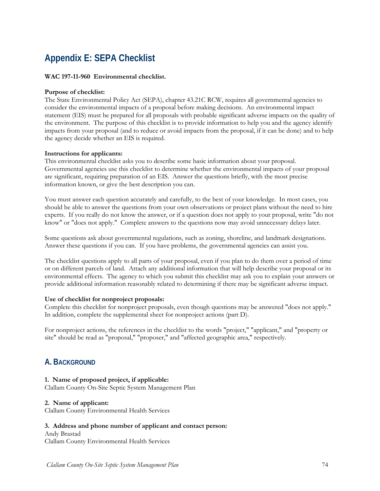# **Appendix E: SEPA Checklist**

# **WAC 197-11-960 Environmental checklist.**

# **Purpose of checklist:**

The State Environmental Policy Act (SEPA), chapter 43.21C RCW, requires all governmental agencies to consider the environmental impacts of a proposal before making decisions. An environmental impact statement (EIS) must be prepared for all proposals with probable significant adverse impacts on the quality of the environment. The purpose of this checklist is to provide information to help you and the agency identify impacts from your proposal (and to reduce or avoid impacts from the proposal, if it can be done) and to help the agency decide whether an EIS is required.

# **Instructions for applicants:**

This environmental checklist asks you to describe some basic information about your proposal. Governmental agencies use this checklist to determine whether the environmental impacts of your proposal are significant, requiring preparation of an EIS. Answer the questions briefly, with the most precise information known, or give the best description you can.

You must answer each question accurately and carefully, to the best of your knowledge. In most cases, you should be able to answer the questions from your own observations or project plans without the need to hire experts. If you really do not know the answer, or if a question does not apply to your proposal, write "do not know" or "does not apply." Complete answers to the questions now may avoid unnecessary delays later.

Some questions ask about governmental regulations, such as zoning, shoreline, and landmark designations. Answer these questions if you can. If you have problems, the governmental agencies can assist you.

The checklist questions apply to all parts of your proposal, even if you plan to do them over a period of time or on different parcels of land. Attach any additional information that will help describe your proposal or its environmental effects. The agency to which you submit this checklist may ask you to explain your answers or provide additional information reasonably related to determining if there may be significant adverse impact.

# **Use of checklist for nonproject proposals:**

Complete this checklist for nonproject proposals, even though questions may be answered "does not apply." In addition, complete the supplemental sheet for nonproject actions (part D).

For nonproject actions, the references in the checklist to the words "project," "applicant," and "property or site" should be read as "proposal," "proposer," and "affected geographic area," respectively.

# **A. BACKGROUND**

#### **1. Name of proposed project, if applicable:**

Clallam County On-Site Septic System Management Plan

#### **2. Name of applicant:**

Clallam County Environmental Health Services

# **3. Address and phone number of applicant and contact person:**

Andy Brastad Clallam County Environmental Health Services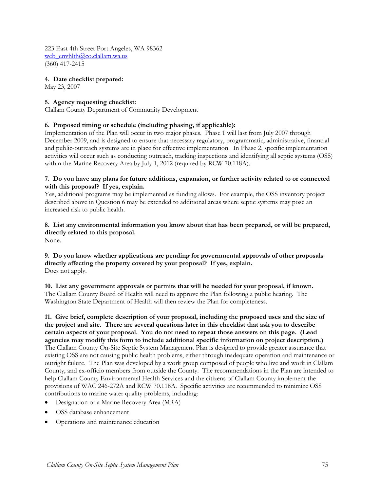223 East 4th Street Port Angeles, WA 98362 web\_envhlth@co.clallam.wa.us (360) 417-2415

**4. Date checklist prepared:** 

May 23, 2007

# **5. Agency requesting checklist:**

Clallam County Department of Community Development

# **6. Proposed timing or schedule (including phasing, if applicable):**

Implementation of the Plan will occur in two major phases. Phase 1 will last from July 2007 through December 2009, and is designed to ensure that necessary regulatory, programmatic, administrative, financial and public-outreach systems are in place for effective implementation. In Phase 2, specific implementation activities will occur such as conducting outreach, tracking inspections and identifying all septic systems (OSS) within the Marine Recovery Area by July 1, 2012 (required by RCW 70.118A).

# **7. Do you have any plans for future additions, expansion, or further activity related to or connected with this proposal? If yes, explain.**

Yes, additional programs may be implemented as funding allows. For example, the OSS inventory project described above in Question 6 may be extended to additional areas where septic systems may pose an increased risk to public health.

# **8. List any environmental information you know about that has been prepared, or will be prepared, directly related to this proposal.**

None.

# **9. Do you know whether applications are pending for governmental approvals of other proposals directly affecting the property covered by your proposal? If yes, explain.**  Does not apply.

**10. List any government approvals or permits that will be needed for your proposal, if known.**  The Clallam County Board of Health will need to approve the Plan following a public hearing. The Washington State Department of Health will then review the Plan for completeness.

**11. Give brief, complete description of your proposal, including the proposed uses and the size of the project and site. There are several questions later in this checklist that ask you to describe certain aspects of your proposal. You do not need to repeat those answers on this page. (Lead agencies may modify this form to include additional specific information on project description.)**  The Clallam County On-Site Septic System Management Plan is designed to provide greater assurance that existing OSS are not causing public health problems, either through inadequate operation and maintenance or outright failure. The Plan was developed by a work group composed of people who live and work in Clallam County, and ex-officio members from outside the County. The recommendations in the Plan are intended to help Clallam County Environmental Health Services and the citizens of Clallam County implement the provisions of WAC 246-272A and RCW 70.118A. Specific activities are recommended to minimize OSS contributions to marine water quality problems, including:

- Designation of a Marine Recovery Area (MRA)
- OSS database enhancement
- Operations and maintenance education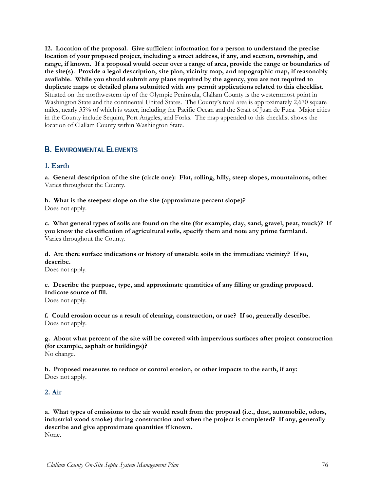**12. Location of the proposal. Give sufficient information for a person to understand the precise location of your proposed project, including a street address, if any, and section, township, and range, if known. If a proposal would occur over a range of area, provide the range or boundaries of the site(s). Provide a legal description, site plan, vicinity map, and topographic map, if reasonably available. While you should submit any plans required by the agency, you are not required to duplicate maps or detailed plans submitted with any permit applications related to this checklist.**  Situated on the northwestern tip of the Olympic Peninsula, Clallam County is the westernmost point in Washington State and the continental United States. The County's total area is approximately 2,670 square miles, nearly 35% of which is water, including the Pacific Ocean and the Strait of Juan de Fuca. Major cities in the County include Sequim, Port Angeles, and Forks. The map appended to this checklist shows the location of Clallam County within Washington State.

# **B. ENVIRONMENTAL ELEMENTS**

# **1. Earth**

**a. General description of the site (circle one): Flat, rolling, hilly, steep slopes, mountainous, other**  Varies throughout the County.

**b. What is the steepest slope on the site (approximate percent slope)?**  Does not apply.

**c. What general types of soils are found on the site (for example, clay, sand, gravel, peat, muck)? If you know the classification of agricultural soils, specify them and note any prime farmland.**  Varies throughout the County.

**d. Are there surface indications or history of unstable soils in the immediate vicinity? If so, describe.** 

Does not apply.

**e. Describe the purpose, type, and approximate quantities of any filling or grading proposed. Indicate source of fill.**  Does not apply.

**f. Could erosion occur as a result of clearing, construction, or use? If so, generally describe.**  Does not apply.

**g. About what percent of the site will be covered with impervious surfaces after project construction (for example, asphalt or buildings)?**  No change.

**h. Proposed measures to reduce or control erosion, or other impacts to the earth, if any:**  Does not apply.

# **2. Air**

**a. What types of emissions to the air would result from the proposal (i.e., dust, automobile, odors, industrial wood smoke) during construction and when the project is completed? If any, generally describe and give approximate quantities if known.**  None.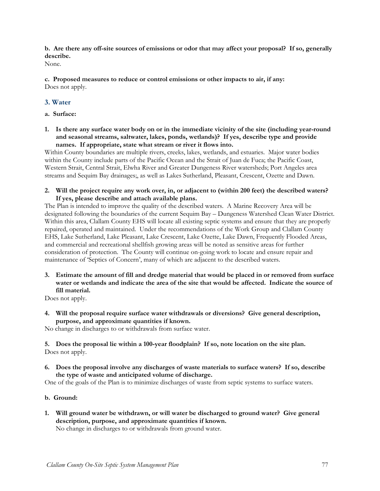**b. Are there any off-site sources of emissions or odor that may affect your proposal? If so, generally describe.** 

None.

**c. Proposed measures to reduce or control emissions or other impacts to air, if any:**  Does not apply.

# **3. Water**

- **a. Surface:**
- **1. Is there any surface water body on or in the immediate vicinity of the site (including year-round and seasonal streams, saltwater, lakes, ponds, wetlands)? If yes, describe type and provide names. If appropriate, state what stream or river it flows into.**

Within County boundaries are multiple rivers, creeks, lakes, wetlands, and estuaries. Major water bodies within the County include parts of the Pacific Ocean and the Strait of Juan de Fuca; the Pacific Coast, Western Strait, Central Strait, Elwha River and Greater Dungeness River watersheds; Port Angeles area streams and Sequim Bay drainages;, as well as Lakes Sutherland, Pleasant, Crescent, Ozette and Dawn.

**2. Will the project require any work over, in, or adjacent to (within 200 feet) the described waters? If yes, please describe and attach available plans.** 

The Plan is intended to improve the quality of the described waters. A Marine Recovery Area will be designated following the boundaries of the current Sequim Bay – Dungeness Watershed Clean Water District. Within this area, Clallam County EHS will locate all existing septic systems and ensure that they are properly repaired, operated and maintained. Under the recommendations of the Work Group and Clallam County EHS, Lake Sutherland, Lake Pleasant, Lake Crescent, Lake Ozette, Lake Dawn, Frequently Flooded Areas, and commercial and recreational shellfish growing areas will be noted as sensitive areas for further consideration of protection. The County will continue on-going work to locate and ensure repair and maintenance of 'Septics of Concern', many of which are adjacent to the described waters.

**3. Estimate the amount of fill and dredge material that would be placed in or removed from surface water or wetlands and indicate the area of the site that would be affected. Indicate the source of fill material.** 

Does not apply.

**4. Will the proposal require surface water withdrawals or diversions? Give general description, purpose, and approximate quantities if known.** 

No change in discharges to or withdrawals from surface water.

# **5. Does the proposal lie within a 100-year floodplain? If so, note location on the site plan.**  Does not apply.

**6. Does the proposal involve any discharges of waste materials to surface waters? If so, describe the type of waste and anticipated volume of discharge.** 

One of the goals of the Plan is to minimize discharges of waste from septic systems to surface waters.

# **b. Ground:**

**1. Will ground water be withdrawn, or will water be discharged to ground water? Give general description, purpose, and approximate quantities if known.** 

No change in discharges to or withdrawals from ground water.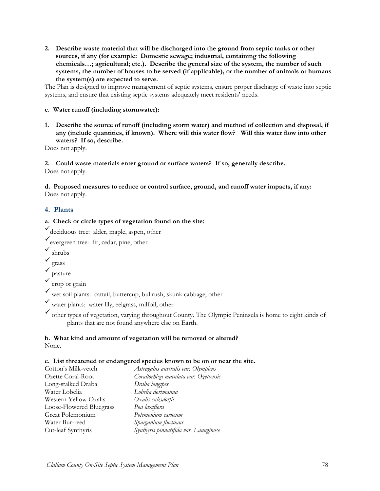**2. Describe waste material that will be discharged into the ground from septic tanks or other sources, if any (for example: Domestic sewage; industrial, containing the following chemicals…; agricultural; etc.). Describe the general size of the system, the number of such systems, the number of houses to be served (if applicable), or the number of animals or humans the system(s) are expected to serve.** 

The Plan is designed to improve management of septic systems, ensure proper discharge of waste into septic systems, and ensure that existing septic systems adequately meet residents' needs.

# **c. Water runoff (including stormwater):**

**1. Describe the source of runoff (including storm water) and method of collection and disposal, if any (include quantities, if known). Where will this water flow? Will this water flow into other waters? If so, describe.** 

Does not apply.

**2. Could waste materials enter ground or surface waters? If so, generally describe.** 

Does not apply.

**d. Proposed measures to reduce or control surface, ground, and runoff water impacts, if any:**  Does not apply.

# **4. Plants**

# **a. Check or circle types of vegetation found on the site:**

- $\checkmark$  deciduous tree: alder, maple, aspen, other
- 9 evergreen tree: fir, cedar, pine, other
- 9 shrubs
- $\checkmark$ grass
- $\checkmark$ pasture
- $\checkmark$ crop or grain
- 9 wet soil plants: cattail, buttercup, bullrush, skunk cabbage, other
- $\checkmark$ water plants: water lily, eelgrass, milfoil, other
- 9 other types of vegetation, varying throughout County. The Olympic Peninsula is home to eight kinds of plants that are not found anywhere else on Earth.

# **b. What kind and amount of vegetation will be removed or altered?**  None.

# **c. List threatened or endangered species known to be on or near the site.**

| Cotton's Milk-vetch      | Astragalus australis var. Olympicus   |
|--------------------------|---------------------------------------|
| Ozette Coral-Root        | Corallorhiza maculata var. Ozettensis |
| Long-stalked Draba       | Draba longipes                        |
| Water Lobelia            | Lobelia dortmanna                     |
| Western Yellow Oxalis    | Oxalis suksdorfii                     |
| Loose-Flowered Bluegrass | Poa laxiflora                         |
| Great Polemonium         | Polemonium carneum                    |
| Water Bur-reed           | Sparganium fluctuans                  |
| Cut-leaf Synthyris       | Synthyris pinnatifida var. Lanuginose |
|                          |                                       |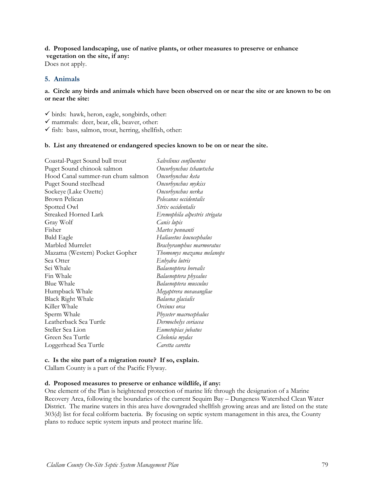**d. Proposed landscaping, use of native plants, or other measures to preserve or enhance vegetation on the site, if any:** 

Does not apply.

# **5. Animals**

**a. Circle any birds and animals which have been observed on or near the site or are known to be on or near the site:** 

- $\checkmark$  birds: hawk, heron, eagle, songbirds, other:
- $\checkmark$  mammals: deer, bear, elk, beaver, other:
- $\checkmark$  fish: bass, salmon, trout, herring, shellfish, other:

#### **b. List any threatened or endangered species known to be on or near the site.**

| Coastal-Puget Sound bull trout    | Salvelinus confluentus        |
|-----------------------------------|-------------------------------|
| Puget Sound chinook salmon        | Oncorhynchus tshawtscha       |
| Hood Canal summer-run chum salmon | Oncorhynchus keta             |
| Puget Sound steelhead             | Oncorhynchus mykiss           |
| Sockeye (Lake Ozette)             | Oncorhynchus nerka            |
| Brown Pelican                     | Pelecanus occidentalis        |
| Spotted Owl                       | Strix occidentalis            |
| Streaked Horned Lark              | Eremophila alpestris strigata |
| Gray Wolf                         | Canis lupis                   |
| Fisher                            | Martes pennanti               |
| <b>Bald Eagle</b>                 | Haliaeetus leucocephalus      |
| Marbled Murrelet                  | Brachyramphus marmoratus      |
| Mazama (Western) Pocket Gopher    | Thomomys mazama melanops      |
| Sea Otter                         | Enhydra lutris                |
| Sei Whale                         | Balaenoptera borealis         |
| Fin Whale                         | Balaenoptera physalus         |
| <b>Blue Whale</b>                 | Balaenoptera musculus         |
| Humpback Whale                    | Megaptrera novaeangliae       |
| <b>Black Right Whale</b>          | Balaena glacialis             |
| Killer Whale                      | Orcinus orca                  |
| Sperm Whale                       | Physeter macrocephalus        |
| Leatherback Sea Turtle            | Dermochelys coriacea          |
| Steller Sea Lion                  | Eumetopias jubatus            |
| Green Sea Turtle                  | Chelonia mydas                |
| Loggerhead Sea Turtle             | Caretta caretta               |

# **c. Is the site part of a migration route? If so, explain.**

Clallam County is a part of the Pacific Flyway.

# **d. Proposed measures to preserve or enhance wildlife, if any:**

One element of the Plan is heightened protection of marine life through the designation of a Marine Recovery Area, following the boundaries of the current Sequim Bay – Dungeness Watershed Clean Water District. The marine waters in this area have downgraded shellfish growing areas and are listed on the state 303(d) list for fecal coliform bacteria. By focusing on septic system management in this area, the County plans to reduce septic system inputs and protect marine life.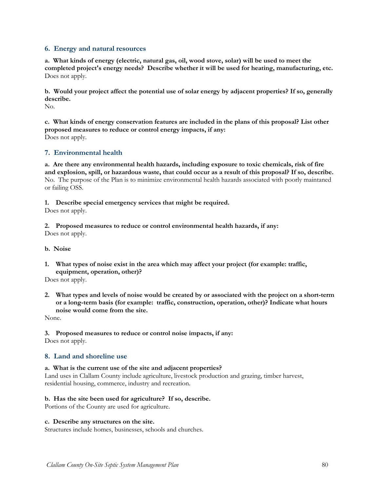# **6. Energy and natural resources**

**a. What kinds of energy (electric, natural gas, oil, wood stove, solar) will be used to meet the completed project's energy needs? Describe whether it will be used for heating, manufacturing, etc.** Does not apply.

**b. Would your project affect the potential use of solar energy by adjacent properties? If so, generally describe.** 

No.

**c. What kinds of energy conservation features are included in the plans of this proposal? List other proposed measures to reduce or control energy impacts, if any:**  Does not apply.

#### **7. Environmental health**

**a. Are there any environmental health hazards, including exposure to toxic chemicals, risk of fire and explosion, spill, or hazardous waste, that could occur as a result of this proposal? If so, describe.**  No. The purpose of the Plan is to minimize environmental health hazards associated with poorly maintaned or failing OSS.

**1. Describe special emergency services that might be required.** 

Does not apply.

**2. Proposed measures to reduce or control environmental health hazards, if any:**  Does not apply.

**b. Noise** 

**1. What types of noise exist in the area which may affect your project (for example: traffic, equipment, operation, other)?** 

Does not apply.

**2. What types and levels of noise would be created by or associated with the project on a short-term or a long-term basis (for example: traffic, construction, operation, other)? Indicate what hours noise would come from the site.** 

None.

#### **3. Proposed measures to reduce or control noise impacts, if any:**

Does not apply.

# **8. Land and shoreline use**

#### **a. What is the current use of the site and adjacent properties?**

Land uses in Clallam County include agriculture, livestock production and grazing, timber harvest, residential housing, commerce, industry and recreation.

#### **b. Has the site been used for agriculture? If so, describe.**

Portions of the County are used for agriculture.

#### **c. Describe any structures on the site.**

Structures include homes, businesses, schools and churches.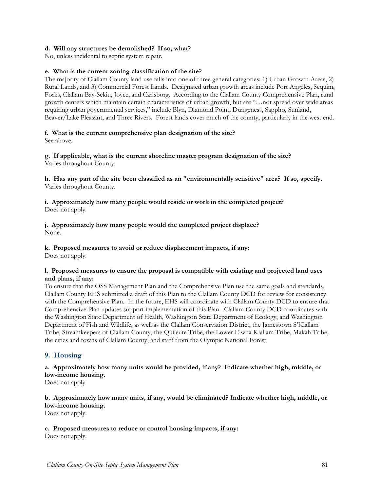# **d. Will any structures be demolished? If so, what?**

No, unless incidental to septic system repair.

# **e. What is the current zoning classification of the site?**

The majority of Clallam County land use falls into one of three general categories: 1) Urban Growth Areas, 2) Rural Lands, and 3) Commercial Forest Lands. Designated urban growth areas include Port Angeles, Sequim, Forks, Clallam Bay-Sekiu, Joyce, and Carlsborg. According to the Clallam County Comprehensive Plan, rural growth centers which maintain certain characteristics of urban growth, but are "…not spread over wide areas requiring urban governmental services," include Blyn, Diamond Point, Dungeness, Sappho, Sunland, Beaver/Lake Pleasant, and Three Rivers. Forest lands cover much of the county, particularly in the west end.

# **f. What is the current comprehensive plan designation of the site?**

See above.

**g. If applicable, what is the current shoreline master program designation of the site?**  Varies throughout County.

**h. Has any part of the site been classified as an "environmentally sensitive" area? If so, specify.**  Varies throughout County.

**i. Approximately how many people would reside or work in the completed project?**  Does not apply.

**j. Approximately how many people would the completed project displace?**  None.

**k. Proposed measures to avoid or reduce displacement impacts, if any:**  Does not apply.

#### **l. Proposed measures to ensure the proposal is compatible with existing and projected land uses and plans, if any:**

To ensure that the OSS Management Plan and the Comprehensive Plan use the same goals and standards, Clallam County EHS submitted a draft of this Plan to the Clallam County DCD for review for consistency with the Comprehensive Plan. In the future, EHS will coordinate with Clallam County DCD to ensure that Comprehensive Plan updates support implementation of this Plan. Clallam County DCD coordinates with the Washington State Department of Health, Washington State Department of Ecology, and Washington Department of Fish and Wildlife, as well as the Clallam Conservation District, the Jamestown S'Klallam Tribe, Streamkeepers of Clallam County, the Quileute Tribe, the Lower Elwha Klallam Tribe, Makah Tribe, the cities and towns of Clallam County, and staff from the Olympic National Forest.

# **9. Housing**

**a. Approximately how many units would be provided, if any? Indicate whether high, middle, or low-income housing.** 

Does not apply.

**b. Approximately how many units, if any, would be eliminated? Indicate whether high, middle, or low-income housing.** 

Does not apply.

# **c. Proposed measures to reduce or control housing impacts, if any:**

Does not apply.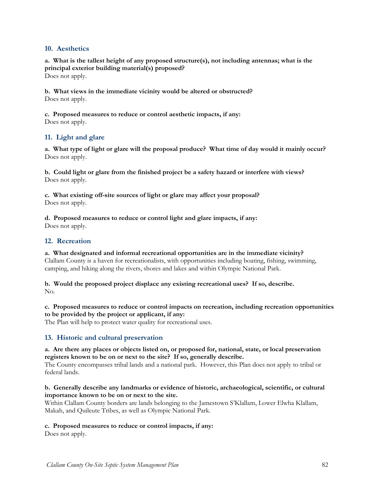# **10. Aesthetics**

**a. What is the tallest height of any proposed structure(s), not including antennas; what is the principal exterior building material(s) proposed?**  Does not apply.

**b. What views in the immediate vicinity would be altered or obstructed?**  Does not apply.

**c. Proposed measures to reduce or control aesthetic impacts, if any:**  Does not apply.

# **11. Light and glare**

**a. What type of light or glare will the proposal produce? What time of day would it mainly occur?**  Does not apply.

**b. Could light or glare from the finished project be a safety hazard or interfere with views?**  Does not apply.

**c. What existing off-site sources of light or glare may affect your proposal?**  Does not apply.

**d. Proposed measures to reduce or control light and glare impacts, if any:**  Does not apply.

# **12. Recreation**

**a. What designated and informal recreational opportunities are in the immediate vicinity?**  Clallam County is a haven for recreationalists, with opportunities including boating, fishing, swimming, camping, and hiking along the rivers, shores and lakes and within Olympic National Park.

**b. Would the proposed project displace any existing recreational uses? If so, describe.**  No.

**c. Proposed measures to reduce or control impacts on recreation, including recreation opportunities to be provided by the project or applicant, if any:** 

The Plan will help to protect water quality for recreational uses.

# **13. Historic and cultural preservation**

# **a. Are there any places or objects listed on, or proposed for, national, state, or local preservation registers known to be on or next to the site? If so, generally describe.**

The County encompasses tribal lands and a national park. However, this Plan does not apply to tribal or federal lands.

#### **b. Generally describe any landmarks or evidence of historic, archaeological, scientific, or cultural importance known to be on or next to the site.**

Within Clallam County borders are lands belonging to the Jamestown S'Klallam, Lower Elwha Klallam, Makah, and Quileute Tribes, as well as Olympic National Park.

#### **c. Proposed measures to reduce or control impacts, if any:**

Does not apply.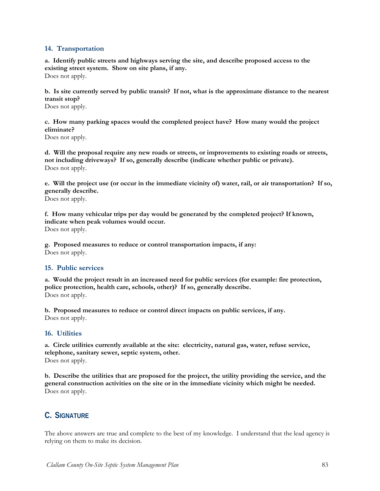# **14. Transportation**

**a. Identify public streets and highways serving the site, and describe proposed access to the existing street system. Show on site plans, if any.**  Does not apply.

**b. Is site currently served by public transit? If not, what is the approximate distance to the nearest transit stop?**

Does not apply.

**c. How many parking spaces would the completed project have? How many would the project eliminate?** 

Does not apply.

**d. Will the proposal require any new roads or streets, or improvements to existing roads or streets, not including driveways? If so, generally describe (indicate whether public or private).**  Does not apply.

**e. Will the project use (or occur in the immediate vicinity of) water, rail, or air transportation? If so, generally describe.** 

Does not apply.

**f. How many vehicular trips per day would be generated by the completed project? If known, indicate when peak volumes would occur.**  Does not apply.

**g. Proposed measures to reduce or control transportation impacts, if any:**  Does not apply.

# **15. Public services**

**a. Would the project result in an increased need for public services (for example: fire protection, police protection, health care, schools, other)? If so, generally describe.**  Does not apply.

**b. Proposed measures to reduce or control direct impacts on public services, if any.**  Does not apply.

# **16. Utilities**

**a. Circle utilities currently available at the site: electricity, natural gas, water, refuse service, telephone, sanitary sewer, septic system, other.**  Does not apply.

**b. Describe the utilities that are proposed for the project, the utility providing the service, and the general construction activities on the site or in the immediate vicinity which might be needed.**  Does not apply.

# **C. SIGNATURE**

The above answers are true and complete to the best of my knowledge. I understand that the lead agency is relying on them to make its decision.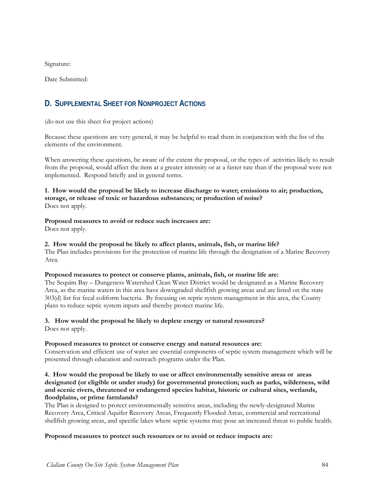Signature:

Date Submitted:

# **D. SUPPLEMENTAL SHEET FOR NONPROJECT ACTIONS**

(do not use this sheet for project actions)

Because these questions are very general, it may be helpful to read them in conjunction with the list of the elements of the environment.

When answering these questions, be aware of the extent the proposal, or the types of activities likely to result from the proposal, would affect the item at a greater intensity or at a faster rate than if the proposal were not implemented. Respond briefly and in general terms.

#### **1. How would the proposal be likely to increase discharge to water; emissions to air; production, storage, or release of toxic or hazardous substances; or production of noise?** Does not apply.

#### **Proposed measures to avoid or reduce such increases are:**

Does not apply.

#### **2. How would the proposal be likely to affect plants, animals, fish, or marine life?**

The Plan includes provisions for the protection of marine life through the designation of a Marine Recovery Area.

#### **Proposed measures to protect or conserve plants, animals, fish, or marine life are:**

The Sequim Bay – Dungeness Watershed Clean Water District would be designated as a Marine Recovery Area, as the marine waters in this area have downgraded shellfish growing areas and are listed on the state 303(d) list for fecal coliform bacteria. By focusing on septic system management in this area, the County plans to reduce septic system inputs and thereby protect marine life.

# **3. How would the proposal be likely to deplete energy or natural resources?**

Does not apply.

#### **Proposed measures to protect or conserve energy and natural resources are:**

Conservation and efficient use of water are essential components of septic system management which will be presented through education and outreach programs under the Plan.

# **4. How would the proposal be likely to use or affect environmentally sensitive areas or areas designated (or eligible or under study) for governmental protection; such as parks, wilderness, wild and scenic rivers, threatened or endangered species habitat, historic or cultural sites, wetlands, floodplains, or prime farmlands?**

The Plan is designed to protect environmentally sensitive areas, including the newly-designated Marine Recovery Area, Critical Aquifer Recovery Areas, Frequently Flooded Areas, commercial and recreational shellfish growing areas, and specific lakes where septic systems may pose an increased threat to public health.

# **Proposed measures to protect such resources or to avoid or reduce impacts are:**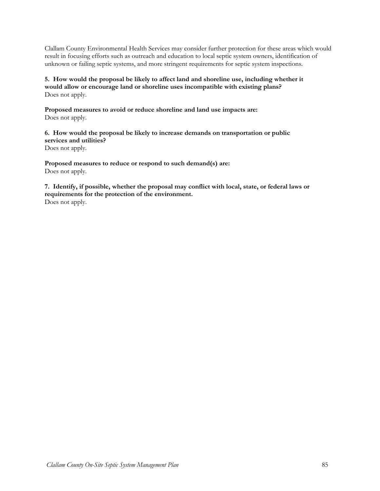Clallam County Environmental Health Services may consider further protection for these areas which would result in focusing efforts such as outreach and education to local septic system owners, identification of unknown or failing septic systems, and more stringent requirements for septic system inspections.

**5. How would the proposal be likely to affect land and shoreline use, including whether it would allow or encourage land or shoreline uses incompatible with existing plans?**  Does not apply.

**Proposed measures to avoid or reduce shoreline and land use impacts are:**  Does not apply.

**6. How would the proposal be likely to increase demands on transportation or public services and utilities?**  Does not apply.

**Proposed measures to reduce or respond to such demand(s) are:** Does not apply.

**7. Identify, if possible, whether the proposal may conflict with local, state, or federal laws or requirements for the protection of the environment.**  Does not apply.